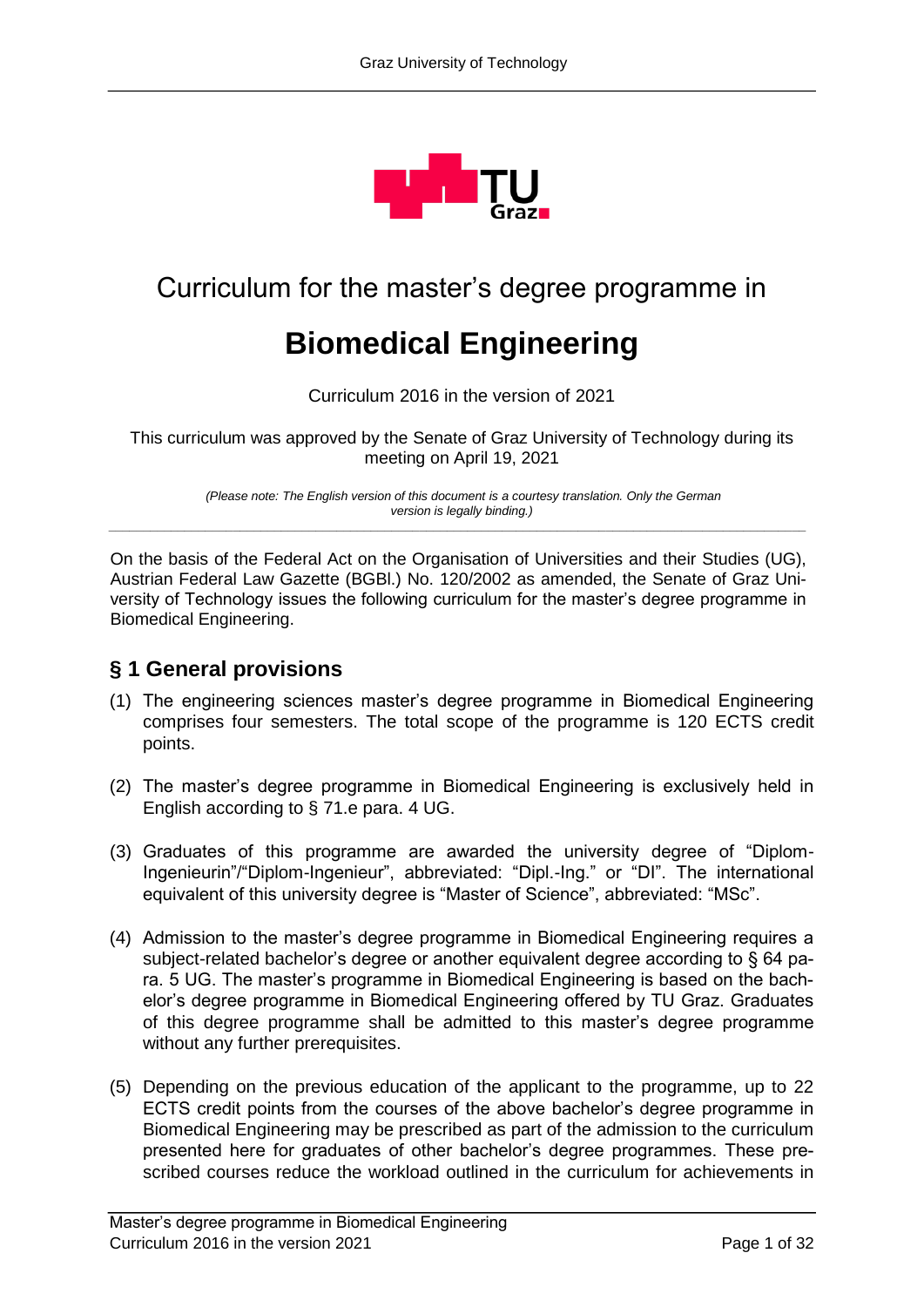

# Curriculum for the master's degree programme in

# **Biomedical Engineering**

Curriculum 2016 in the version of 2021

This curriculum was approved by the Senate of Graz University of Technology during its meeting on April 19, 2021

*(Please note: The English version of this document is a courtesy translation. Only the German version is legally binding.) \_\_\_\_\_\_\_\_\_\_\_\_\_\_\_\_\_\_\_\_\_\_\_\_\_\_\_\_\_\_\_\_\_\_\_\_\_\_\_\_\_\_\_\_\_\_\_\_\_\_\_\_\_\_\_\_\_\_\_\_\_\_\_\_\_\_\_\_\_\_\_\_\_\_\_\_\_\_\_\_\_\_\_\_\_\_\_\_\_\_\_\_\_\_\_\_\_\_\_\_\_*

On the basis of the Federal Act on the Organisation of Universities and their Studies (UG), Austrian Federal Law Gazette (BGBl.) No. 120/2002 as amended, the Senate of Graz University of Technology issues the following curriculum for the master's degree programme in Biomedical Engineering.

# **§ 1 General provisions**

- (1) The engineering sciences master's degree programme in Biomedical Engineering comprises four semesters. The total scope of the programme is 120 ECTS credit points.
- (2) The master's degree programme in Biomedical Engineering is exclusively held in English according to § 71.e para. 4 UG.
- (3) Graduates of this programme are awarded the university degree of "Diplom-Ingenieurin"/"Diplom-Ingenieur", abbreviated: "Dipl.-Ing." or "DI". The international equivalent of this university degree is "Master of Science", abbreviated: "MSc".
- (4) Admission to the master's degree programme in Biomedical Engineering requires a subject-related bachelor's degree or another equivalent degree according to § 64 para. 5 UG. The master's programme in Biomedical Engineering is based on the bachelor's degree programme in Biomedical Engineering offered by TU Graz. Graduates of this degree programme shall be admitted to this master's degree programme without any further prerequisites.
- (5) Depending on the previous education of the applicant to the programme, up to 22 ECTS credit points from the courses of the above bachelor's degree programme in Biomedical Engineering may be prescribed as part of the admission to the curriculum presented here for graduates of other bachelor's degree programmes. These prescribed courses reduce the workload outlined in the curriculum for achievements in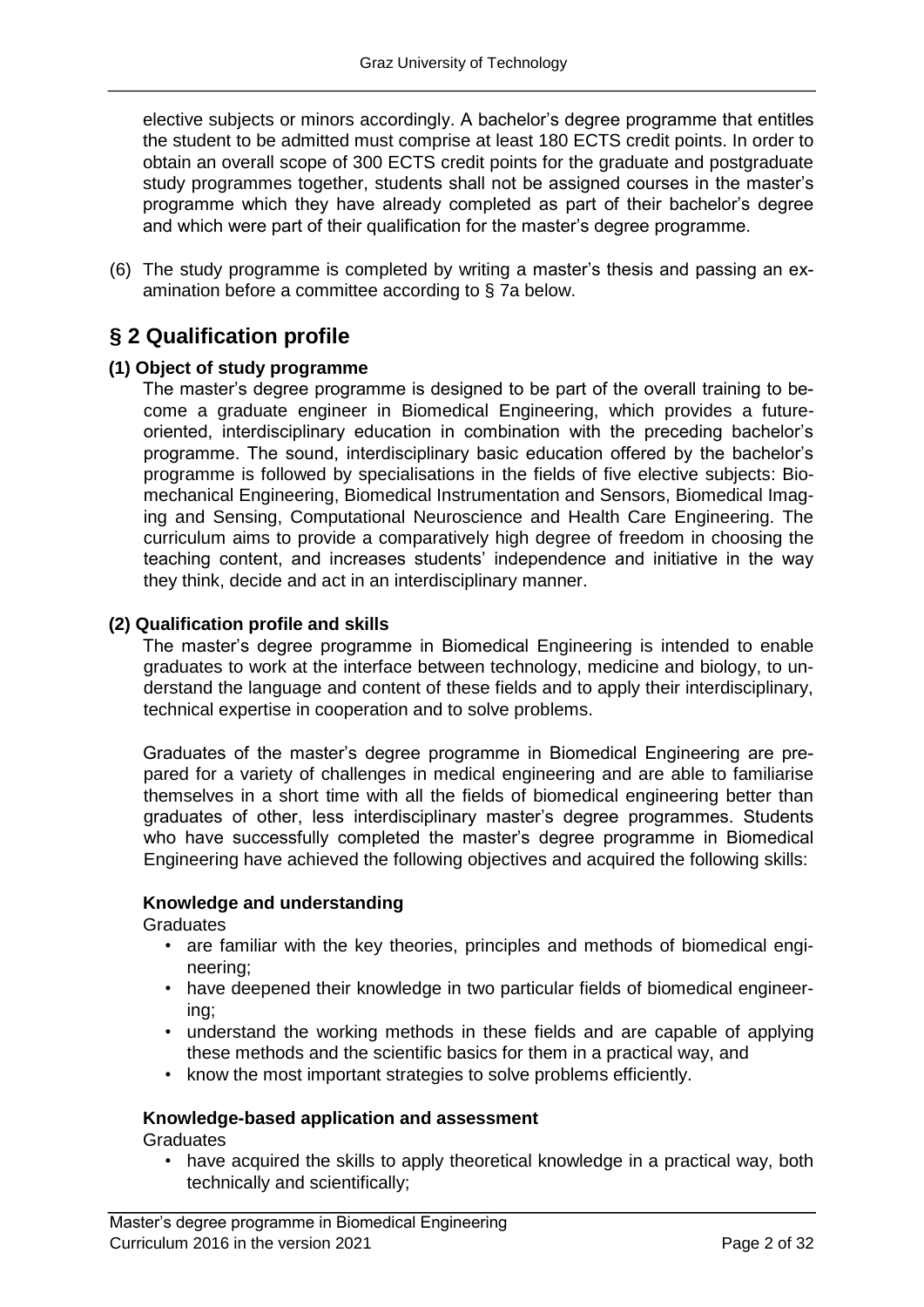elective subjects or minors accordingly. A bachelor's degree programme that entitles the student to be admitted must comprise at least 180 ECTS credit points. In order to obtain an overall scope of 300 ECTS credit points for the graduate and postgraduate study programmes together, students shall not be assigned courses in the master's programme which they have already completed as part of their bachelor's degree and which were part of their qualification for the master's degree programme.

(6) The study programme is completed by writing a master's thesis and passing an examination before a committee according to § 7a below.

# **§ 2 Qualification profile**

#### **(1) Object of study programme**

The master's degree programme is designed to be part of the overall training to become a graduate engineer in Biomedical Engineering, which provides a futureoriented, interdisciplinary education in combination with the preceding bachelor's programme. The sound, interdisciplinary basic education offered by the bachelor's programme is followed by specialisations in the fields of five elective subjects: Biomechanical Engineering, Biomedical Instrumentation and Sensors, Biomedical Imaging and Sensing, Computational Neuroscience and Health Care Engineering. The curriculum aims to provide a comparatively high degree of freedom in choosing the teaching content, and increases students' independence and initiative in the way they think, decide and act in an interdisciplinary manner.

#### **(2) Qualification profile and skills**

The master's degree programme in Biomedical Engineering is intended to enable graduates to work at the interface between technology, medicine and biology, to understand the language and content of these fields and to apply their interdisciplinary, technical expertise in cooperation and to solve problems.

Graduates of the master's degree programme in Biomedical Engineering are prepared for a variety of challenges in medical engineering and are able to familiarise themselves in a short time with all the fields of biomedical engineering better than graduates of other, less interdisciplinary master's degree programmes. Students who have successfully completed the master's degree programme in Biomedical Engineering have achieved the following objectives and acquired the following skills:

#### **Knowledge and understanding**

**Graduates** 

- are familiar with the key theories, principles and methods of biomedical engineering;
- have deepened their knowledge in two particular fields of biomedical engineering;
- understand the working methods in these fields and are capable of applying these methods and the scientific basics for them in a practical way, and
- know the most important strategies to solve problems efficiently.

#### **Knowledge-based application and assessment**

**Graduates** 

• have acquired the skills to apply theoretical knowledge in a practical way, both technically and scientifically;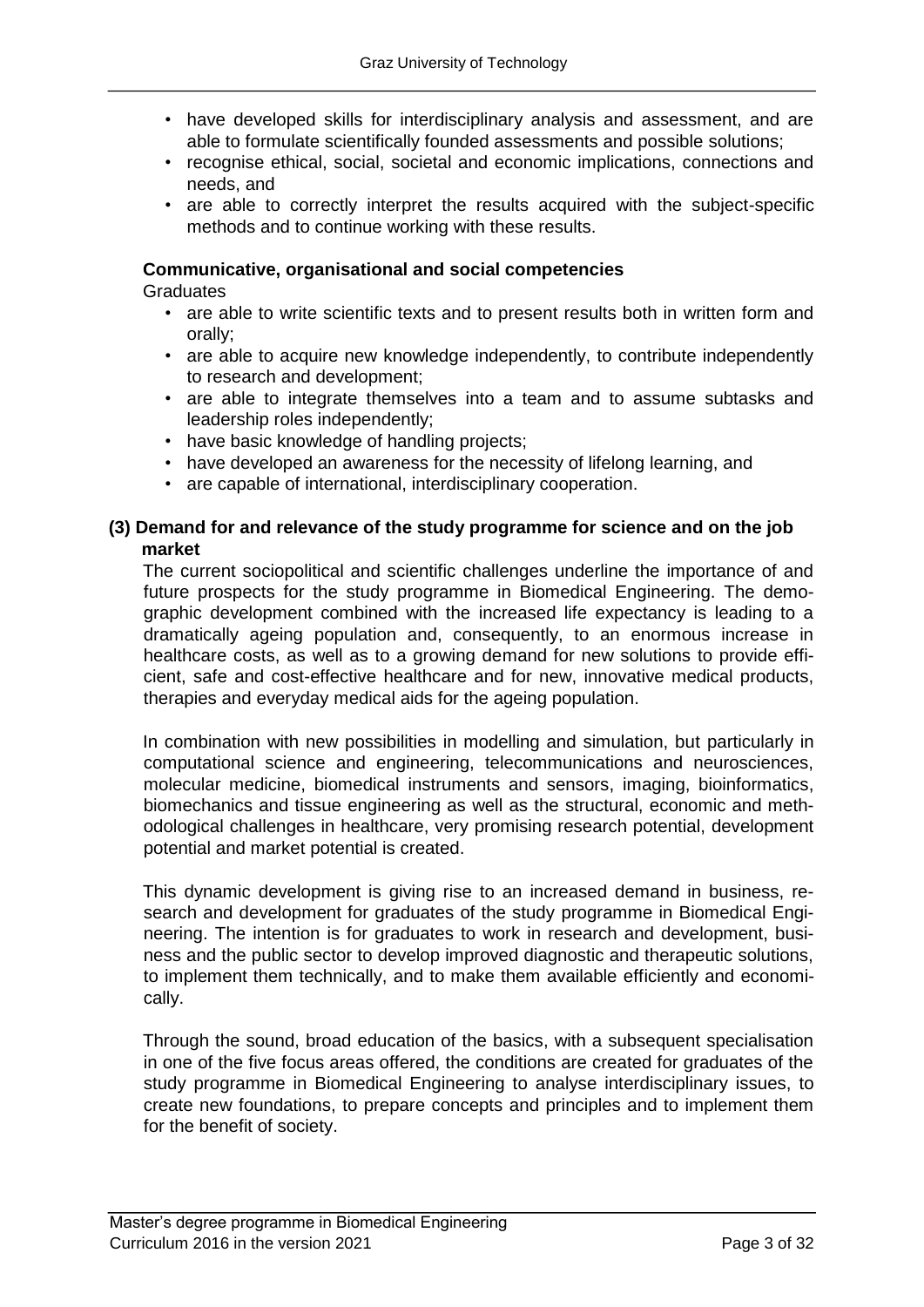- have developed skills for interdisciplinary analysis and assessment, and are able to formulate scientifically founded assessments and possible solutions;
- recognise ethical, social, societal and economic implications, connections and needs, and
- are able to correctly interpret the results acquired with the subject-specific methods and to continue working with these results.

#### **Communicative, organisational and social competencies**

**Graduates** 

- are able to write scientific texts and to present results both in written form and orally;
- are able to acquire new knowledge independently, to contribute independently to research and development;
- are able to integrate themselves into a team and to assume subtasks and leadership roles independently;
- have basic knowledge of handling projects;
- have developed an awareness for the necessity of lifelong learning, and
- are capable of international, interdisciplinary cooperation.

#### **(3) Demand for and relevance of the study programme for science and on the job market**

The current sociopolitical and scientific challenges underline the importance of and future prospects for the study programme in Biomedical Engineering. The demographic development combined with the increased life expectancy is leading to a dramatically ageing population and, consequently, to an enormous increase in healthcare costs, as well as to a growing demand for new solutions to provide efficient, safe and cost-effective healthcare and for new, innovative medical products, therapies and everyday medical aids for the ageing population.

In combination with new possibilities in modelling and simulation, but particularly in computational science and engineering, telecommunications and neurosciences, molecular medicine, biomedical instruments and sensors, imaging, bioinformatics, biomechanics and tissue engineering as well as the structural, economic and methodological challenges in healthcare, very promising research potential, development potential and market potential is created.

This dynamic development is giving rise to an increased demand in business, research and development for graduates of the study programme in Biomedical Engineering. The intention is for graduates to work in research and development, business and the public sector to develop improved diagnostic and therapeutic solutions, to implement them technically, and to make them available efficiently and economically.

Through the sound, broad education of the basics, with a subsequent specialisation in one of the five focus areas offered, the conditions are created for graduates of the study programme in Biomedical Engineering to analyse interdisciplinary issues, to create new foundations, to prepare concepts and principles and to implement them for the benefit of society.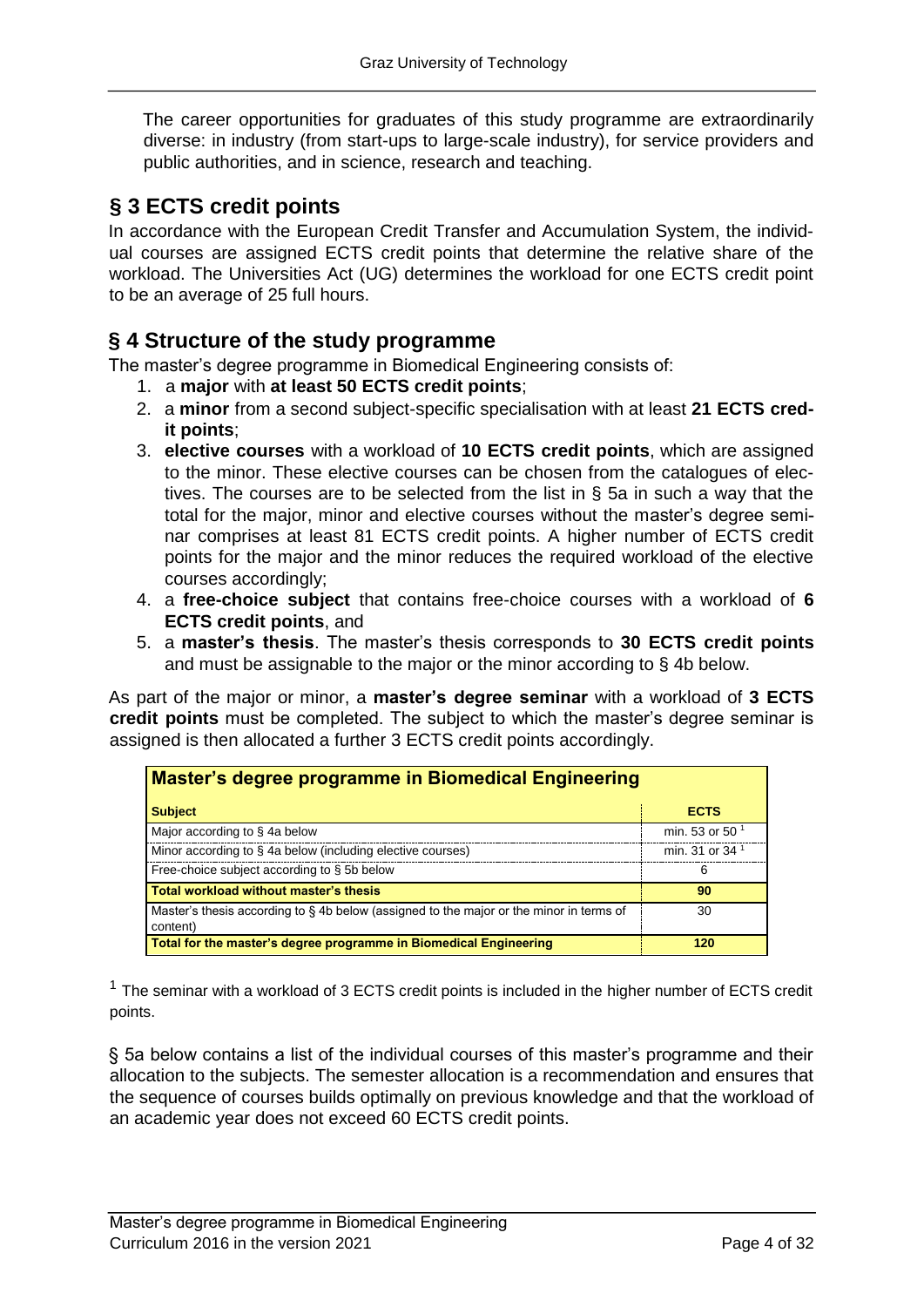The career opportunities for graduates of this study programme are extraordinarily diverse: in industry (from start-ups to large-scale industry), for service providers and public authorities, and in science, research and teaching.

# **§ 3 ECTS credit points**

In accordance with the European Credit Transfer and Accumulation System, the individual courses are assigned ECTS credit points that determine the relative share of the workload. The Universities Act (UG) determines the workload for one ECTS credit point to be an average of 25 full hours.

## **§ 4 Structure of the study programme**

The master's degree programme in Biomedical Engineering consists of:

- 1. a **major** with **at least 50 ECTS credit points**;
- 2. a **minor** from a second subject-specific specialisation with at least **21 ECTS credit points**;
- 3. **elective courses** with a workload of **10 ECTS credit points**, which are assigned to the minor. These elective courses can be chosen from the catalogues of electives. The courses are to be selected from the list in § 5a in such a way that the total for the major, minor and elective courses without the master's degree seminar comprises at least 81 ECTS credit points. A higher number of ECTS credit points for the major and the minor reduces the required workload of the elective courses accordingly;
- 4. a **free-choice subject** that contains free-choice courses with a workload of **6 ECTS credit points**, and
- 5. a **master's thesis**. The master's thesis corresponds to **30 ECTS credit points** and must be assignable to the major or the minor according to § 4b below.

As part of the major or minor, a **master's degree seminar** with a workload of **3 ECTS credit points** must be completed. The subject to which the master's degree seminar is assigned is then allocated a further 3 ECTS credit points accordingly.

| Master's degree programme in Biomedical Engineering                                                |                            |
|----------------------------------------------------------------------------------------------------|----------------------------|
| <b>Subject</b>                                                                                     | <b>ECTS</b>                |
| Major according to §4a below                                                                       | min. 53 or 50 $1$          |
| Minor according to § 4a below (including elective courses)                                         | min. 31 or 34 <sup>1</sup> |
| Free-choice subject according to § 5b below                                                        | 6                          |
| Total workload without master's thesis                                                             | 90                         |
| Master's thesis according to §4b below (assigned to the major or the minor in terms of<br>content) | 30                         |
| Total for the master's degree programme in Biomedical Engineering                                  | 120                        |

 $1$  The seminar with a workload of 3 ECTS credit points is included in the higher number of ECTS credit points.

§ 5a below contains a list of the individual courses of this master's programme and their allocation to the subjects. The semester allocation is a recommendation and ensures that the sequence of courses builds optimally on previous knowledge and that the workload of an academic year does not exceed 60 ECTS credit points.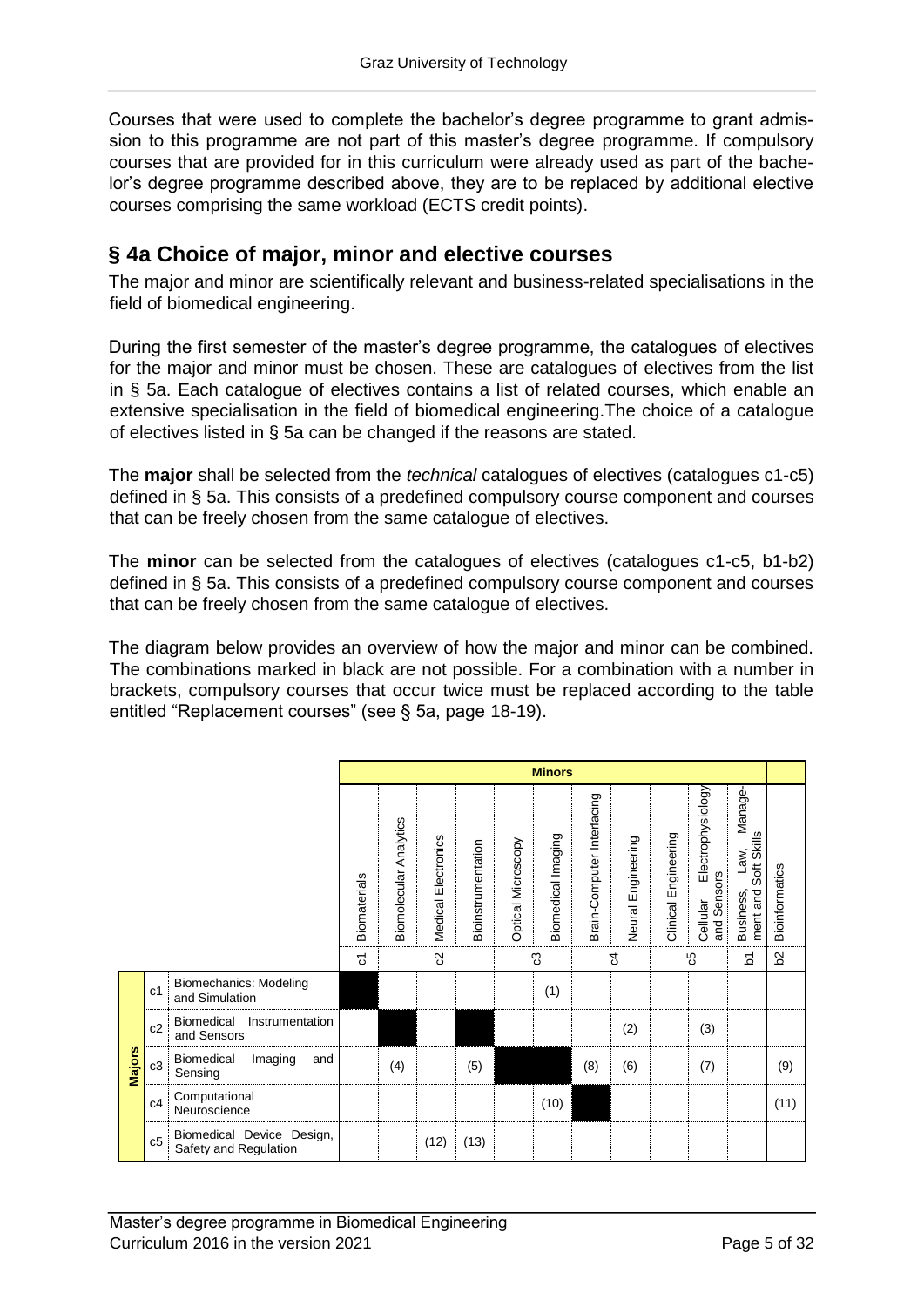Courses that were used to complete the bachelor's degree programme to grant admission to this programme are not part of this master's degree programme. If compulsory courses that are provided for in this curriculum were already used as part of the bachelor's degree programme described above, they are to be replaced by additional elective courses comprising the same workload (ECTS credit points).

# **§ 4a Choice of major, minor and elective courses**

The major and minor are scientifically relevant and business-related specialisations in the field of biomedical engineering.

During the first semester of the master's degree programme, the catalogues of electives for the major and minor must be chosen. These are catalogues of electives from the list in § 5a. Each catalogue of electives contains a list of related courses, which enable an extensive specialisation in the field of biomedical engineering.The choice of a catalogue of electives listed in § 5a can be changed if the reasons are stated.

The **major** shall be selected from the *technical* catalogues of electives (catalogues c1-c5) defined in § 5a. This consists of a predefined compulsory course component and courses that can be freely chosen from the same catalogue of electives.

The **minor** can be selected from the catalogues of electives (catalogues c1-c5, b1-b2) defined in § 5a. This consists of a predefined compulsory course component and courses that can be freely chosen from the same catalogue of electives.

The diagram below provides an overview of how the major and minor can be combined. The combinations marked in black are not possible. For a combination with a number in brackets, compulsory courses that occur twice must be replaced according to the table entitled "Replacement courses" (see § 5a, page 18-19).

|        |                |                                                    |              |                        |                        |                           |                           | <b>Minors</b>      |                            |                    |                      |                                              |                                                        |                |
|--------|----------------|----------------------------------------------------|--------------|------------------------|------------------------|---------------------------|---------------------------|--------------------|----------------------------|--------------------|----------------------|----------------------------------------------|--------------------------------------------------------|----------------|
|        |                |                                                    | Biomaterials | Biomolecular Analytics | Electronics<br>Medical | <b>Bioinstrumentation</b> | <b>Optical Microscopy</b> | Biomedical Imaging | Brain-Computer Interfacing | Neural Engineering | Clinical Engineering | Electrophysiology<br>and Sensors<br>Cellular | Manage<br>Soft Skills<br>Law,<br>ment and<br>Business, | Bioinformatics |
|        |                |                                                    | ᡖ            |                        | ၛ                      |                           |                           | က္လ                |                            | ß                  |                      | မ္မ                                          | $\overline{a}$                                         | $\mathbf{S}$   |
|        | c <sub>1</sub> | Biomechanics: Modeling<br>and Simulation           |              |                        |                        |                           |                           | (1)                |                            |                    |                      |                                              |                                                        |                |
|        | c2             | Biomedical<br>Instrumentation<br>and Sensors       |              |                        |                        |                           |                           |                    |                            | (2)                |                      | (3)                                          |                                                        |                |
| Majors | c3             | Biomedical<br>Imaging<br>and<br>Sensing            |              | (4)                    |                        | (5)                       |                           |                    | (8)                        | (6)                |                      | (7)                                          |                                                        | (9)            |
|        | c4             | Computational<br>Neuroscience                      |              |                        |                        |                           |                           | (10)               |                            |                    |                      |                                              |                                                        | (11)           |
|        | c5             | Biomedical Device Design,<br>Safety and Regulation |              |                        | (12)                   | (13)                      |                           |                    |                            |                    |                      |                                              |                                                        |                |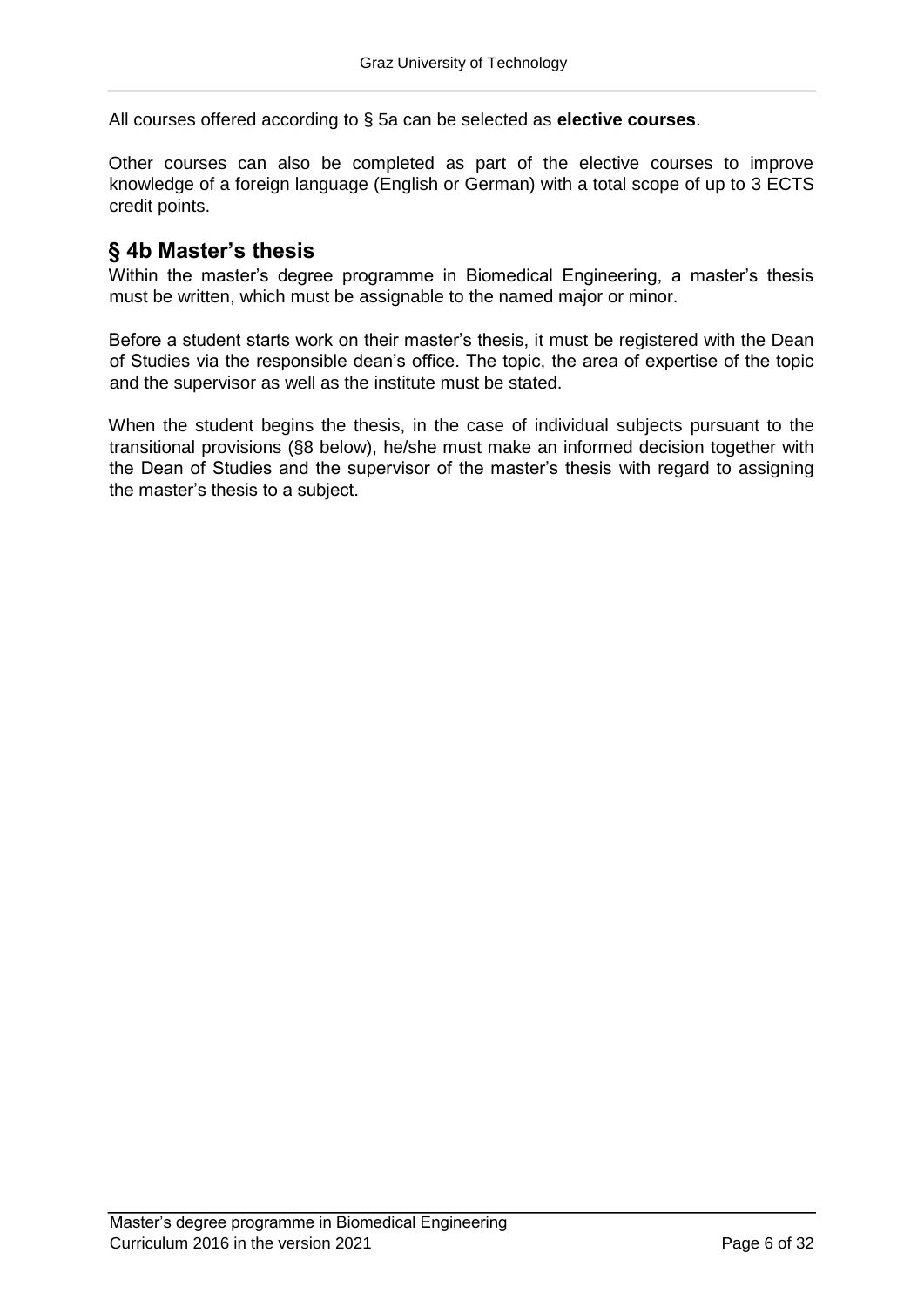All courses offered according to § 5a can be selected as **elective courses**.

Other courses can also be completed as part of the elective courses to improve knowledge of a foreign language (English or German) with a total scope of up to 3 ECTS credit points.

### **§ 4b Master's thesis**

Within the master's degree programme in Biomedical Engineering, a master's thesis must be written, which must be assignable to the named major or minor.

Before a student starts work on their master's thesis, it must be registered with the Dean of Studies via the responsible dean's office. The topic, the area of expertise of the topic and the supervisor as well as the institute must be stated.

When the student begins the thesis, in the case of individual subjects pursuant to the transitional provisions (§8 below), he/she must make an informed decision together with the Dean of Studies and the supervisor of the master's thesis with regard to assigning the master's thesis to a subject.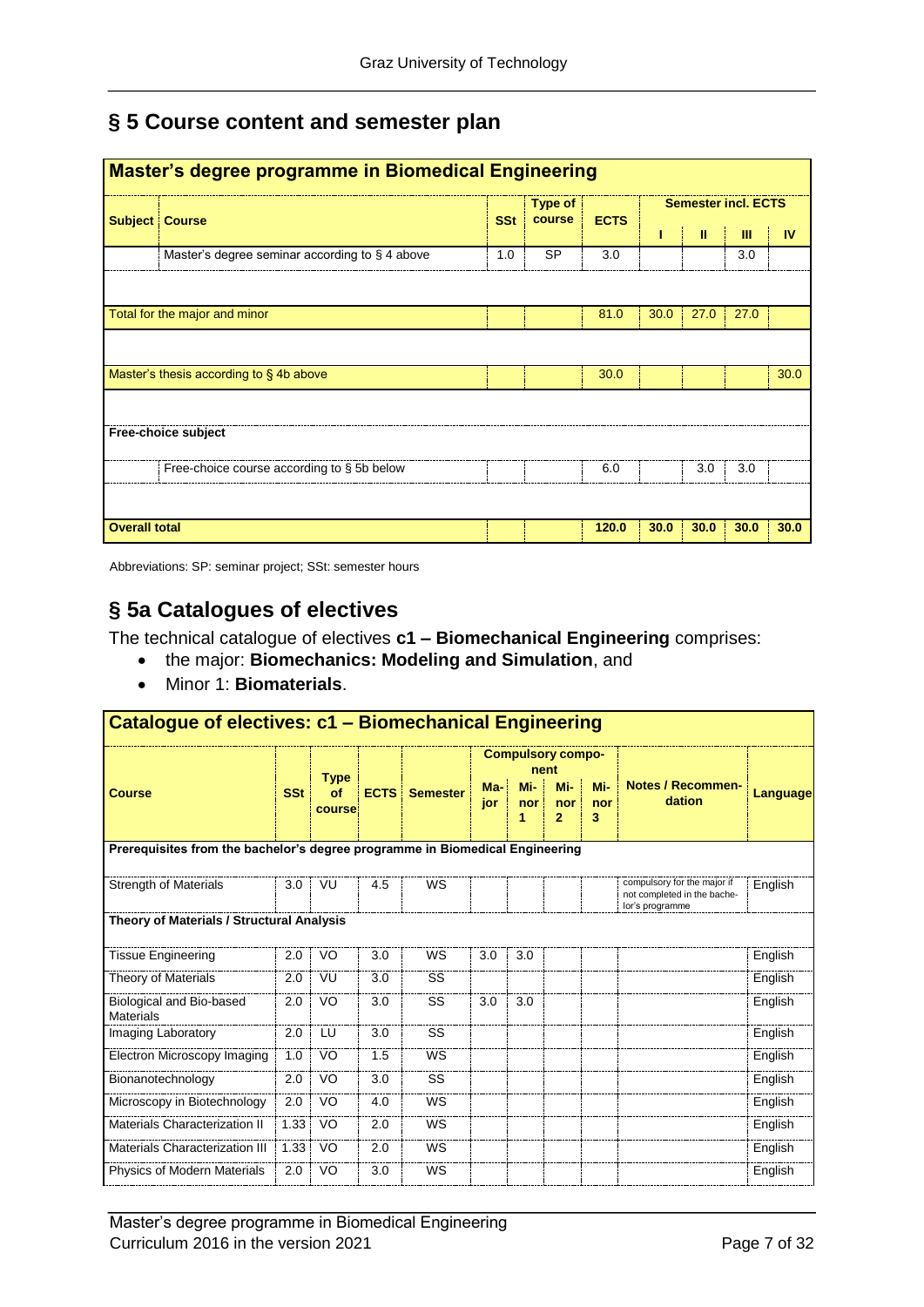# **§ 5 Course content and semester plan**

|                      | <b>Master's degree programme in Biomedical Engineering</b> |            |                   |             |      |                            |      |      |
|----------------------|------------------------------------------------------------|------------|-------------------|-------------|------|----------------------------|------|------|
|                      | <b>Subject Course</b>                                      | <b>SSt</b> | Type of<br>course | <b>ECTS</b> |      | <b>Semester incl. ECTS</b> |      |      |
|                      |                                                            |            |                   |             |      | Ш                          | Ш    | IV   |
|                      | Master's degree seminar according to $\S$ 4 above          | 1.0        | <b>SP</b>         | 3.0         |      |                            | 3.0  |      |
|                      |                                                            |            |                   |             |      |                            |      |      |
|                      | Total for the major and minor                              |            |                   | 81.0        | 30.0 | 27.0                       | 27.0 |      |
|                      |                                                            |            |                   |             |      |                            |      |      |
|                      | Master's thesis according to §4b above                     |            |                   | 30.0        |      |                            |      | 30.0 |
|                      |                                                            |            |                   |             |      |                            |      |      |
|                      | Free-choice subject                                        |            |                   |             |      |                            |      |      |
|                      | Free-choice course according to § 5b below                 |            |                   | 6.0         |      | 3.0                        | 3.0  |      |
|                      |                                                            |            |                   |             |      |                            |      |      |
| <b>Overall total</b> |                                                            |            |                   | 120.0       | 30.0 | 30.0                       | 30.0 | 30.0 |

Abbreviations: SP: seminar project; SSt: semester hours

# **§ 5a Catalogues of electives**

The technical catalogue of electives **c1 – Biomechanical Engineering** comprises:

- the major: **Biomechanics: Modeling and Simulation**, and
- Minor 1: **Biomaterials**.

| Catalogue of electives: c1 - Biomechanical Engineering                       |            |              |             |                 |            |                 |                                  |                 |                                                                               |          |
|------------------------------------------------------------------------------|------------|--------------|-------------|-----------------|------------|-----------------|----------------------------------|-----------------|-------------------------------------------------------------------------------|----------|
|                                                                              |            | <b>Type</b>  |             |                 |            |                 | <b>Compulsory compo-</b><br>nent |                 |                                                                               |          |
| <b>Course</b>                                                                | <b>SSt</b> | of<br>course | <b>ECTS</b> | <b>Semester</b> | Ma-<br>jor | Mi-<br>nor<br>1 | Mi-<br>nor<br>$\overline{2}$     | Mi-<br>nor<br>3 | <b>Notes / Recommen-</b><br>dation                                            | Language |
| Prerequisites from the bachelor's degree programme in Biomedical Engineering |            |              |             |                 |            |                 |                                  |                 |                                                                               |          |
| <b>Strength of Materials</b>                                                 | 3.0        | VU           | 4.5         | WS              |            |                 |                                  |                 | compulsory for the major if<br>not completed in the bache-<br>lor's programme | English  |
| Theory of Materials / Structural Analysis                                    |            |              |             |                 |            |                 |                                  |                 |                                                                               |          |
| <b>Tissue Engineering</b>                                                    | 2.0        | VO           | 3.0         | <b>WS</b>       | 3.0        | 3.0             |                                  |                 |                                                                               | English  |
| Theory of Materials                                                          | 2.0        | VU           | 3.0         | SS              |            |                 |                                  |                 |                                                                               | English  |
| Biological and Bio-based<br><b>Materials</b>                                 | 2.0        | VO           | 3.0         | SS              | 3.0        | 3.0             |                                  |                 |                                                                               | English  |
| Imaging Laboratory                                                           | 2.0        | LU           | 3.0         | SS              |            |                 |                                  |                 |                                                                               | English  |
| Electron Microscopy Imaging                                                  | 1.0        | VO           | 1.5         | <b>WS</b>       |            |                 |                                  |                 |                                                                               | English  |
| Bionanotechnology                                                            | 2.0        | VO           | 3.0         | SS              |            |                 |                                  |                 |                                                                               | English  |
| Microscopy in Biotechnology                                                  | 2.0        | VO           | 4.0         | <b>WS</b>       |            |                 |                                  |                 |                                                                               | English  |
| Materials Characterization II                                                | 1.33       | VO           | 2.0         | <b>WS</b>       |            |                 |                                  |                 |                                                                               | English  |
| <b>Materials Characterization III</b>                                        | 1.33       | VO           | 2.0         | <b>WS</b>       |            |                 |                                  |                 |                                                                               | English  |
| Physics of Modern Materials                                                  | 2.0        | VO           | 3.0         | WS              |            |                 |                                  |                 |                                                                               | English  |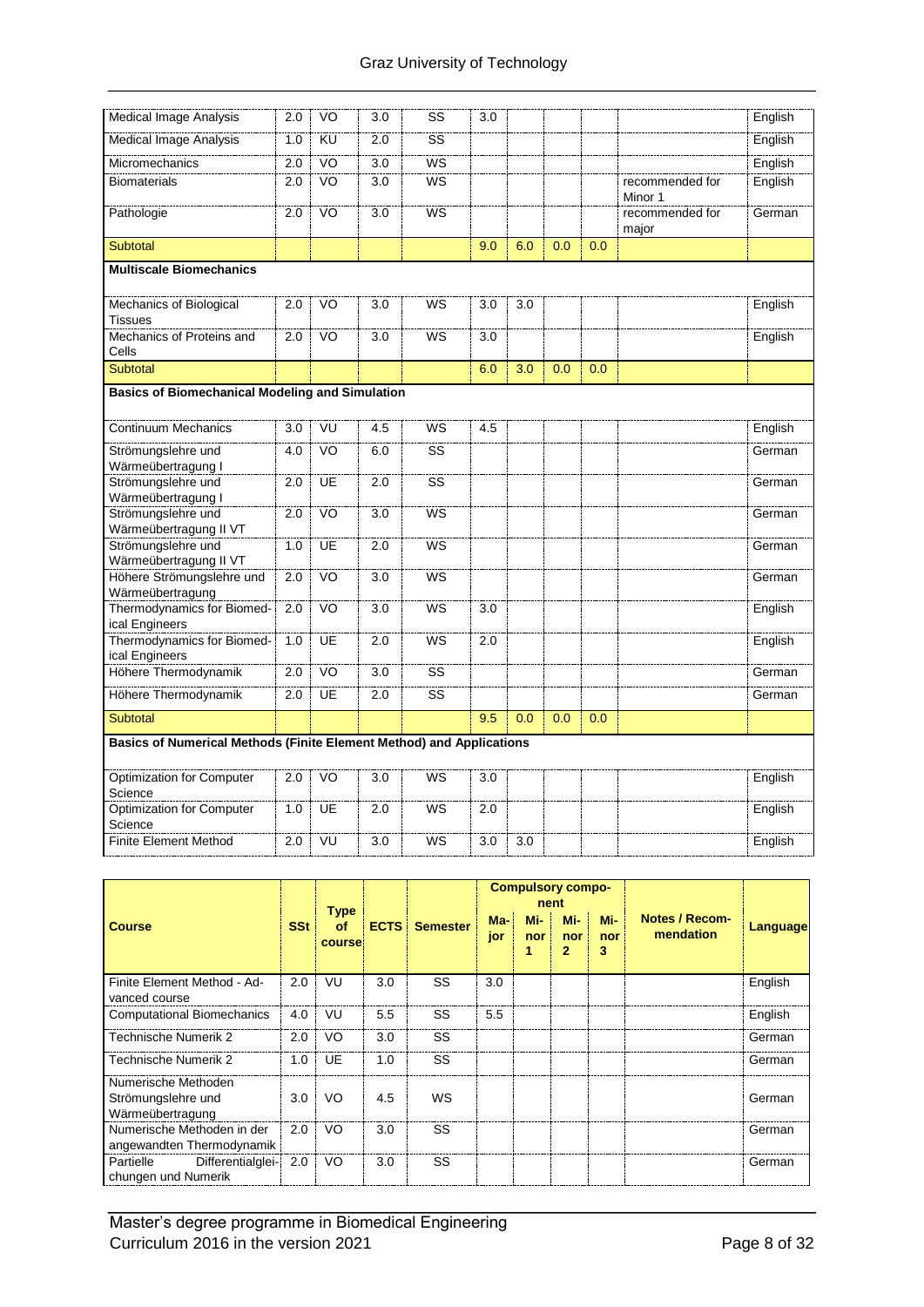| Medical Image Analysis                                               | 2.0 | VO              | 3.0              | SS                     | 3.0 |     |     |     |                            | English |
|----------------------------------------------------------------------|-----|-----------------|------------------|------------------------|-----|-----|-----|-----|----------------------------|---------|
| <b>Medical Image Analysis</b>                                        | 1.0 | KU              | 2.0              | $\overline{\text{ss}}$ |     |     |     |     |                            | English |
|                                                                      |     |                 |                  |                        |     |     |     |     |                            |         |
| Micromechanics                                                       | 2.0 | VO              | 3.0              | WS                     |     |     |     |     |                            | English |
| <b>Biomaterials</b>                                                  | 2.0 | VO <sub>1</sub> | 3.0              | <b>WS</b>              |     |     |     |     | recommended for<br>Minor 1 | English |
| Pathologie                                                           | 2.0 | V <sub>O</sub>  | 3.0              | WS                     |     |     |     |     | recommended for<br>major   | German  |
| Subtotal                                                             |     |                 |                  |                        | 9.0 | 6.0 | 0.0 | 0.0 |                            |         |
| <b>Multiscale Biomechanics</b>                                       |     |                 |                  |                        |     |     |     |     |                            |         |
| Mechanics of Biological                                              | 2.0 | VO              | 3.0              | WS                     | 3.0 | 3.0 |     |     |                            | English |
| <b>Tissues</b>                                                       |     |                 |                  |                        |     |     |     |     |                            |         |
| Mechanics of Proteins and<br>Cells                                   | 2.0 | VO              | 3.0              | WS                     | 3.0 |     |     |     |                            | English |
| Subtotal                                                             |     |                 |                  |                        | 6.0 | 3.0 | 0.0 | 0.0 |                            |         |
| <b>Basics of Biomechanical Modeling and Simulation</b>               |     |                 |                  |                        |     |     |     |     |                            |         |
|                                                                      |     |                 |                  |                        |     |     |     |     |                            |         |
| <b>Continuum Mechanics</b>                                           | 3.0 | VU              | 4.5              | <b>WS</b>              | 4.5 |     |     |     |                            | English |
| Strömungslehre und<br>Wärmeübertragung I                             | 4.0 | VO              | 6.0              | $\overline{\text{ss}}$ |     |     |     |     |                            | German  |
| Strömungslehre und<br>Wärmeübertragung I                             | 2.0 | UE              | 2.0              | SS                     |     |     |     |     |                            | German  |
| Strömungslehre und<br>Wärmeübertragung II VT                         | 2.0 | <b>VO</b>       | 3.0              | WS                     |     |     |     |     |                            | German  |
| Strömungslehre und<br>Wärmeübertragung II VT                         | 1.0 | UE              | 2.0              | <b>WS</b>              |     |     |     |     |                            | German  |
| Höhere Strömungslehre und<br>Wärmeübertragung                        | 2.0 | VO              | 3.0              | WS                     |     |     |     |     |                            | German  |
| Thermodynamics for Biomed-<br>ical Engineers                         | 2.0 | VO              | 3.0              | <b>WS</b>              | 3.0 |     |     |     |                            | English |
| Thermodynamics for Biomed-<br>ical Engineers                         | 1.0 | <b>UE</b>       | $\overline{2.0}$ | <b>WS</b>              | 2.0 |     |     |     |                            | English |
| Höhere Thermodynamik                                                 | 2.0 | VO <sub>1</sub> | 3.0              | $\overline{\text{ss}}$ |     |     |     |     |                            | German  |
| Höhere Thermodynamik                                                 | 2.0 | UE              | 2.0              | SS                     |     |     |     |     |                            | German  |
| <b>Subtotal</b>                                                      |     |                 |                  |                        | 9.5 | 0.0 | 0.0 | 0.0 |                            |         |
| Basics of Numerical Methods (Finite Element Method) and Applications |     |                 |                  |                        |     |     |     |     |                            |         |
| Optimization for Computer<br>Science                                 | 2.0 | V <sub>O</sub>  | 3.0              | WS                     | 3.0 |     |     |     |                            | English |
| <b>Optimization for Computer</b><br>Science                          | 1.0 | <b>UE</b>       | $\overline{2.0}$ | <b>WS</b>              | 2.0 |     |     |     |                            | English |
| <b>Finite Element Method</b>                                         | 2.0 | VÜ              | 3.0              | <b>WS</b>              | 3.0 | 3.0 |     |     |                            | English |

|                                                               |            |                                           |             |                 | nent       | <b>Compulsory compo-</b> |                  |                 |                                    |                 |
|---------------------------------------------------------------|------------|-------------------------------------------|-------------|-----------------|------------|--------------------------|------------------|-----------------|------------------------------------|-----------------|
| <b>Course</b>                                                 | <b>SSt</b> | <b>Type</b><br><b>of</b><br><b>course</b> | <b>ECTS</b> | <b>Semester</b> | Ma-<br>jor | Mi-<br>nor               | Mi-<br>nor<br>2. | Mi-<br>nor<br>3 | <b>Notes / Recom-</b><br>mendation | <b>Language</b> |
| Finite Element Method - Ad-<br>vanced course                  | 2.0        | VU                                        | 3.0         | SS              | 3.0        |                          |                  |                 |                                    | English         |
| <b>Computational Biomechanics</b>                             | 4.0        | VU                                        | 5.5         | SS              | 5.5        |                          |                  |                 |                                    | English         |
| Technische Numerik 2                                          | 2.0        | VO                                        | 3.0         | SS              |            |                          |                  |                 |                                    | German          |
| Technische Numerik 2                                          | 1.0        | UE                                        | 1.0         | SS              |            |                          |                  |                 |                                    | German          |
| Numerische Methoden<br>Strömungslehre und<br>Wärmeübertragung | 3.0        | VO                                        | 4.5         | WS              |            |                          |                  |                 |                                    | German          |
| Numerische Methoden in der<br>angewandten Thermodynamik       | 2.0        | VO                                        | 3.0         | SS              |            |                          |                  |                 |                                    | German          |
| Differentialglei-<br>Partielle<br>chungen und Numerik         | 2.0        | VO                                        | 3.0         | SS              |            |                          |                  |                 |                                    | German          |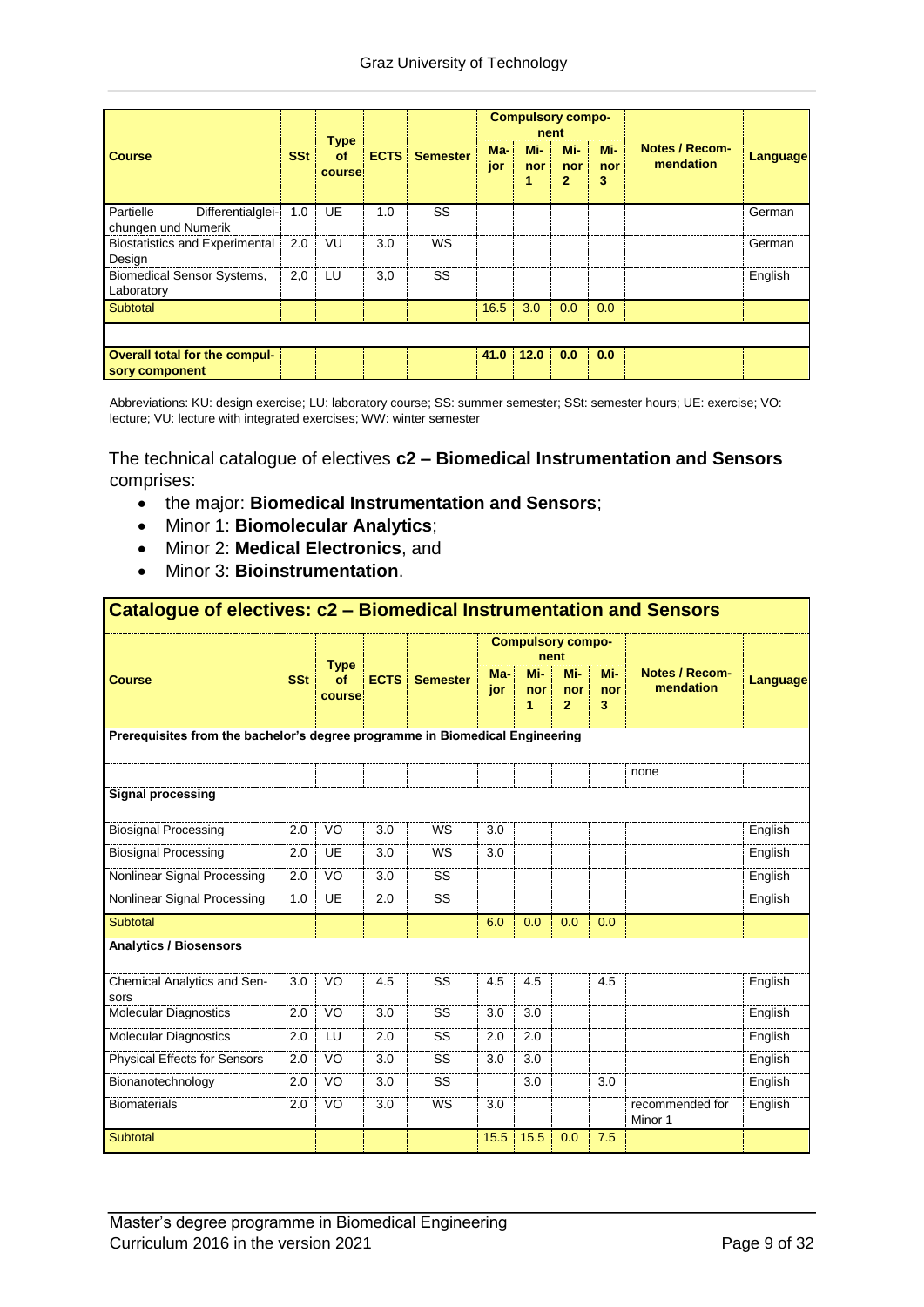|                                                        |            |                             |             |                 |              |                 | <b>Compulsory compo-</b><br>nent |                 |                             |                 |
|--------------------------------------------------------|------------|-----------------------------|-------------|-----------------|--------------|-----------------|----------------------------------|-----------------|-----------------------------|-----------------|
| <b>Course</b>                                          | <b>SSt</b> | <b>Type</b><br>of<br>course | <b>ECTS</b> | <b>Semester</b> | $Ma-$<br>jor | Mi-<br>nor<br>1 | Mi-<br>nor<br>$\overline{2}$     | Mi-<br>nor<br>3 | Notes / Recom-<br>mendation | <b>Language</b> |
| Partielle<br>Differentialglei-<br>chungen und Numerik  | 1.0        | UE                          | 1.0         | SS              |              |                 |                                  |                 |                             | German          |
| <b>Biostatistics and Experimental</b><br>Design        | 2.0        | VU                          | 3.0         | WS              |              |                 |                                  |                 |                             | German          |
| <b>Biomedical Sensor Systems,</b><br>Laboratory        | 2,0        | LU                          | 3,0         | SS              |              |                 |                                  |                 |                             | English         |
| Subtotal                                               |            |                             |             |                 | 16.5         | 3.0             | 0.0                              | 0.0             |                             |                 |
|                                                        |            |                             |             |                 |              |                 |                                  |                 |                             |                 |
| <b>Overall total for the compul-</b><br>sory component |            |                             |             |                 | 41.0         | 12.0            | 0.0                              | 0.0             |                             |                 |

Abbreviations: KU: design exercise; LU: laboratory course; SS: summer semester; SSt: semester hours; UE: exercise; VO: lecture; VU: lecture with integrated exercises; WW: winter semester

The technical catalogue of electives **c2 – Biomedical Instrumentation and Sensors** comprises:

- the major: **Biomedical Instrumentation and Sensors**;
- Minor 1: **Biomolecular Analytics**;
- Minor 2: **Medical Electronics**, and
- Minor 3: **Bioinstrumentation**.

| Catalogue of electives: c2 - Biomedical Instrumentation and Sensors          |            |              |             |                 |            |                          |                              |                 |                                    |          |
|------------------------------------------------------------------------------|------------|--------------|-------------|-----------------|------------|--------------------------|------------------------------|-----------------|------------------------------------|----------|
|                                                                              |            | <b>Type</b>  |             |                 |            | <b>Compulsory compo-</b> | nent                         |                 |                                    |          |
| <b>Course</b>                                                                | <b>SSt</b> | of<br>course | <b>ECTS</b> | <b>Semester</b> | Ma-<br>jor | Mi-<br>nor<br>1          | Mi-<br>nor<br>$\overline{2}$ | Mi-<br>nor<br>3 | <b>Notes / Recom-</b><br>mendation | Language |
| Prerequisites from the bachelor's degree programme in Biomedical Engineering |            |              |             |                 |            |                          |                              |                 |                                    |          |
|                                                                              |            |              |             |                 |            |                          |                              |                 | none                               |          |
| <b>Signal processing</b>                                                     |            |              |             |                 |            |                          |                              |                 |                                    |          |
| <b>Biosignal Processing</b>                                                  | 2.0        | VO           | 3.0         | WS              | 3.0        |                          |                              |                 |                                    | English  |
| <b>Biosignal Processing</b>                                                  | 2.0        | UE           | 3.0         | WS              | 3.0        |                          |                              |                 |                                    | English  |
| Nonlinear Signal Processing                                                  | 2.0        | VO           | 3.0         | SS              |            |                          |                              |                 |                                    | English  |
| Nonlinear Signal Processing                                                  | 1.0        | <b>UE</b>    | 2.0         | SS              |            |                          |                              |                 |                                    | English  |
| Subtotal                                                                     |            |              |             |                 | 6.0        | 0.0                      | 0.0                          | 0.0             |                                    |          |
| <b>Analytics / Biosensors</b>                                                |            |              |             |                 |            |                          |                              |                 |                                    |          |
| Chemical Analytics and Sen-<br>sors                                          | 3.0        | VO           | 4.5         | SS              | 4.5        | 4.5                      |                              | 4.5             |                                    | English  |
| Molecular Diagnostics                                                        | 2.0        | <b>VO</b>    | 3.0         | SS              | 3.0        | 3.0                      |                              |                 |                                    | English  |
| <b>Molecular Diagnostics</b>                                                 | 2.0        | LU           | 2.0         | SS              | 2.0        | 2.0                      |                              |                 |                                    | English  |
| Physical Effects for Sensors                                                 | 2.0        | VO           | 3.0         | SS              | 3.0        | 3.0                      |                              |                 |                                    | English  |
| Bionanotechnology                                                            | 2.0        | VO           | 3.0         | SS              |            | 3.0                      |                              | 3.0             |                                    | English  |
| <b>Biomaterials</b>                                                          | 2.0        | VO           | 3.0         | WS              | 3.0        |                          |                              |                 | recommended for<br>Minor 1         | English  |
| Subtotal                                                                     |            |              |             |                 | 15.5       | 15.5                     | 0.0                          | 7.5             |                                    |          |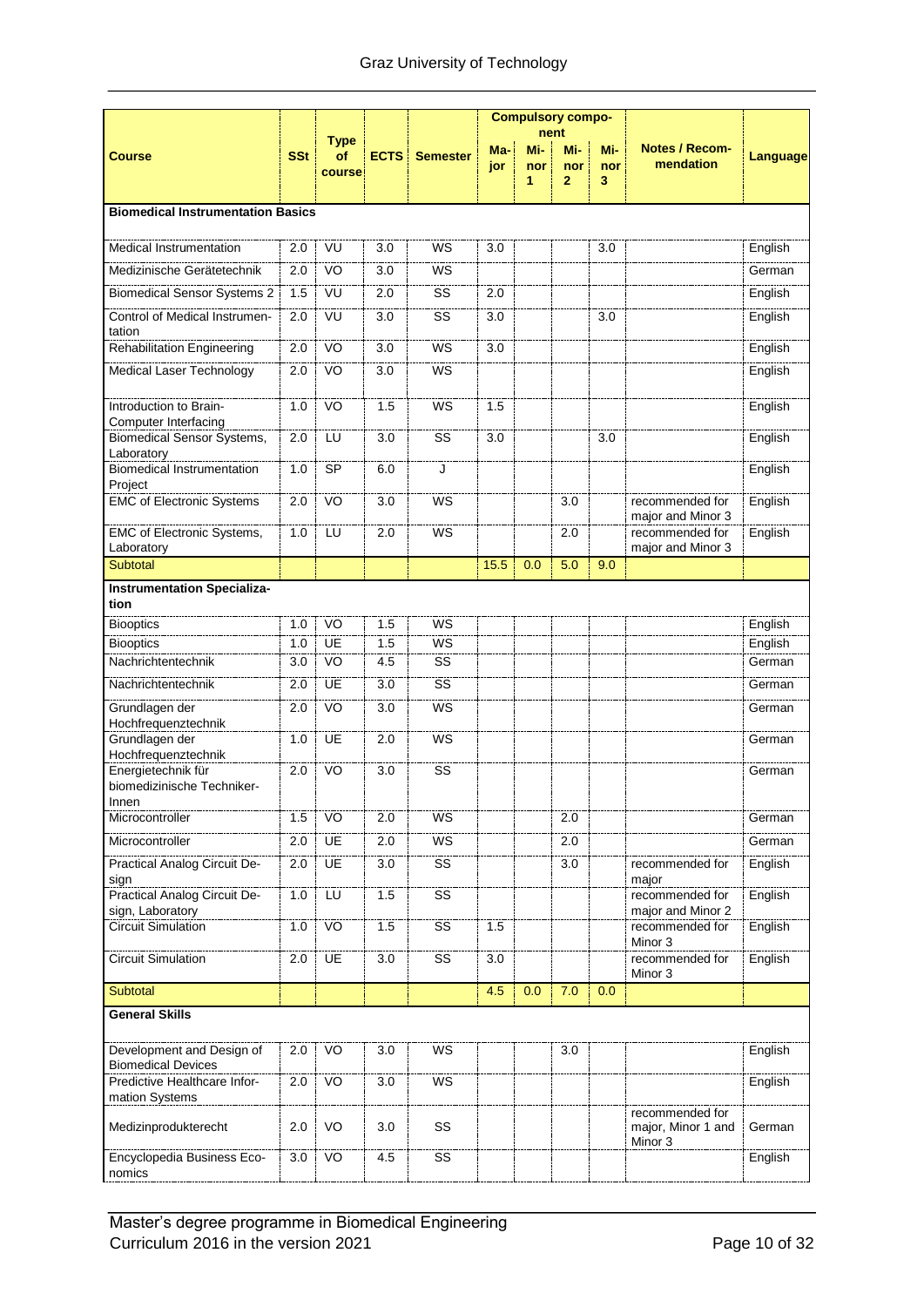|                                                        |            |              |             |                 |      |     | <b>Compulsory compo-</b> |     |                                                  |          |
|--------------------------------------------------------|------------|--------------|-------------|-----------------|------|-----|--------------------------|-----|--------------------------------------------------|----------|
|                                                        |            | <b>Type</b>  |             |                 | Ma-  | Mi- | nent<br>Mi-              | Mi- | <b>Notes / Recom-</b>                            |          |
| <b>Course</b>                                          | <b>SSt</b> | of<br>course | <b>ECTS</b> | <b>Semester</b> | jor  | nor | nor                      | nor | mendation                                        | Language |
|                                                        |            |              |             |                 |      | 1   | $\overline{2}$           | 3   |                                                  |          |
| <b>Biomedical Instrumentation Basics</b>               |            |              |             |                 |      |     |                          |     |                                                  |          |
|                                                        |            |              |             |                 |      |     |                          |     |                                                  |          |
| <b>Medical Instrumentation</b>                         | 2.0        | VU           | 3.0         | WS              | 3.0  |     |                          | 3.0 |                                                  | English  |
| Medizinische Gerätetechnik                             | 2.0        | VO           | 3.0         | WS              |      |     |                          |     |                                                  | German   |
| <b>Biomedical Sensor Systems 2</b>                     | 1.5        | VU           | 2.0         | SS              | 2.0  |     |                          |     |                                                  | English  |
| Control of Medical Instrumen-<br>tation                | 2.0        | VU           | 3.0         | SS              | 3.0  |     |                          | 3.0 |                                                  | English  |
| <b>Rehabilitation Engineering</b>                      | 2.0        | VO           | 3.0         | WS              | 3.0  |     |                          |     |                                                  | English  |
| Medical Laser Technology                               | 2.0        | VO           | 3.0         | WS              |      |     |                          |     |                                                  | English  |
| Introduction to Brain-<br>Computer Interfacing         | 1.0        | VO           | 1.5         | WS              | 1.5  |     |                          |     |                                                  | English  |
| Biomedical Sensor Systems,<br>Laboratory               | 2.0        | LU           | 3.0         | SS              | 3.0  |     |                          | 3.0 |                                                  | English  |
| <b>Biomedical Instrumentation</b><br>Proiect           | 1.0        | <b>SP</b>    | 6.0         | J               |      |     |                          |     |                                                  | English  |
| <b>EMC of Electronic Systems</b>                       | 2.0        | VO           | 3.0         | WS              |      |     | 3.0                      |     | recommended for<br>major and Minor 3             | English  |
| <b>EMC of Electronic Systems,</b><br>Laboratory        | 1.0        | LU           | 2.0         | WS              |      |     | 2.0                      |     | recommended for<br>major and Minor 3             | English  |
| <b>Subtotal</b>                                        |            |              |             |                 | 15.5 | 0.0 | 5.0                      | 9.0 |                                                  |          |
| <b>Instrumentation Specializa-</b><br>tion             |            |              |             |                 |      |     |                          |     |                                                  |          |
| <b>Biooptics</b>                                       | 1.0        | VO           | 1.5         | WS              |      |     |                          |     |                                                  | English  |
| <b>Biooptics</b>                                       | 1.0        | UE           | 1.5         | WS              |      |     |                          |     |                                                  | English  |
| Nachrichtentechnik                                     | 3.0        | VO           | 4.5         | SS              |      |     |                          |     |                                                  | German   |
| Nachrichtentechnik                                     | 2.0        | UE           | 3.0         | SS              |      |     |                          |     |                                                  | German   |
| Grundlagen der<br>Hochfrequenztechnik                  | 2.0        | VO           | 3.0         | WS              |      |     |                          |     |                                                  | German   |
| Grundlagen der<br>Hochfrequenztechnik                  | 1.0        | UE           | 2.0         | WS              |      |     |                          |     |                                                  | German   |
| Energietechnik für<br>biomedizinische Techniker-       | 2.0        | VO           | 3.0         | SS              |      |     |                          |     |                                                  | German   |
| Innen<br>Microcontroller                               | 1.5        | VO           | 2.0         | <b>WS</b>       |      |     | 2.0                      |     |                                                  | German   |
| Microcontroller                                        | 2.0        | <b>UE</b>    | 2.0         | WS              |      |     | 2.0                      |     |                                                  | German   |
| Practical Analog Circuit De-<br>sign                   | 2.0        | <b>UE</b>    | 3.0         | SS              |      |     | 3.0                      |     | recommended for<br>major                         | English  |
| Practical Analog Circuit De-<br>sign, Laboratory       | 1.0        | LU           | 1.5         | SS              |      |     |                          |     | recommended for<br>major and Minor 2             | English  |
| <b>Circuit Simulation</b>                              | 1.0        | VO           | 1.5         | SS              | 1.5  |     |                          |     | recommended for<br>Minor 3                       | English  |
| <b>Circuit Simulation</b>                              | 2.0        | UE           | 3.0         | SS              | 3.0  |     |                          |     | recommended for<br>Minor 3                       | English  |
| Subtotal                                               |            |              |             |                 | 4.5  | 0.0 | 7.0                      | 0.0 |                                                  |          |
| <b>General Skills</b>                                  |            |              |             |                 |      |     |                          |     |                                                  |          |
| Development and Design of<br><b>Biomedical Devices</b> | 2.0        | VO           | 3.0         | WS              |      |     | 3.0                      |     |                                                  | English  |
| Predictive Healthcare Infor-<br>mation Systems         | 2.0        | VO           | 3.0         | WS              |      |     |                          |     |                                                  | English  |
| Medizinprodukterecht                                   | 2.0        | VO           | 3.0         | SS              |      |     |                          |     | recommended for<br>major, Minor 1 and<br>Minor 3 | German   |
| Encyclopedia Business Eco-<br>nomics                   | 3.0        | VO           | 4.5         | SS              |      |     |                          |     |                                                  | English  |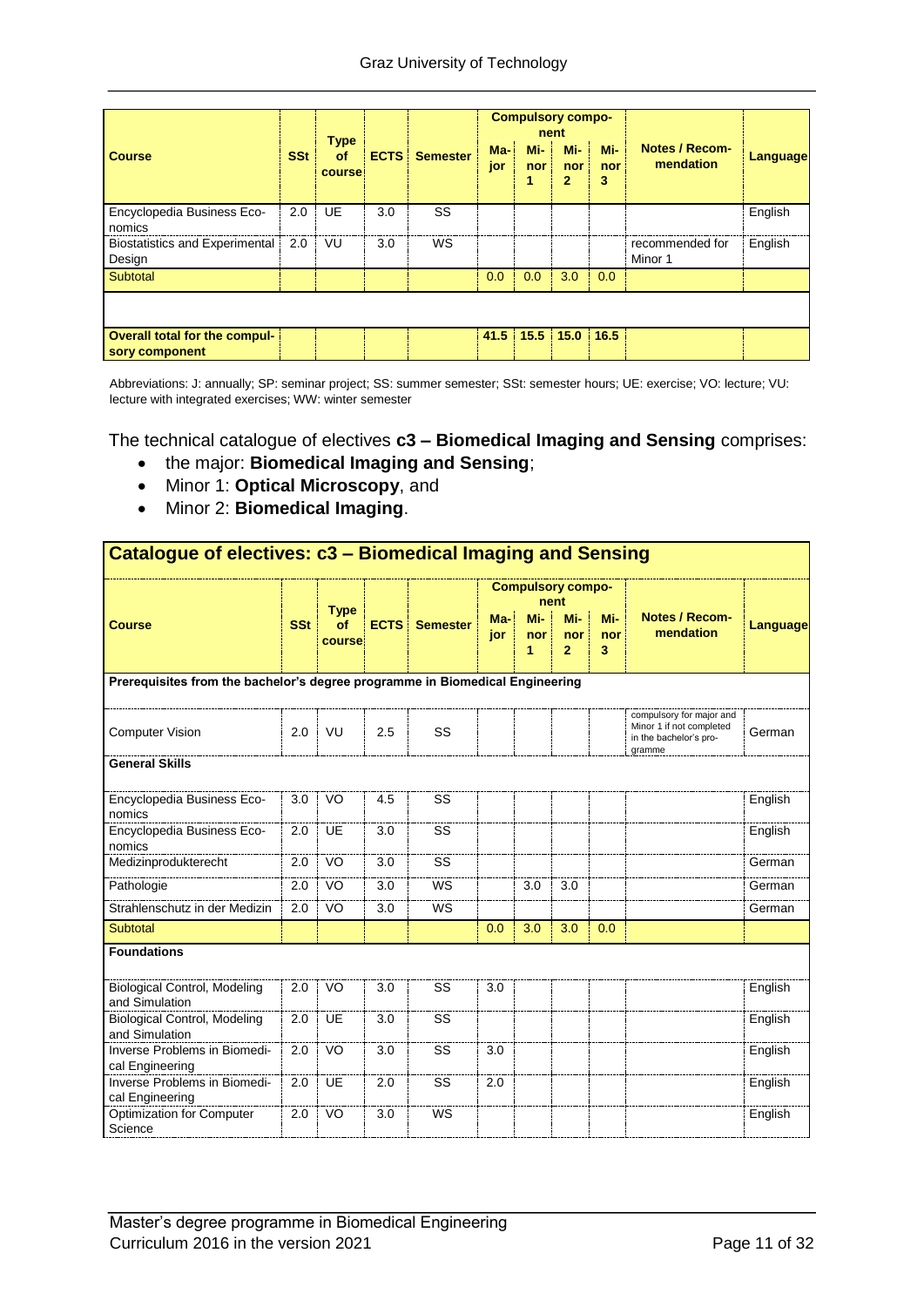|                                                        |            | <b>Type</b>  |             |                 |              |                 | <b>Compulsory compo-</b><br>nent |                 |                                    |          |
|--------------------------------------------------------|------------|--------------|-------------|-----------------|--------------|-----------------|----------------------------------|-----------------|------------------------------------|----------|
| <b>Course</b>                                          | <b>SSt</b> | of<br>course | <b>ECTS</b> | <b>Semester</b> | $Ma-$<br>jor | Mi-<br>nor<br>1 | Mi-<br>nor<br>2                  | Mi-<br>nor<br>3 | <b>Notes / Recom-</b><br>mendation | Language |
| Encyclopedia Business Eco-<br>nomics                   | 2.0        | <b>UE</b>    | 3.0         | SS              |              |                 |                                  |                 |                                    | English  |
| <b>Biostatistics and Experimental</b><br>Design        | 2.0        | VU           | 3.0         | WS              |              |                 |                                  |                 | recommended for<br>Minor 1         | English  |
| Subtotal                                               |            |              |             |                 | 0.0          | 0.0             | 3.0                              | 0.0             |                                    |          |
|                                                        |            |              |             |                 |              |                 |                                  |                 |                                    |          |
| <b>Overall total for the compul-</b><br>sory component |            |              |             |                 |              |                 | $41.5$   15.5   15.0   16.5      |                 |                                    |          |

Abbreviations: J: annually; SP: seminar project; SS: summer semester; SSt: semester hours; UE: exercise; VO: lecture; VU: lecture with integrated exercises; WW: winter semester

The technical catalogue of electives **c3 – Biomedical Imaging and Sensing** comprises:

- the major: **Biomedical Imaging and Sensing**;
- Minor 1: **Optical Microscopy**, and
- Minor 2: **Biomedical Imaging**.

| Catalogue of electives: c3 - Biomedical Imaging and Sensing                  |            |                             |     |                      |            |                          |                              |                 |                                                                                          |          |
|------------------------------------------------------------------------------|------------|-----------------------------|-----|----------------------|------------|--------------------------|------------------------------|-----------------|------------------------------------------------------------------------------------------|----------|
|                                                                              |            |                             |     |                      |            | <b>Compulsory compo-</b> | nent                         |                 |                                                                                          |          |
| <b>Course</b>                                                                | <b>SSt</b> | <b>Type</b><br>of<br>course |     | <b>ECTS</b> Semester | Ma-<br>jor | Mi-<br>nor<br>1          | Mi-<br>nor<br>$\overline{2}$ | Mi-<br>nor<br>3 | <b>Notes / Recom-</b><br>mendation                                                       | Language |
| Prerequisites from the bachelor's degree programme in Biomedical Engineering |            |                             |     |                      |            |                          |                              |                 |                                                                                          |          |
| <b>Computer Vision</b>                                                       | 2.0        | VU                          | 2.5 | SS                   |            |                          |                              |                 | compulsory for major and<br>Minor 1 if not completed<br>in the bachelor's pro-<br>gramme | German   |
| <b>General Skills</b>                                                        |            |                             |     |                      |            |                          |                              |                 |                                                                                          |          |
| Encyclopedia Business Eco-<br>nomics                                         | 3.0        | VO                          | 4.5 | SS                   |            |                          |                              |                 |                                                                                          | English  |
| Encyclopedia Business Eco-<br>nomics                                         | 2.0        | UE                          | 3.0 | SS                   |            |                          |                              |                 |                                                                                          | English  |
| Medizinprodukterecht                                                         | 2.0        | VO                          | 3.0 | SS                   |            |                          |                              |                 |                                                                                          | German   |
| Pathologie                                                                   | 2.0        | VO                          | 3.0 | WS                   |            | 3.0                      | 3.0                          |                 |                                                                                          | German   |
| Strahlenschutz in der Medizin                                                | 2.0        | VO                          | 3.0 | WS                   |            |                          |                              |                 |                                                                                          | German   |
| Subtotal                                                                     |            |                             |     |                      | 0.0        | 3.0                      | 3.0                          | 0.0             |                                                                                          |          |
| <b>Foundations</b>                                                           |            |                             |     |                      |            |                          |                              |                 |                                                                                          |          |
| <b>Biological Control, Modeling</b><br>and Simulation                        | 2.0        | VO                          | 3.0 | SS                   | 3.0        |                          |                              |                 |                                                                                          | English  |
| <b>Biological Control, Modeling</b><br>and Simulation                        | 2.0        | <b>UE</b>                   | 3.0 | SS                   |            |                          |                              |                 |                                                                                          | English  |
| Inverse Problems in Biomedi-<br>cal Engineering                              | 2.0        | VO                          | 3.0 | SS                   | 3.0        |                          |                              |                 |                                                                                          | English  |
| Inverse Problems in Biomedi-<br>cal Engineering                              | 2.0        | <b>UE</b>                   | 2.0 | SS                   | 2.0        |                          |                              |                 |                                                                                          | English  |
| <b>Optimization for Computer</b><br>Science                                  | 2.0        | VO                          | 3.0 | WS                   |            |                          |                              |                 |                                                                                          | English  |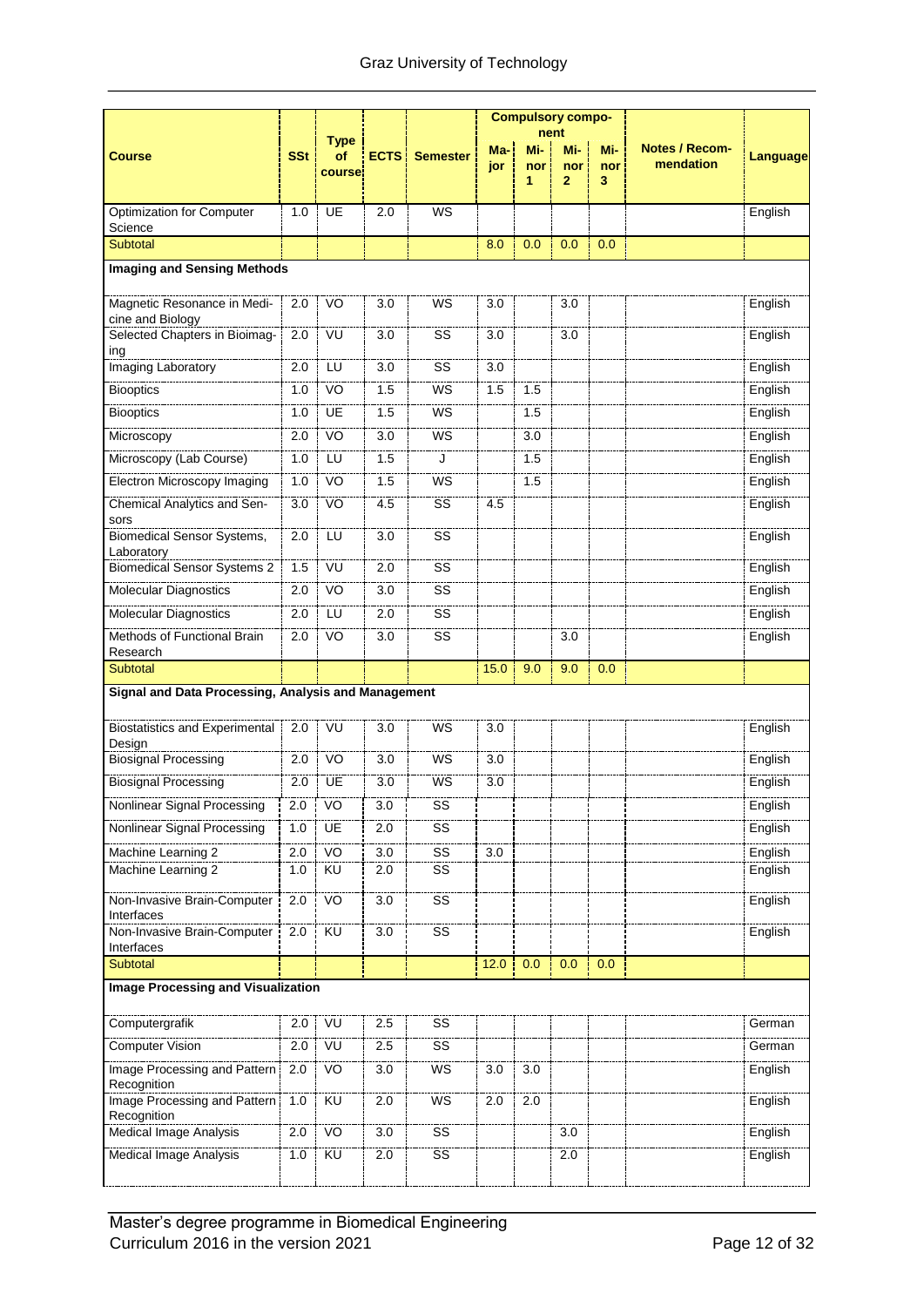|                                                     |            |                             |                  |                        |            |                         | <b>Compulsory compo-</b>     |                 |                                    |                 |
|-----------------------------------------------------|------------|-----------------------------|------------------|------------------------|------------|-------------------------|------------------------------|-----------------|------------------------------------|-----------------|
| <b>Course</b>                                       | <b>SSt</b> | <b>Type</b><br>οf<br>course |                  | <b>ECTS</b> : Semester | Ma-<br>jor | nent<br>Mi-<br>nor<br>1 | Mi-<br>nor<br>$\overline{2}$ | Mi-<br>nor<br>3 | <b>Notes / Recom-</b><br>mendation | <b>Language</b> |
| <b>Optimization for Computer</b>                    | 1.0        | UE                          | 2.0              | <b>WS</b>              |            |                         |                              |                 |                                    | English         |
| Science<br>Subtotal                                 |            |                             |                  |                        | 8.0        | 0.0                     | 0.0                          | 0.0             |                                    |                 |
| <b>Imaging and Sensing Methods</b>                  |            |                             |                  |                        |            |                         |                              |                 |                                    |                 |
|                                                     |            |                             |                  |                        |            |                         |                              |                 |                                    |                 |
| Magnetic Resonance in Medi-<br>cine and Biology     | 2.0        | VO                          | 3.0              | WS                     | 3.0        |                         | 3.0                          |                 |                                    | English         |
| Selected Chapters in Bioimag-<br>ing                | 2.0        | VU                          | 3.0              | SS                     | 3.0        |                         | 3.0                          |                 |                                    | English         |
| Imaging Laboratory                                  | 2.0        | LU                          | 3.0              | SS                     | 3.0        |                         |                              |                 |                                    | English         |
| <b>Biooptics</b>                                    | 1.0        | VO                          | 1.5              | WS                     | 1.5        | 1.5                     |                              |                 |                                    | English         |
| <b>Biooptics</b>                                    | 1.0        | UE                          | 1.5              | WS                     |            | 1.5                     |                              |                 |                                    | English         |
| Microscopy                                          | 2.0        | V <sub>O</sub>              | 3.0              | <b>WS</b>              |            | 3.0                     |                              |                 |                                    | English         |
| Microscopy (Lab Course)                             | 1.0        | LU                          | 1.5              | J                      |            | 1.5                     |                              |                 |                                    | English         |
| Electron Microscopy Imaging                         | 1.0        | VO                          | 1.5              | WS                     |            | 1.5                     |                              |                 |                                    | English         |
| Chemical Analytics and Sen-<br>sors                 | 3.0        | VO                          | 4.5              | SS                     | 4.5        |                         |                              |                 |                                    | English         |
| <b>Biomedical Sensor Systems,</b><br>Laboratory     | 2.0        | LU                          | 3.0              | SS                     |            |                         |                              |                 |                                    | English         |
| <b>Biomedical Sensor Systems 2</b>                  | 1.5        | VU                          | 2.0              | SS                     |            |                         |                              |                 |                                    | English         |
| <b>Molecular Diagnostics</b>                        | 2.0        | VO                          | 3.0              | SS                     |            |                         |                              |                 |                                    | English         |
| <b>Molecular Diagnostics</b>                        | 2.0        | LU                          | 2.0              | SS                     |            |                         |                              |                 |                                    | English         |
| Methods of Functional Brain                         | 2.0        | VO                          | 3.0              | SS                     |            |                         | 3.0                          |                 |                                    | English         |
| Research<br>Subtotal                                |            |                             |                  |                        | 15.0       | 9.0                     | 9.0                          | 0.0             |                                    |                 |
| Signal and Data Processing, Analysis and Management |            |                             |                  |                        |            |                         |                              |                 |                                    |                 |
|                                                     |            |                             |                  |                        |            |                         |                              |                 |                                    |                 |
| <b>Biostatistics and Experimental</b><br>Design     | 2.0        | VU                          | 3.0              | WS                     | 3.0        |                         |                              |                 |                                    | English         |
| <b>Biosignal Processing</b>                         | 2.0        | VO                          | 3.0              | <b>WS</b>              | 3.0        |                         |                              |                 |                                    | English         |
| <b>Biosignal Processing</b>                         | 2.0        | UE                          | 3.0              | WS                     | 3.0        |                         |                              |                 |                                    | English         |
| Nonlinear Signal Processing                         | 2.0        | VO                          | 3.0              | SS                     |            |                         |                              |                 |                                    | English         |
| Nonlinear Signal Processing                         | 1.0        | UE                          | 2.0              | $\overline{\text{ss}}$ |            |                         |                              |                 |                                    | English         |
| Machine Learning 2                                  | 2.0        | VO                          | 3.0              | SS                     | 3.0        |                         |                              |                 |                                    | English         |
| Machine Learning 2                                  | 1.0        | KU                          | 2.0              | SS                     |            |                         |                              |                 |                                    | English         |
| Non-Invasive Brain-Computer<br>Interfaces           | 2.0        | VO                          | $\overline{3.0}$ | $\overline{\text{ss}}$ |            |                         |                              |                 |                                    | English         |
| Non-Invasive Brain-Computer<br>Interfaces           | 2.0        | KU                          | 3.0              | SS                     |            |                         |                              |                 |                                    | English         |
| Subtotal                                            |            |                             |                  |                        | 12.0       | 0.0                     | 0.0                          | 0.0             |                                    |                 |
| <b>Image Processing and Visualization</b>           |            |                             |                  |                        |            |                         |                              |                 |                                    |                 |
| Computergrafik                                      | 2.0        | VU                          | 2.5              | SS                     |            |                         |                              |                 |                                    | German          |
| <b>Computer Vision</b>                              | 2.0        | VÜ                          | 2.5              | SS                     |            |                         |                              |                 |                                    | German          |
| Image Processing and Pattern<br>Recognition         | 2.0        | VO                          | 3.0              | WS                     | 3.0        | 3.0                     |                              |                 |                                    | English         |
| Image Processing and Pattern<br>Recognition         | 1.0        | <b>KU</b>                   | 2.0              | WS                     | 2.0        | 2.0                     |                              |                 |                                    | English         |
| <b>Medical Image Analysis</b>                       | 2.0        | V <sub>O</sub>              | $\overline{3.0}$ | SS                     |            |                         | 3.0                          |                 |                                    | English         |
| <b>Medical Image Analysis</b>                       | 1.0        | KU                          | 2.0              | SS                     |            |                         | 2.0                          |                 |                                    | English         |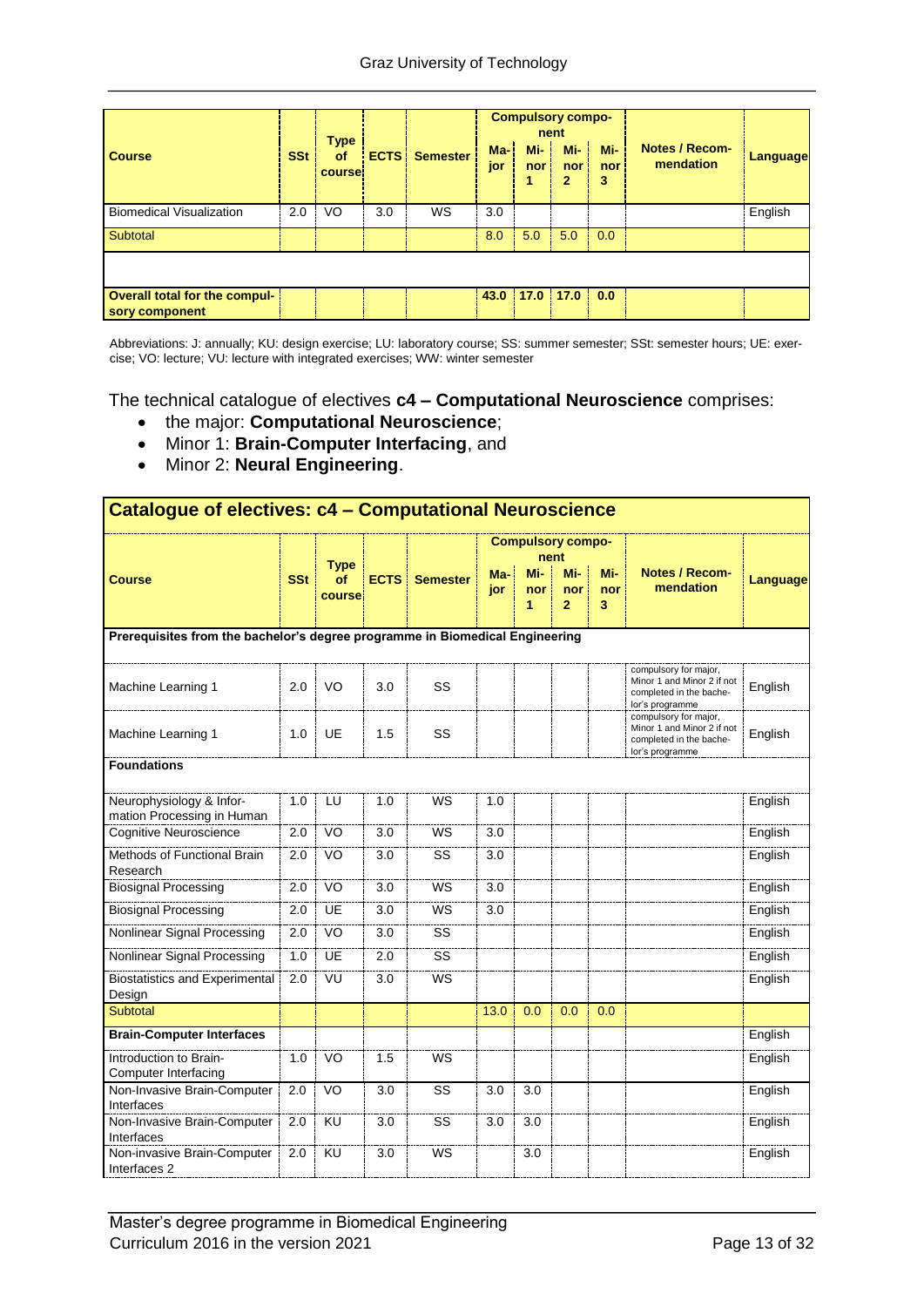| <b>Course</b>                                   | <b>SSt</b> | <b>Type</b><br>of<br>course! |     | <b>ECTS</b> Semester | $Ma-1$<br>jor | <b>Compulsory compo-</b><br>$Mi-$<br>nor: | nent<br>$Mi - 1$<br>nor <sub>1</sub><br>2 | Mi-<br>nor<br>3 | <b>Notes / Recom-</b><br>mendation | Language |
|-------------------------------------------------|------------|------------------------------|-----|----------------------|---------------|-------------------------------------------|-------------------------------------------|-----------------|------------------------------------|----------|
| <b>Biomedical Visualization</b>                 | 2.0        | VO                           | 3.0 | WS                   | 3.0           |                                           |                                           |                 |                                    | English  |
| Subtotal                                        |            |                              |     |                      | 8.0           | 5.0                                       | 5.0                                       | 0.0             |                                    |          |
|                                                 |            |                              |     |                      |               |                                           |                                           |                 |                                    |          |
| Overall total for the compul-<br>sory component |            |                              |     |                      |               | $43.0$   17.0   17.0                      |                                           | 0.0             |                                    |          |

Abbreviations: J: annually; KU: design exercise; LU: laboratory course; SS: summer semester; SSt: semester hours; UE: exercise; VO: lecture; VU: lecture with integrated exercises; WW: winter semester

The technical catalogue of electives **c4 – Computational Neuroscience** comprises:

- the major: **Computational Neuroscience**;
- Minor 1: **Brain-Computer Interfacing**, and
- Minor 2: **Neural Engineering**.

| Catalogue of electives: c4 - Computational Neuroscience                      |            |              |             |                 |            |                          |                              |                 |                                                                                                   |                 |  |  |  |
|------------------------------------------------------------------------------|------------|--------------|-------------|-----------------|------------|--------------------------|------------------------------|-----------------|---------------------------------------------------------------------------------------------------|-----------------|--|--|--|
|                                                                              |            | <b>Type</b>  |             |                 |            | <b>Compulsory compo-</b> | nent                         |                 |                                                                                                   |                 |  |  |  |
| <b>Course</b>                                                                | <b>SSt</b> | of<br>course | <b>ECTS</b> | <b>Semester</b> | Ma-<br>jor | Mi-<br>nor<br>1          | Mi-<br>nor<br>$\overline{2}$ | Mi-<br>nor<br>3 | <b>Notes / Recom-</b><br>mendation                                                                | <b>Language</b> |  |  |  |
| Prerequisites from the bachelor's degree programme in Biomedical Engineering |            |              |             |                 |            |                          |                              |                 |                                                                                                   |                 |  |  |  |
| Machine Learning 1                                                           | 2.0        | VO           | 3.0         | SS              |            |                          |                              |                 | compulsory for major,<br>Minor 1 and Minor 2 if not<br>completed in the bache-<br>lor's programme | English         |  |  |  |
| Machine Learning 1                                                           | 1.0        | UE           | 1.5         | SS              |            |                          |                              |                 | compulsory for major,<br>Minor 1 and Minor 2 if not<br>completed in the bache-<br>lor's programme | English         |  |  |  |
| <b>Foundations</b>                                                           |            |              |             |                 |            |                          |                              |                 |                                                                                                   |                 |  |  |  |
| Neurophysiology & Infor-<br>mation Processing in Human                       | 1.0        | LU           | 1.0         | <b>WS</b>       | 1.0        |                          |                              |                 |                                                                                                   | English         |  |  |  |
| Cognitive Neuroscience                                                       | 2.0        | VO           | 3.0         | <b>WS</b>       | 3.0        |                          |                              |                 |                                                                                                   | English         |  |  |  |
| Methods of Functional Brain<br>Research                                      | 2.0        | VO           | 3.0         | SS              | 3.0        |                          |                              |                 |                                                                                                   | English         |  |  |  |
| <b>Biosignal Processing</b>                                                  | 2.0        | VO           | 3.0         | <b>WS</b>       | 3.0        |                          |                              |                 |                                                                                                   | English         |  |  |  |
| <b>Biosignal Processing</b>                                                  | 2.0        | <b>UE</b>    | 3.0         | <b>WS</b>       | 3.0        |                          |                              |                 |                                                                                                   | English         |  |  |  |
| Nonlinear Signal Processing                                                  | 2.0        | VO           | 3.0         | SS              |            |                          |                              |                 |                                                                                                   | English         |  |  |  |
| Nonlinear Signal Processing                                                  | 1.0        | UE           | 2.0         | SS              |            |                          |                              |                 |                                                                                                   | English         |  |  |  |
| <b>Biostatistics and Experimental</b><br>Design                              | 2.0        | VU           | 3.0         | WS              |            |                          |                              |                 |                                                                                                   | English         |  |  |  |
| Subtotal                                                                     |            |              |             |                 | 13.0       | 0.0                      | 0.0                          | 0.0             |                                                                                                   |                 |  |  |  |
| <b>Brain-Computer Interfaces</b>                                             |            |              |             |                 |            |                          |                              |                 |                                                                                                   | English         |  |  |  |
| Introduction to Brain-<br>Computer Interfacing                               | 1.0        | VO           | 1.5         | <b>WS</b>       |            |                          |                              |                 |                                                                                                   | English         |  |  |  |
| Non-Invasive Brain-Computer<br>Interfaces                                    | 2.0        | VO           | 3.0         | SS              | 3.0        | 3.0                      |                              |                 |                                                                                                   | English         |  |  |  |
| Non-Invasive Brain-Computer<br>Interfaces                                    | 2.0        | <b>KU</b>    | 3.0         | SS              | 3.0        | 3.0                      |                              |                 |                                                                                                   | English         |  |  |  |
| Non-invasive Brain-Computer<br>Interfaces <sub>2</sub>                       | 2.0        | KU           | 3.0         | WS              |            | 3.0                      |                              |                 |                                                                                                   | English         |  |  |  |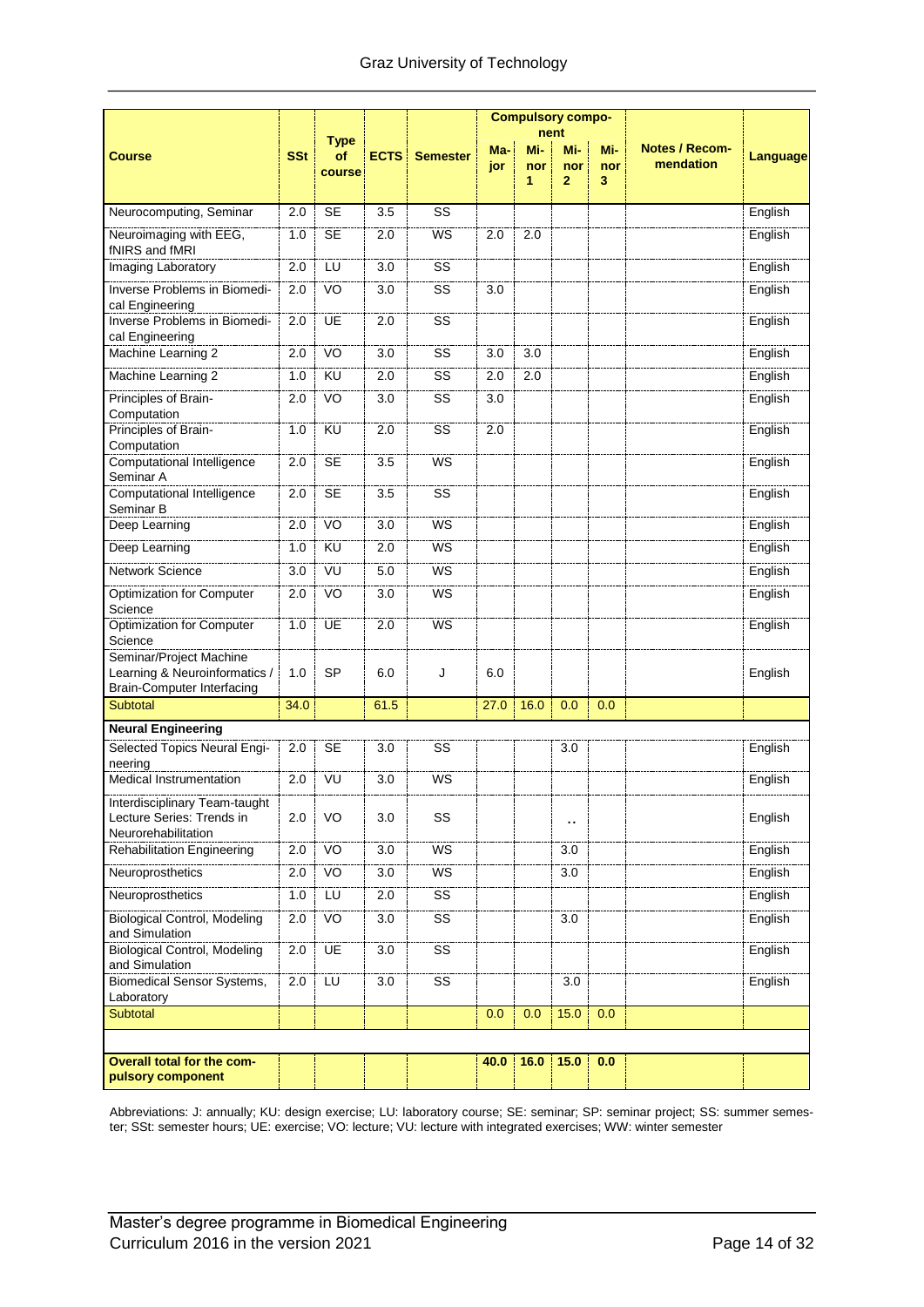|                                                                                               |            |                             |                  |                              |            |                 | <b>Compulsory compo-</b>             |                 |                                    |                    |
|-----------------------------------------------------------------------------------------------|------------|-----------------------------|------------------|------------------------------|------------|-----------------|--------------------------------------|-----------------|------------------------------------|--------------------|
| <b>Course</b>                                                                                 | <b>SSt</b> | <b>Type</b><br>of<br>course |                  | <b>ECTS</b> Semester         | Ma-<br>jor | Mi-<br>nor<br>1 | nent<br>Mi-<br>nor<br>$\overline{2}$ | Mi-<br>nor<br>3 | <b>Notes / Recom-</b><br>mendation | <b>Language</b>    |
| Neurocomputing, Seminar                                                                       | 2.0        | <b>SE</b>                   | 3.5              | SS                           |            |                 |                                      |                 |                                    | English            |
| Neuroimaging with EEG,<br>fNIRS and fMRI                                                      | 1.0        | <b>SE</b>                   | 2.0              | WS                           | 2.0        | 2.0             |                                      |                 |                                    | English            |
| Imaging Laboratory                                                                            | 2.0        | LU                          | 3.0              | SS                           |            |                 |                                      |                 |                                    | English            |
| Inverse Problems in Biomedi-<br>cal Engineering                                               | 2.0        | VO                          | 3.0              | SS                           | 3.0        |                 |                                      |                 |                                    | English            |
| Inverse Problems in Biomedi-<br>cal Engineering                                               | 2.0        | UE                          | 2.0              | $\overline{\text{ss}}$       |            |                 |                                      |                 |                                    | English            |
| Machine Learning 2                                                                            | 2.0        | VO                          | 3.0              | SS                           | 3.0        | 3.0             |                                      |                 |                                    | English            |
| Machine Learning 2                                                                            | 1.0        | KU                          | 2.0              | SS                           | 2.0        | 2.0             |                                      |                 |                                    | English            |
| Principles of Brain-<br>Computation                                                           | 2.0        | VO                          | 3.0              | SS                           | 3.0        |                 |                                      |                 |                                    | English            |
| Principles of Brain-<br>Computation                                                           | 1.0        | KU                          | 2.0              | SS                           | 2.0        |                 |                                      |                 |                                    | English            |
| <b>Computational Intelligence</b><br>Seminar A                                                | 2.0        | <b>SE</b>                   | 3.5              | <b>WS</b>                    |            |                 |                                      |                 |                                    | English            |
| Computational Intelligence<br>Seminar B                                                       | 2.0<br>2.0 | <b>SE</b><br>VO             | 3.5<br>3.0       | $\overline{\text{ss}}$<br>WS |            |                 |                                      |                 |                                    | English<br>English |
| Deep Learning                                                                                 |            |                             |                  |                              |            |                 |                                      |                 |                                    |                    |
| Deep Learning                                                                                 | 1.0        | <b>KU</b>                   | 2.0              | WS                           |            |                 |                                      |                 |                                    | English            |
| Network Science                                                                               | 3.0        | VU                          | 5.0              | WS                           |            |                 |                                      |                 |                                    | English            |
| Optimization for Computer<br>Science                                                          | 2.0        | VO                          | 3.0              | WS                           |            |                 |                                      |                 |                                    | English            |
| Optimization for Computer<br>Science                                                          | 1.0        | UE                          | 2.0              | WS                           |            |                 |                                      |                 |                                    | English            |
| Seminar/Project Machine<br>Learning & Neuroinformatics /<br><b>Brain-Computer Interfacing</b> | 1.0        | <b>SP</b>                   | 6.0              | J                            | 6.0        |                 |                                      |                 |                                    | English            |
| <b>Subtotal</b>                                                                               | 34.0       |                             | 61.5             |                              | 27.0       | 16.0            | 0.0                                  | 0.0             |                                    |                    |
| <b>Neural Engineering</b>                                                                     |            |                             |                  |                              |            |                 |                                      |                 |                                    |                    |
| Selected Topics Neural Engi-<br>neering                                                       | 2.0        | <b>SE</b>                   | 3.0              | SS                           |            |                 | 3.0                                  |                 |                                    | English            |
| Medical Instrumentation                                                                       | 2.0        | VU                          | 3.0              | WS                           |            |                 |                                      |                 |                                    | English            |
| Interdisciplinary Team-taught<br>Lecture Series: Trends in<br>Neurorehabilitation             | 2.0        | VO                          | 3.0              | SS                           |            |                 | $\blacksquare$                       |                 |                                    | English            |
| <b>Rehabilitation Engineering</b>                                                             | 2.0        | VO                          | 3.0              | WS                           |            |                 | 3.0                                  |                 |                                    | English            |
| Neuroprosthetics                                                                              | 2.0        | VO <sub>1</sub>             | $\overline{3.0}$ | WS                           |            |                 | 3.0                                  |                 |                                    | English            |
| Neuroprosthetics                                                                              | 1.0        | LU                          | 2.0              | SS                           |            |                 |                                      |                 |                                    | English            |
| <b>Biological Control, Modeling</b><br>and Simulation                                         | 2.0        | VO                          | 3.0              | SS                           |            |                 | 3.0                                  |                 |                                    | English            |
| <b>Biological Control, Modeling</b><br>and Simulation                                         | 2.0        | <b>UE</b>                   | $\overline{3.0}$ | $\overline{\text{ss}}$       |            |                 |                                      |                 |                                    | English            |
| <b>Biomedical Sensor Systems,</b><br>Laboratory                                               | 2.0        | LU                          | $\overline{3.0}$ | $\overline{\text{ss}}$       |            |                 | 3.0                                  |                 |                                    | English            |
| Subtotal                                                                                      |            |                             |                  |                              | 0.0        | 0.0             | 15.0                                 | 0.0             |                                    |                    |
|                                                                                               |            |                             |                  |                              |            |                 |                                      |                 |                                    |                    |
| Overall total for the com-<br>pulsory component                                               |            |                             |                  |                              | 40.0       | 16.0            | 15.0                                 | 0.0             |                                    |                    |

Abbreviations: J: annually; KU: design exercise; LU: laboratory course; SE: seminar; SP: seminar project; SS: summer semester; SSt: semester hours; UE: exercise; VO: lecture; VU: lecture with integrated exercises; WW: winter semester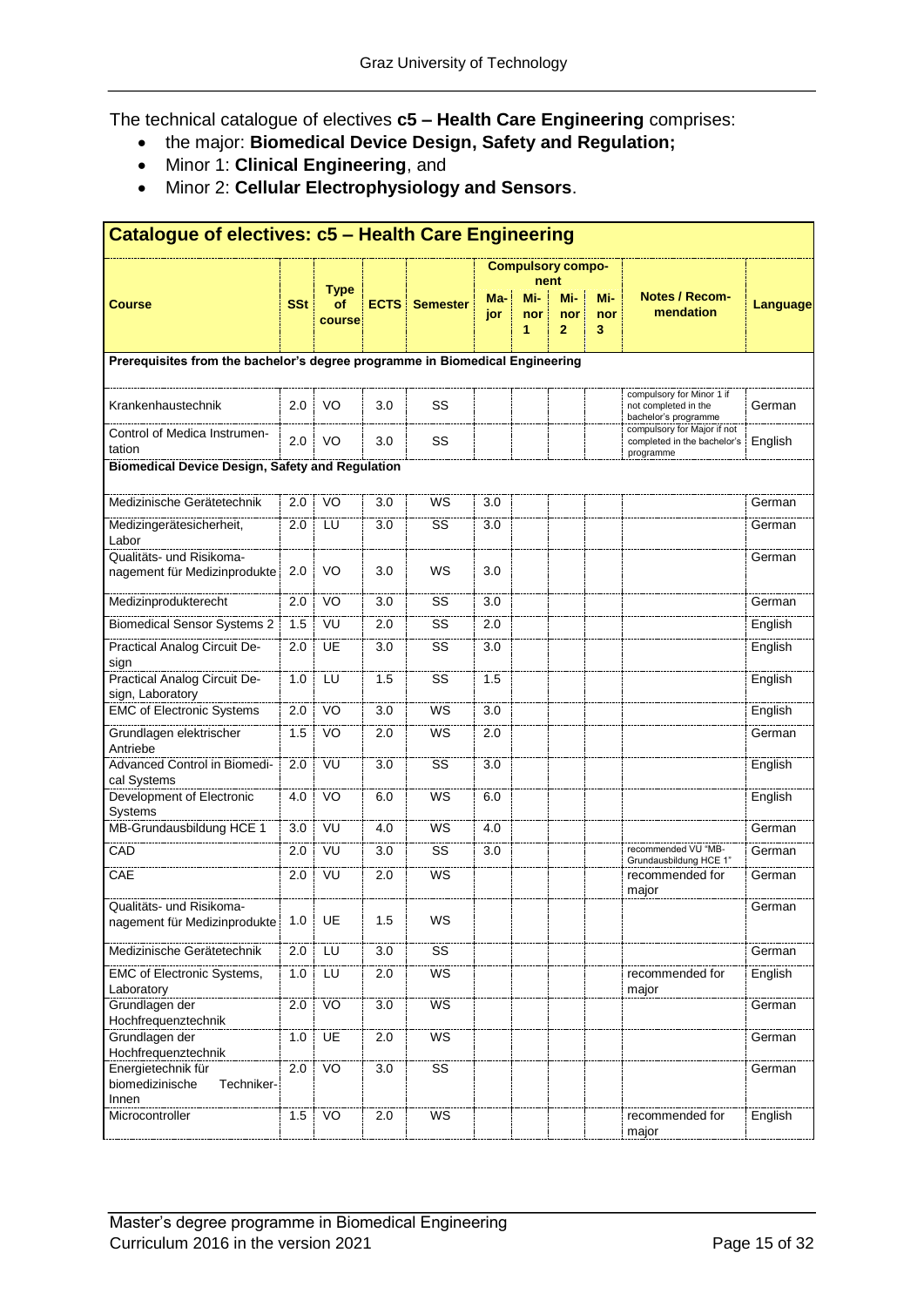The technical catalogue of electives **c5 – Health Care Engineering** comprises:

- the major: **Biomedical Device Design, Safety and Regulation;**
- Minor 1: **Clinical Engineering**, and
- Minor 2: **Cellular Electrophysiology and Sensors**.

| Catalogue of electives: c5 - Health Care Engineering                         |            |                |                  |                        |            |            |                          |            |                                                                         |          |  |  |  |
|------------------------------------------------------------------------------|------------|----------------|------------------|------------------------|------------|------------|--------------------------|------------|-------------------------------------------------------------------------|----------|--|--|--|
|                                                                              |            |                |                  |                        |            |            | <b>Compulsory compo-</b> |            |                                                                         |          |  |  |  |
|                                                                              |            | <b>Type</b>    |                  |                        |            |            | nent                     |            |                                                                         |          |  |  |  |
| <b>Course</b>                                                                | <b>SSt</b> | οf             |                  | <b>ECTS</b> Semester   | Ma-<br>jor | Mi-<br>nor | Mi-<br>nor               | Mi-<br>nor | Notes / Recom-<br>mendation                                             | Language |  |  |  |
|                                                                              |            | course         |                  |                        |            | 1          | $\mathbf{2}$             | 3          |                                                                         |          |  |  |  |
| Prerequisites from the bachelor's degree programme in Biomedical Engineering |            |                |                  |                        |            |            |                          |            |                                                                         |          |  |  |  |
|                                                                              |            |                |                  |                        |            |            |                          |            | compulsory for Minor 1 if                                               |          |  |  |  |
| Krankenhaustechnik                                                           | 2.0        | VO             | 3.0              | SS                     |            |            |                          |            | not completed in the<br>bachelor's programme                            | German   |  |  |  |
| Control of Medica Instrumen-<br>tation                                       | 2.0        | VO             | 3.0              | SS                     |            |            |                          |            | compulsory for Major if not<br>completed in the bachelor's<br>programme | English  |  |  |  |
| <b>Biomedical Device Design, Safety and Regulation</b>                       |            |                |                  |                        |            |            |                          |            |                                                                         |          |  |  |  |
| Medizinische Gerätetechnik                                                   | 2.0        | VO             | 3.0              | WS                     | 3.0        |            |                          |            |                                                                         | German   |  |  |  |
| Medizingerätesicherheit,<br>Labor                                            | 2.0        | LU             | 3.0              | SS                     | 3.0        |            |                          |            |                                                                         | German   |  |  |  |
| Qualitäts- und Risikoma-                                                     |            |                |                  |                        |            |            |                          |            |                                                                         | German   |  |  |  |
| nagement für Medizinprodukte                                                 | 2.0        | VO             | 3.0              | WS                     | 3.0        |            |                          |            |                                                                         |          |  |  |  |
| Medizinprodukterecht                                                         | 2.0        | VO             | 3.0              | SS                     | 3.0        |            |                          |            |                                                                         | German   |  |  |  |
| <b>Biomedical Sensor Systems 2</b>                                           | 1.5        | VU             | 2.0              | SS                     | 2.0        |            |                          |            |                                                                         | English  |  |  |  |
| Practical Analog Circuit De-<br>sign                                         | 2.0        | <b>UE</b>      | 3.0              | SS                     | 3.0        |            |                          |            |                                                                         | English  |  |  |  |
| Practical Analog Circuit De-<br>sign, Laboratory                             | 1.0        | LU             | 1.5              | SS                     | 1.5        |            |                          |            |                                                                         | English  |  |  |  |
| <b>EMC of Electronic Systems</b>                                             | 2.0        | VO             | 3.0              | <b>WS</b>              | 3.0        |            |                          |            |                                                                         | English  |  |  |  |
| Grundlagen elektrischer<br>Antriebe                                          | 1.5        | VO             | 2.0              | WS                     | 2.0        |            |                          |            |                                                                         | German   |  |  |  |
| Advanced Control in Biomedi-<br>cal Systems                                  | 2.0        | VU             | 3.0              | SS                     | 3.0        |            |                          |            |                                                                         | English  |  |  |  |
| Development of Electronic<br>Systems                                         | 4.0        | VO             | 6.0              | <b>WS</b>              | 6.0        |            |                          |            |                                                                         | English  |  |  |  |
| MB-Grundausbildung HCE 1                                                     | 3.0        | VU             | 4.0              | <b>WS</b>              | 4.0        |            |                          |            |                                                                         | German   |  |  |  |
| CAD                                                                          | 2.0        | VU             | 3.0              | SS                     | 3.0        |            |                          |            | recommended VU "MB-<br>Grundausbildung HCE 1"                           | German   |  |  |  |
| CAE                                                                          | 2.0        | VU             | 2.0              | WS                     |            |            |                          |            | recommended for<br>major                                                | German   |  |  |  |
| Qualitäts- und Risikoma-<br>nagement für Medizinprodukte                     | 1.0        | UE             | 1.5              | WS                     |            |            |                          |            |                                                                         | German   |  |  |  |
| Medizinische Gerätetechnik                                                   | 2.0        | ΪÜ             | 3.0              | $\overline{\text{ss}}$ |            |            |                          |            |                                                                         | German   |  |  |  |
| EMC of Electronic Systems,<br>Laboratory                                     | 1.0        | LU             | 2.0              | WS                     |            |            |                          |            | recommended for<br>major                                                | English  |  |  |  |
| Grundlagen der<br>Hochfrequenztechnik                                        | 2.0        | V <sub>O</sub> | $\overline{3.0}$ | WS                     |            |            |                          |            |                                                                         | German   |  |  |  |
| Grundlagen der<br>Hochfrequenztechnik                                        | 1.0        | <b>UE</b>      | 2.0              | WS                     |            |            |                          |            |                                                                         | German   |  |  |  |
| Energietechnik für<br>biomedizinische<br>Techniker-<br>Innen                 | 2.0        | VO             | 3.0              | SS                     |            |            |                          |            |                                                                         | German   |  |  |  |
| Microcontroller                                                              | 1.5        | VO             | 2.0              | WS                     |            |            |                          |            | recommended for<br>major                                                | English  |  |  |  |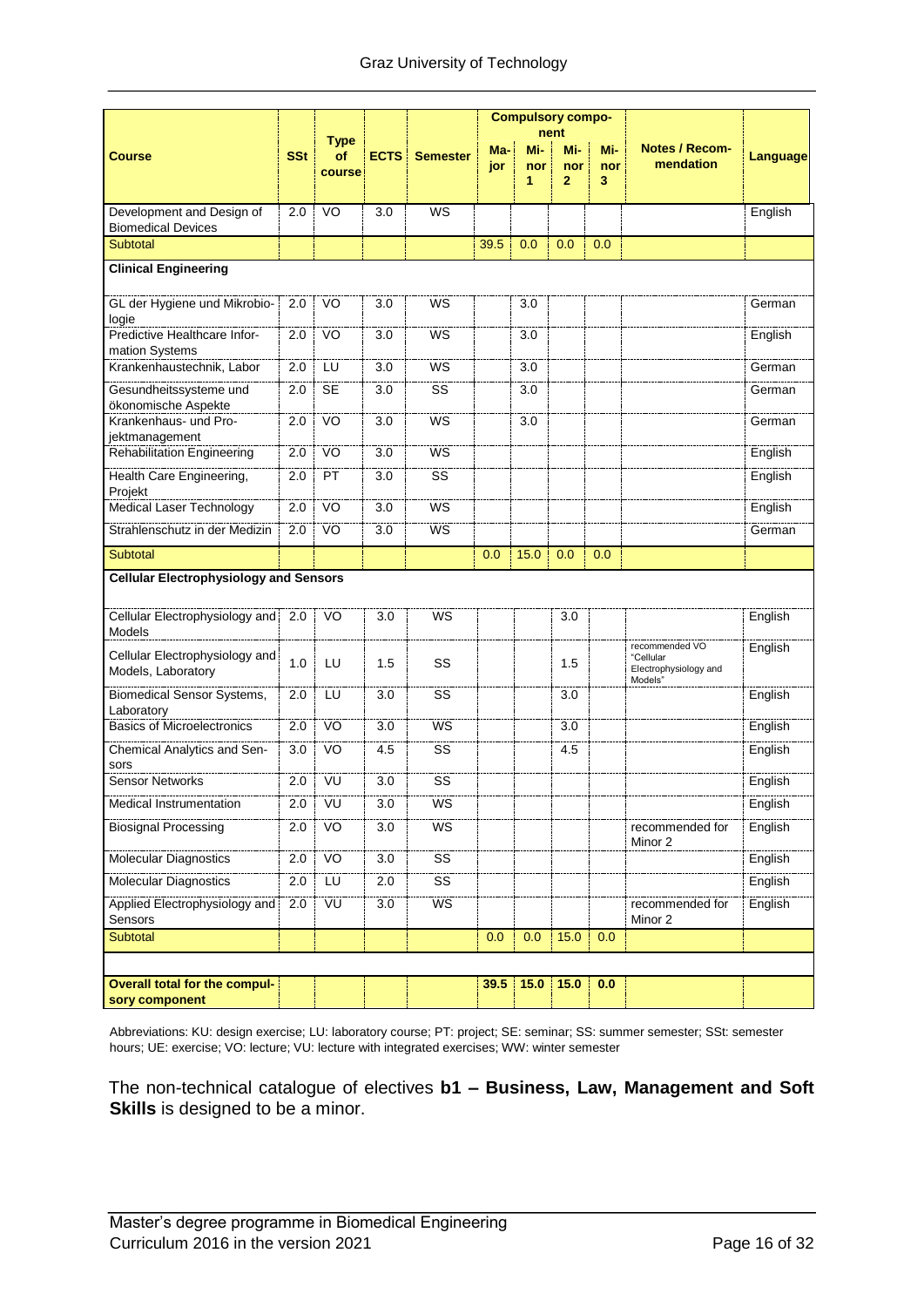|                                                        |            |                   |             |                 |      | <b>Compulsory compo-</b> |             |          |                                                                 |                 |
|--------------------------------------------------------|------------|-------------------|-------------|-----------------|------|--------------------------|-------------|----------|-----------------------------------------------------------------|-----------------|
| <b>Course</b>                                          | <b>SSt</b> | <b>Type</b><br>Οf | <b>ECTS</b> | <b>Semester</b> | Ma-  | Mi-                      | nent<br>Mi- | Mi-      | <b>Notes / Recom-</b>                                           | <b>Language</b> |
|                                                        |            | course            |             |                 | jor  | nor<br>1                 | nor<br>2    | nor<br>3 | mendation                                                       |                 |
| Development and Design of                              | 2.0        | VO                | 3.0         | <b>WS</b>       |      |                          |             |          |                                                                 | English         |
| <b>Biomedical Devices</b>                              |            |                   |             |                 |      |                          |             |          |                                                                 |                 |
| Subtotal                                               |            |                   |             |                 | 39.5 | 0.0                      | 0.0         | 0.0      |                                                                 |                 |
| <b>Clinical Engineering</b>                            |            |                   |             |                 |      |                          |             |          |                                                                 |                 |
| GL der Hygiene und Mikrobio-<br>logie                  | 2.0        | VO                | 3.0         | WS              |      | 3.0                      |             |          |                                                                 | German          |
| Predictive Healthcare Infor-<br>mation Systems         | 2.0        | VO                | 3.0         | WS              |      | 3.0                      |             |          |                                                                 | English         |
| Krankenhaustechnik, Labor                              | 2.0        | LU                | 3.0         | WS              |      | 3.0                      |             |          |                                                                 | German          |
| Gesundheitssysteme und<br>ökonomische Aspekte          | 2.0        | <b>SE</b>         | 3.0         | SS              |      | 3.0                      |             |          |                                                                 | German          |
| Krankenhaus- und Pro-<br>jektmanagement                | 2.0        | VO                | 3.0         | WS              |      | 3.0                      |             |          |                                                                 | German          |
| <b>Rehabilitation Engineering</b>                      | 2.0        | VO                | 3.0         | <b>WS</b>       |      |                          |             |          |                                                                 | English         |
| Health Care Engineering,<br>Projekt                    | 2.0        | PT                | 3.0         | SS              |      |                          |             |          |                                                                 | English         |
| Medical Laser Technology                               | 2.0        | VO                | 3.0         | WS              |      |                          |             |          |                                                                 | English         |
| Strahlenschutz in der Medizin                          | 2.0        | VO <sup>T</sup>   | 3.0         | WS              |      |                          |             |          |                                                                 | German          |
| Subtotal                                               |            |                   |             |                 | 0.0  | 15.0                     | 0.0         | 0.0      |                                                                 |                 |
| <b>Cellular Electrophysiology and Sensors</b>          |            |                   |             |                 |      |                          |             |          |                                                                 |                 |
| Cellular Electrophysiology and 2.0<br>Models           |            | VO                | 3.0         | WS              |      |                          | 3.0         |          |                                                                 | English         |
| Cellular Electrophysiology and<br>Models, Laboratory   | 1.0        | LU                | 1.5         | SS              |      |                          | 1.5         |          | recommended VO<br>"Cellular<br>Electrophysiology and<br>Models" | English         |
| <b>Biomedical Sensor Systems,</b><br>Laboratory        | 2.0        | LU                | 3.0         | SS              |      |                          | 3.0         |          |                                                                 | English         |
| <b>Basics of Microelectronics</b>                      | 2.0        | VO                | 3.0         | WS              |      |                          | 3.0         |          |                                                                 | English         |
| Chemical Analytics and Sen-<br>sors                    | 3.0        | VO                | 4.5         | SS              |      |                          | 4.5         |          |                                                                 | English         |
| <b>Sensor Networks</b>                                 | 2.0        | VU                | 3.0         | SS              |      |                          |             |          |                                                                 | English         |
| Medical Instrumentation                                | 2.0        | νu                | 3.0         | ws              |      |                          |             |          |                                                                 | English         |
| <b>Biosignal Processing</b>                            | 2.0        | VO                | 3.0         | WS              |      |                          |             |          | recommended for<br>Minor 2                                      | English         |
| Molecular Diagnostics                                  | 2.0        | VO                | 3.0         | SS              |      |                          |             |          |                                                                 | English         |
| Molecular Diagnostics                                  | 2.0        | LU                | 2.0         | SS              |      |                          |             |          |                                                                 | English         |
| Applied Electrophysiology and<br>Sensors               | 2.0        | VU                | 3.0         | WS              |      |                          |             |          | recommended for<br>Minor 2                                      | English         |
| Subtotal                                               |            |                   |             |                 | 0.0  | 0.0                      | 15.0        | 0.0      |                                                                 |                 |
|                                                        |            |                   |             |                 |      |                          |             |          |                                                                 |                 |
| <b>Overall total for the compul-</b><br>sory component |            |                   |             |                 | 39.5 | 15.0                     | 15.0        | 0.0      |                                                                 |                 |

Abbreviations: KU: design exercise; LU: laboratory course; PT: project; SE: seminar; SS: summer semester; SSt: semester hours; UE: exercise; VO: lecture; VU: lecture with integrated exercises; WW: winter semester

The non-technical catalogue of electives **b1 – Business, Law, Management and Soft Skills** is designed to be a minor.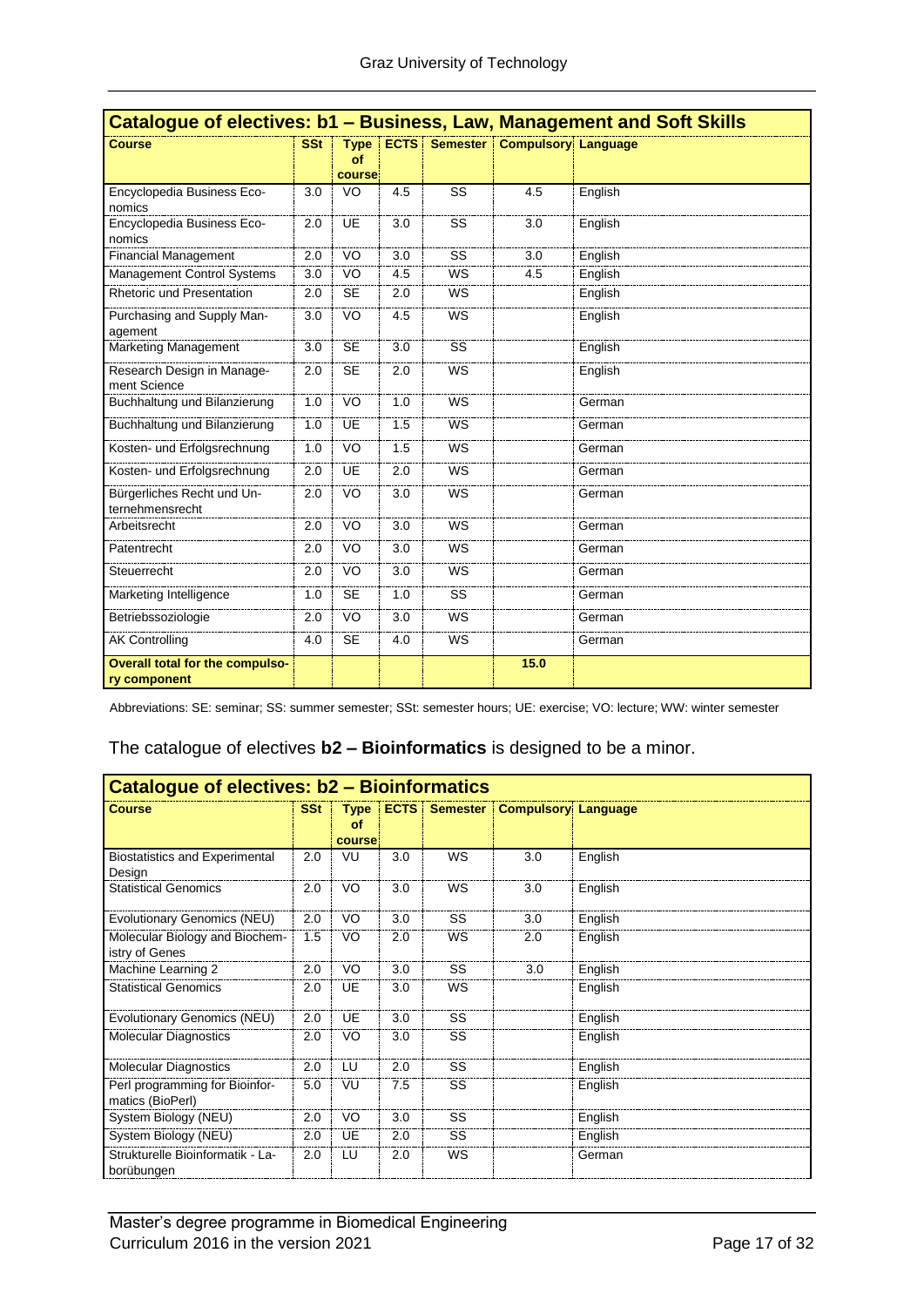|                                                        |            |                             |     |                      | Catalogue of electives: b1 - Business, Law, Management and Soft Skills |         |  |  |  |
|--------------------------------------------------------|------------|-----------------------------|-----|----------------------|------------------------------------------------------------------------|---------|--|--|--|
| <b>Course</b>                                          | <b>SSt</b> | <b>Type</b><br>of<br>course |     | <b>ECTS</b> Semester | <b>Compulsory Language</b>                                             |         |  |  |  |
| Encyclopedia Business Eco-<br>nomics                   | 3.0        | VO                          | 4.5 | SS                   | 4.5                                                                    | English |  |  |  |
| Encyclopedia Business Eco-<br>nomics                   | 2.0        | UE                          | 3.0 | SS                   | 3.0                                                                    | English |  |  |  |
| <b>Financial Management</b>                            | 2.0        | VO                          | 3.0 | SS                   | 3.0                                                                    | English |  |  |  |
| Management Control Systems                             | 3.0        | VO                          | 4.5 | <b>WS</b>            | 4.5                                                                    | English |  |  |  |
| Rhetoric und Presentation                              | 2.0        | <b>SE</b>                   | 2.0 | WS                   |                                                                        | English |  |  |  |
| Purchasing and Supply Man-<br>agement                  | 3.0        | VO                          | 4.5 | <b>WS</b>            |                                                                        | English |  |  |  |
| Marketing Management                                   | 3.0        | <b>SE</b>                   | 3.0 | SS                   |                                                                        | English |  |  |  |
| Research Design in Manage-<br>ment Science             | 2.0        | <b>SE</b>                   | 2.0 | <b>WS</b>            |                                                                        | English |  |  |  |
| Buchhaltung und Bilanzierung                           | 1.0        | VO                          | 1.0 | <b>WS</b>            |                                                                        | German  |  |  |  |
| Buchhaltung und Bilanzierung                           | 1.0        | UE                          | 1.5 | <b>WS</b>            |                                                                        | German  |  |  |  |
| Kosten- und Erfolgsrechnung                            | 1.0        | VO                          | 1.5 | <b>WS</b>            |                                                                        | German  |  |  |  |
| Kosten- und Erfolgsrechnung                            | 2.0        | UE                          | 2.0 | WS                   |                                                                        | German  |  |  |  |
| Bürgerliches Recht und Un-<br>ternehmensrecht          | 2.0        | VO                          | 3.0 | <b>WS</b>            |                                                                        | German  |  |  |  |
| Arbeitsrecht                                           | 2.0        | <b>VO</b>                   | 3.0 | <b>WS</b>            |                                                                        | German  |  |  |  |
| Patentrecht                                            | 2.0        | VO                          | 3.0 | <b>WS</b>            |                                                                        | German  |  |  |  |
| Steuerrecht                                            | 2.0        | VO                          | 3.0 | <b>WS</b>            |                                                                        | German  |  |  |  |
| Marketing Intelligence                                 | 1.0        | <b>SE</b>                   | 1.0 | SS                   |                                                                        | German  |  |  |  |
| Betriebssoziologie                                     | 2.0        | VO                          | 3.0 | <b>WS</b>            |                                                                        | German  |  |  |  |
| <b>AK Controlling</b>                                  | 4.0        | <b>SE</b>                   | 4.0 | <b>WS</b>            |                                                                        | German  |  |  |  |
| <b>Overall total for the compulso-</b><br>ry component |            |                             |     |                      | 15.0                                                                   |         |  |  |  |

Abbreviations: SE: seminar; SS: summer semester; SSt: semester hours; UE: exercise; VO: lecture; WW: winter semester

#### The catalogue of electives **b2 – Bioinformatics** is designed to be a minor.

| <b>Catalogue of electives: b2 - Bioinformatics</b> |            |                             |     |                      |                            |         |  |  |  |  |  |  |
|----------------------------------------------------|------------|-----------------------------|-----|----------------------|----------------------------|---------|--|--|--|--|--|--|
| <b>Course</b>                                      | <b>SSt</b> | <b>Type</b><br>οf<br>course |     | <b>ECTS</b> Semester | <b>Compulsory Language</b> |         |  |  |  |  |  |  |
| <b>Biostatistics and Experimental</b><br>Design    | 2.0        | VU                          | 3.0 | WS                   | 3.0                        | English |  |  |  |  |  |  |
| <b>Statistical Genomics</b>                        | 2.0        | VO                          | 3.0 | WS                   | 3.0                        | English |  |  |  |  |  |  |
| Evolutionary Genomics (NEU)                        | 2.0        | VO                          | 3.0 | <b>SS</b>            | 3.0                        | English |  |  |  |  |  |  |
| Molecular Biology and Biochem-<br>istry of Genes   | 1.5        | VO                          | 2.0 | WS                   | 2.0                        | English |  |  |  |  |  |  |
| Machine Learning 2                                 | 2.0        | VO                          | 3.0 | SS                   | 3.0                        | English |  |  |  |  |  |  |
| <b>Statistical Genomics</b>                        | 2.0        | UE                          | 3.0 | <b>WS</b>            |                            | English |  |  |  |  |  |  |
| Evolutionary Genomics (NEU)                        | 2.0        | <b>UE</b>                   | 3.0 | <b>SS</b>            |                            | English |  |  |  |  |  |  |
| <b>Molecular Diagnostics</b>                       | 2.0        | VO                          | 3.0 | SS                   |                            | English |  |  |  |  |  |  |
| <b>Molecular Diagnostics</b>                       | 2.0        | LU                          | 2.0 | SS                   |                            | English |  |  |  |  |  |  |
| Perl programming for Bioinfor-<br>matics (BioPerl) | 5.0        | VU                          | 7.5 | <b>SS</b>            |                            | English |  |  |  |  |  |  |
| System Biology (NEU)                               | 2.0        | VO                          | 3.0 | SS                   |                            | English |  |  |  |  |  |  |
| System Biology (NEU)                               | 2.0        | UE                          | 2.0 | <b>SS</b>            |                            | English |  |  |  |  |  |  |
| Strukturelle Bioinformatik - La-<br>borübungen     | 2.0        | LU                          | 2.0 | WS                   |                            | German  |  |  |  |  |  |  |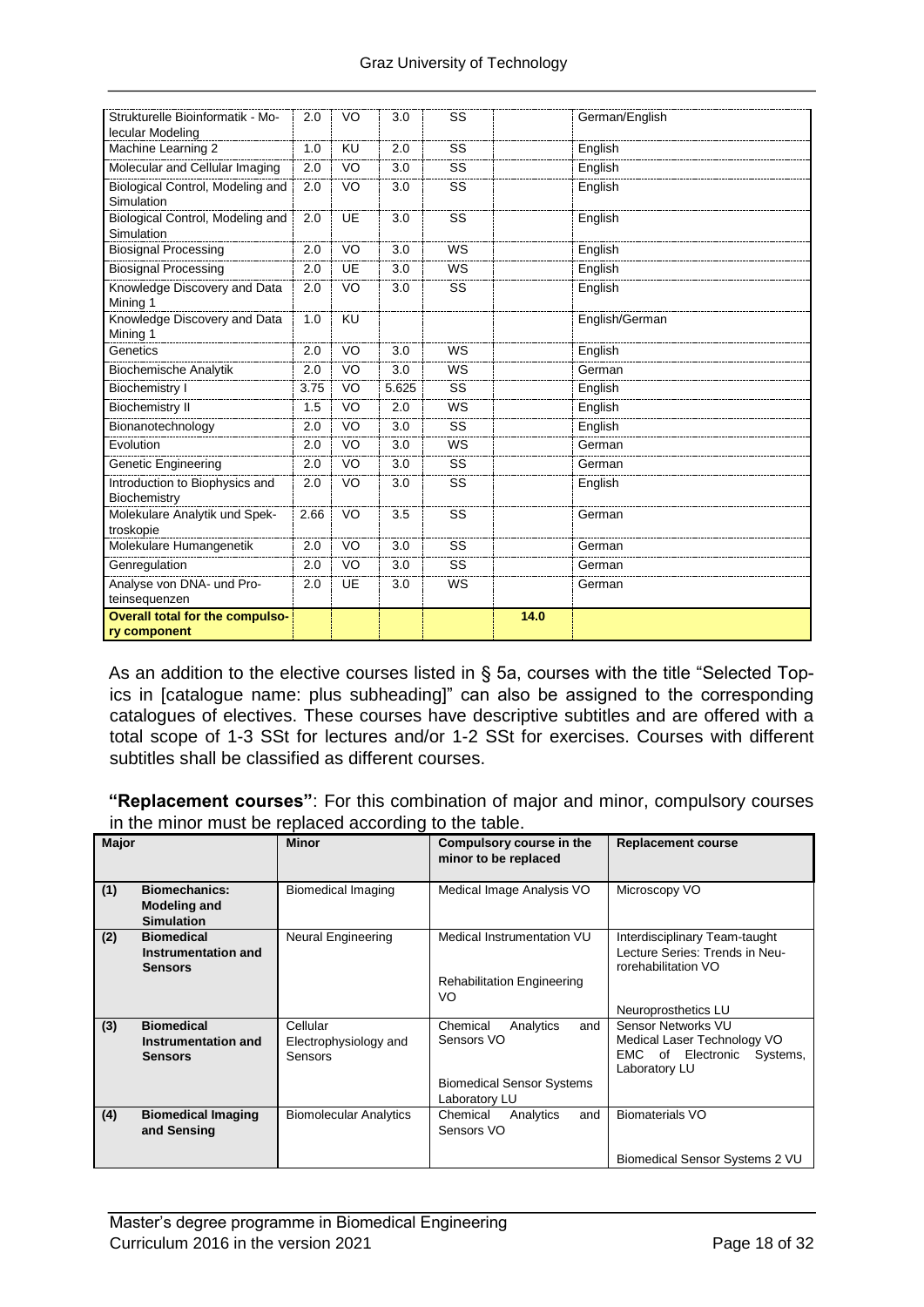| Strukturelle Bioinformatik - Mo-<br>lecular Modeling | 2.0  | VO        | 3.0   | SS        |      | German/English |
|------------------------------------------------------|------|-----------|-------|-----------|------|----------------|
| Machine Learning 2                                   | 1.0  | KU        | 2.0   | SS        |      | English        |
| Molecular and Cellular Imaging                       | 2.0  | VO        | 3.0   | SS        |      | English        |
| Biological Control, Modeling and<br>Simulation       | 2.0  | VO        | 3.0   | SS        |      | English        |
| Biological Control, Modeling and<br>Simulation       | 2.0  | <b>UE</b> | 3.0   | SS        |      | English        |
| <b>Biosignal Processing</b>                          | 2.0  | VO        | 3.0   | <b>WS</b> |      | English        |
| <b>Biosignal Processing</b>                          | 2.0  | UE        | 3.0   | WS        |      | English        |
| Knowledge Discovery and Data<br>Mining 1             | 2.0  | VO        | 3.0   | SS        |      | English        |
| Knowledge Discovery and Data<br>Mining 1             | 1.0  | KU        |       |           |      | English/German |
| Genetics                                             | 2.0  | VO        | 3.0   | <b>WS</b> |      | English        |
| <b>Biochemische Analytik</b>                         | 2.0  | VO        | 3.0   | WS        |      | German         |
| Biochemistry I                                       | 3.75 | VO        | 5.625 | SS        |      | English        |
| <b>Biochemistry II</b>                               | 1.5  | VO        | 2.0   | WS        |      | English        |
| Bionanotechnology                                    | 2.0  | VO        | 3.0   | SS        |      | English        |
| Evolution                                            | 2.0  | VO        | 3.0   | WS        |      | German         |
| <b>Genetic Engineering</b>                           | 2.0  | VO        | 3.0   | SS        |      | German         |
| Introduction to Biophysics and<br>Biochemistry       | 2.0  | VO        | 3.0   | SS        |      | English        |
| Molekulare Analytik und Spek-<br>troskopie           | 2.66 | VO        | 3.5   | SS        |      | German         |
| Molekulare Humangenetik                              | 2.0  | VO        | 3.0   | SS        |      | German         |
| Genregulation                                        | 2.0  | VO        | 3.0   | SS        |      | German         |
| Analyse von DNA- und Pro-<br>teinsequenzen           | 2.0  | <b>UE</b> | 3.0   | WS        |      | German         |
| Overall total for the compulso-                      |      |           |       |           | 14.0 |                |
| ry component                                         |      |           |       |           |      |                |

As an addition to the elective courses listed in § 5a, courses with the title "Selected Topics in [catalogue name: plus subheading]" can also be assigned to the corresponding catalogues of electives. These courses have descriptive subtitles and are offered with a total scope of 1-3 SSt for lectures and/or 1-2 SSt for exercises. Courses with different subtitles shall be classified as different courses.

**"Replacement courses"**: For this combination of major and minor, compulsory courses in the minor must be replaced according to the table.

| <b>Major</b> |                                                                  | <b>Minor</b>                  | Compulsory course in the<br>minor to be replaced | <b>Replacement course</b>                                                              |
|--------------|------------------------------------------------------------------|-------------------------------|--------------------------------------------------|----------------------------------------------------------------------------------------|
| (1)          | <b>Biomechanics:</b><br><b>Modeling and</b><br><b>Simulation</b> | Biomedical Imaging            | Medical Image Analysis VO                        | Microscopy VO                                                                          |
| (2)          | <b>Biomedical</b><br>Instrumentation and<br><b>Sensors</b>       | Neural Engineering            | Medical Instrumentation VU                       | Interdisciplinary Team-taught<br>Lecture Series: Trends in Neu-<br>rorehabilitation VO |
|              |                                                                  |                               | <b>Rehabilitation Engineering</b><br>VO          |                                                                                        |
|              |                                                                  |                               |                                                  | Neuroprosthetics LU                                                                    |
| (3)          | <b>Biomedical</b>                                                | Cellular                      | Chemical<br>and<br>Analytics                     | <b>Sensor Networks VU</b>                                                              |
|              | Instrumentation and                                              | Electrophysiology and         | Sensors VO                                       | Medical Laser Technology VO                                                            |
|              | <b>Sensors</b>                                                   | Sensors                       |                                                  | EMC of Electronic<br>Systems,<br>Laboratory LU                                         |
|              |                                                                  |                               | <b>Biomedical Sensor Systems</b>                 |                                                                                        |
|              |                                                                  |                               | Laboratory LU                                    |                                                                                        |
| (4)          | <b>Biomedical Imaging</b><br>and Sensing                         | <b>Biomolecular Analytics</b> | Chemical<br>Analytics<br>and<br>Sensors VO       | <b>Biomaterials VO</b>                                                                 |
|              |                                                                  |                               |                                                  | Biomedical Sensor Systems 2 VU                                                         |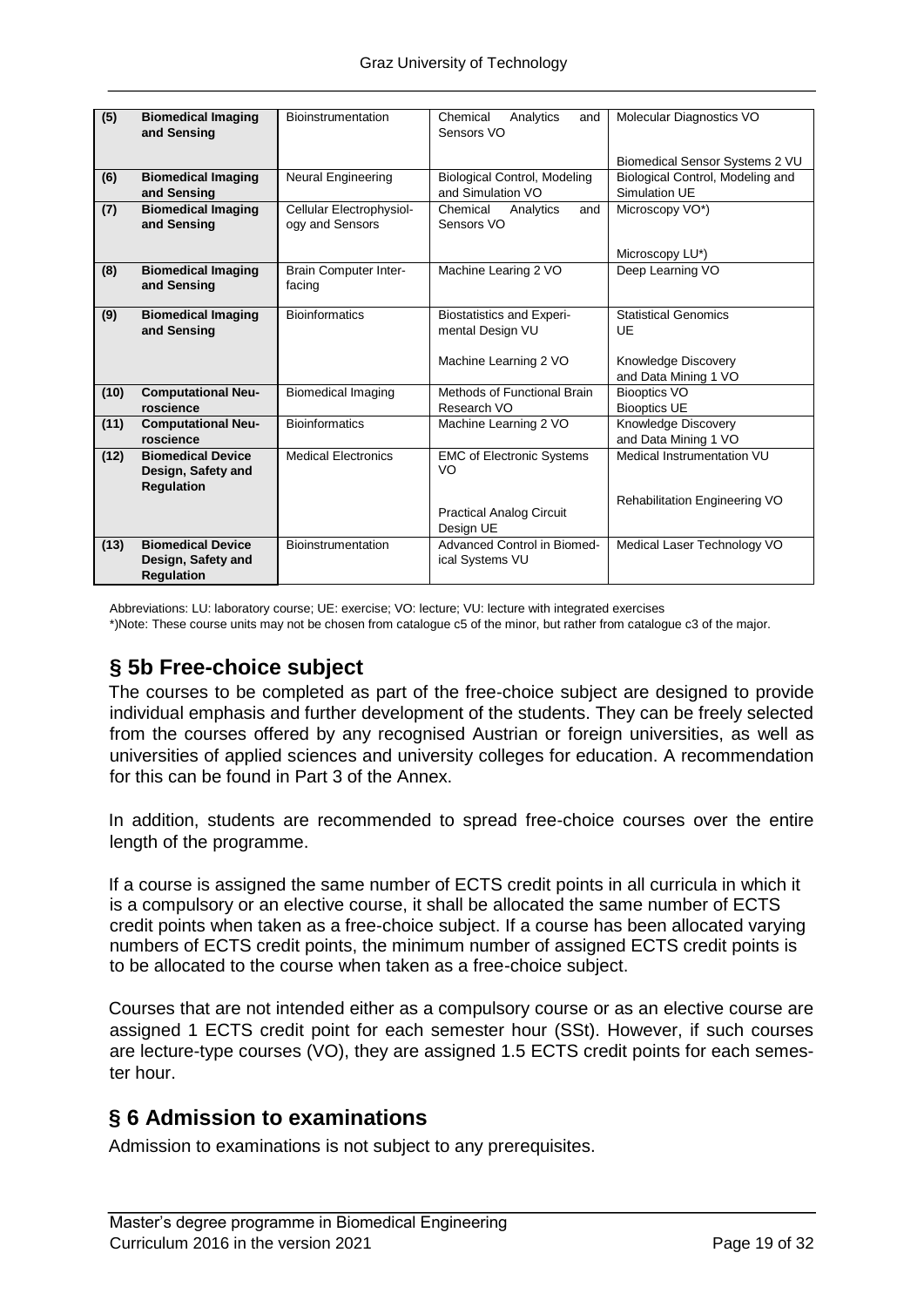| (5)  | <b>Biomedical Imaging</b><br>and Sensing                            | <b>Bioinstrumentation</b>                   | Chemical<br>Analytics<br>and<br>Sensors VO               | Molecular Diagnostics VO                          |
|------|---------------------------------------------------------------------|---------------------------------------------|----------------------------------------------------------|---------------------------------------------------|
|      |                                                                     |                                             |                                                          | Biomedical Sensor Systems 2 VU                    |
| (6)  | <b>Biomedical Imaging</b><br>and Sensing                            | Neural Engineering                          | <b>Biological Control, Modeling</b><br>and Simulation VO | Biological Control, Modeling and<br>Simulation UE |
| (7)  | <b>Biomedical Imaging</b><br>and Sensing                            | Cellular Electrophysiol-<br>ogy and Sensors | Chemical<br>and<br>Analytics<br>Sensors VO               | Microscopy VO*)                                   |
|      |                                                                     |                                             |                                                          | Microscopy LU*)                                   |
| (8)  | <b>Biomedical Imaging</b><br>and Sensing                            | <b>Brain Computer Inter-</b><br>facing      | Machine Learing 2 VO                                     | Deep Learning VO                                  |
| (9)  | <b>Biomedical Imaging</b><br>and Sensing                            | <b>Bioinformatics</b>                       | <b>Biostatistics and Experi-</b><br>mental Design VU     | <b>Statistical Genomics</b><br>UE                 |
|      |                                                                     |                                             | Machine Learning 2 VO                                    | Knowledge Discovery<br>and Data Mining 1 VO       |
| (10) | <b>Computational Neu-</b><br>roscience                              | <b>Biomedical Imaging</b>                   | Methods of Functional Brain<br>Research VO               | <b>Biooptics VO</b><br><b>Biooptics UE</b>        |
| (11) | <b>Computational Neu-</b>                                           | <b>Bioinformatics</b>                       | Machine Learning 2 VO                                    | Knowledge Discovery                               |
|      | roscience                                                           |                                             |                                                          | and Data Mining 1 VO                              |
| (12) | <b>Biomedical Device</b><br>Design, Safety and<br><b>Requlation</b> | <b>Medical Electronics</b>                  | <b>EMC of Electronic Systems</b><br>VO                   | Medical Instrumentation VU                        |
|      |                                                                     |                                             | <b>Practical Analog Circuit</b><br>Design UE             | Rehabilitation Engineering VO                     |
| (13) | <b>Biomedical Device</b><br>Design, Safety and<br><b>Regulation</b> | Bioinstrumentation                          | Advanced Control in Biomed-<br>ical Systems VU           | Medical Laser Technology VO                       |

Abbreviations: LU: laboratory course; UE: exercise; VO: lecture; VU: lecture with integrated exercises

\*)Note: These course units may not be chosen from catalogue c5 of the minor, but rather from catalogue c3 of the major.

# **§ 5b Free-choice subject**

The courses to be completed as part of the free-choice subject are designed to provide individual emphasis and further development of the students. They can be freely selected from the courses offered by any recognised Austrian or foreign universities, as well as universities of applied sciences and university colleges for education. A recommendation for this can be found in Part 3 of the Annex.

In addition, students are recommended to spread free-choice courses over the entire length of the programme.

If a course is assigned the same number of ECTS credit points in all curricula in which it is a compulsory or an elective course, it shall be allocated the same number of ECTS credit points when taken as a free-choice subject. If a course has been allocated varying numbers of ECTS credit points, the minimum number of assigned ECTS credit points is to be allocated to the course when taken as a free-choice subject.

Courses that are not intended either as a compulsory course or as an elective course are assigned 1 ECTS credit point for each semester hour (SSt). However, if such courses are lecture-type courses (VO), they are assigned 1.5 ECTS credit points for each semester hour.

# **§ 6 Admission to examinations**

Admission to examinations is not subject to any prerequisites.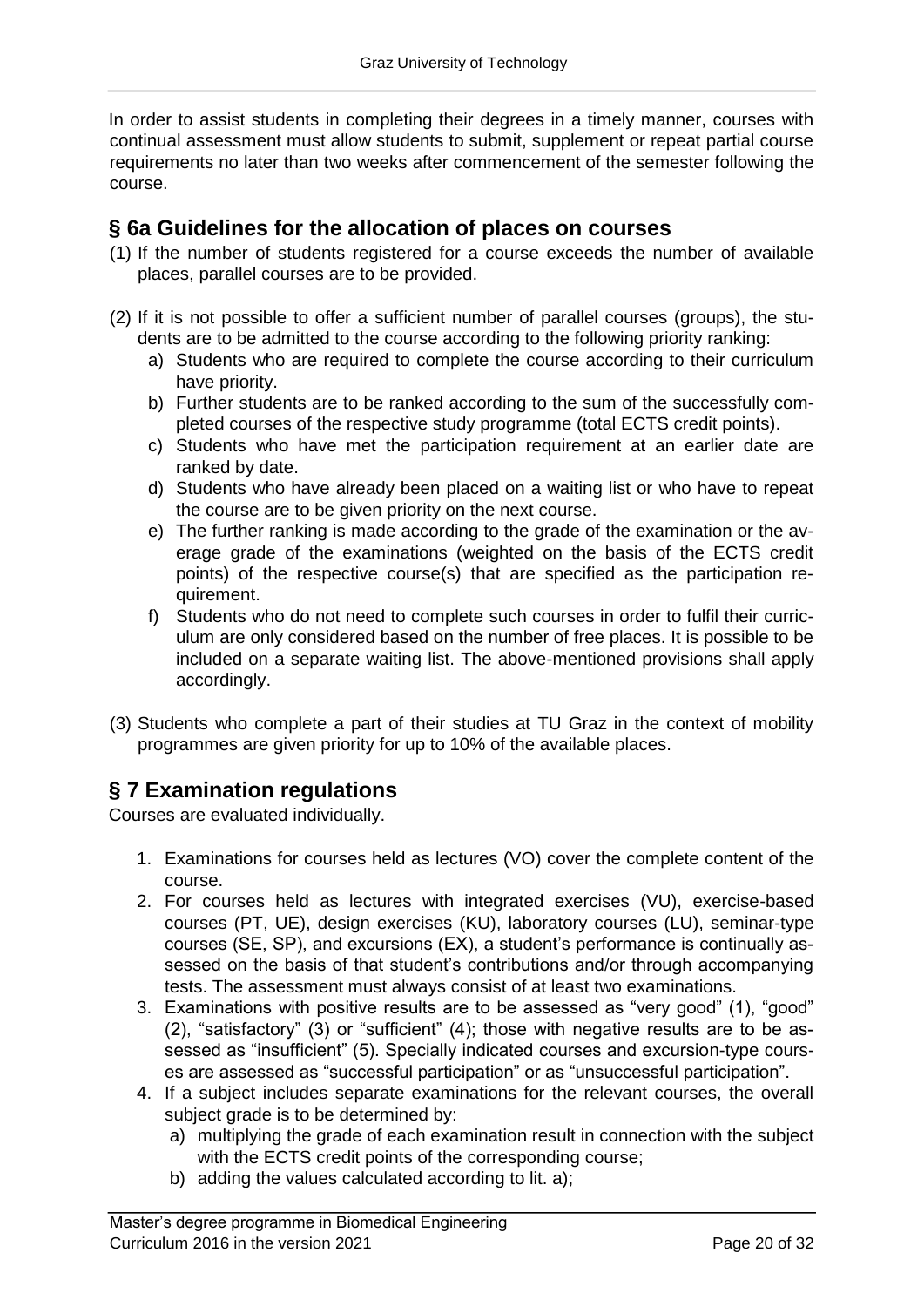In order to assist students in completing their degrees in a timely manner, courses with continual assessment must allow students to submit, supplement or repeat partial course requirements no later than two weeks after commencement of the semester following the course.

### **§ 6a Guidelines for the allocation of places on courses**

- (1) If the number of students registered for a course exceeds the number of available places, parallel courses are to be provided.
- (2) If it is not possible to offer a sufficient number of parallel courses (groups), the students are to be admitted to the course according to the following priority ranking:
	- a) Students who are required to complete the course according to their curriculum have priority.
	- b) Further students are to be ranked according to the sum of the successfully completed courses of the respective study programme (total ECTS credit points).
	- c) Students who have met the participation requirement at an earlier date are ranked by date.
	- d) Students who have already been placed on a waiting list or who have to repeat the course are to be given priority on the next course.
	- e) The further ranking is made according to the grade of the examination or the average grade of the examinations (weighted on the basis of the ECTS credit points) of the respective course(s) that are specified as the participation requirement.
	- f) Students who do not need to complete such courses in order to fulfil their curriculum are only considered based on the number of free places. It is possible to be included on a separate waiting list. The above-mentioned provisions shall apply accordingly.
- (3) Students who complete a part of their studies at TU Graz in the context of mobility programmes are given priority for up to 10% of the available places.

# **§ 7 Examination regulations**

Courses are evaluated individually.

- 1. Examinations for courses held as lectures (VO) cover the complete content of the course.
- 2. For courses held as lectures with integrated exercises (VU), exercise-based courses (PT, UE), design exercises (KU), laboratory courses (LU), seminar-type courses (SE, SP), and excursions (EX), a student's performance is continually assessed on the basis of that student's contributions and/or through accompanying tests. The assessment must always consist of at least two examinations.
- 3. Examinations with positive results are to be assessed as "very good" (1), "good" (2), "satisfactory" (3) or "sufficient" (4); those with negative results are to be assessed as "insufficient" (5). Specially indicated courses and excursion-type courses are assessed as "successful participation" or as "unsuccessful participation".
- 4. If a subject includes separate examinations for the relevant courses, the overall subject grade is to be determined by:
	- a) multiplying the grade of each examination result in connection with the subject with the ECTS credit points of the corresponding course;
	- b) adding the values calculated according to lit. a);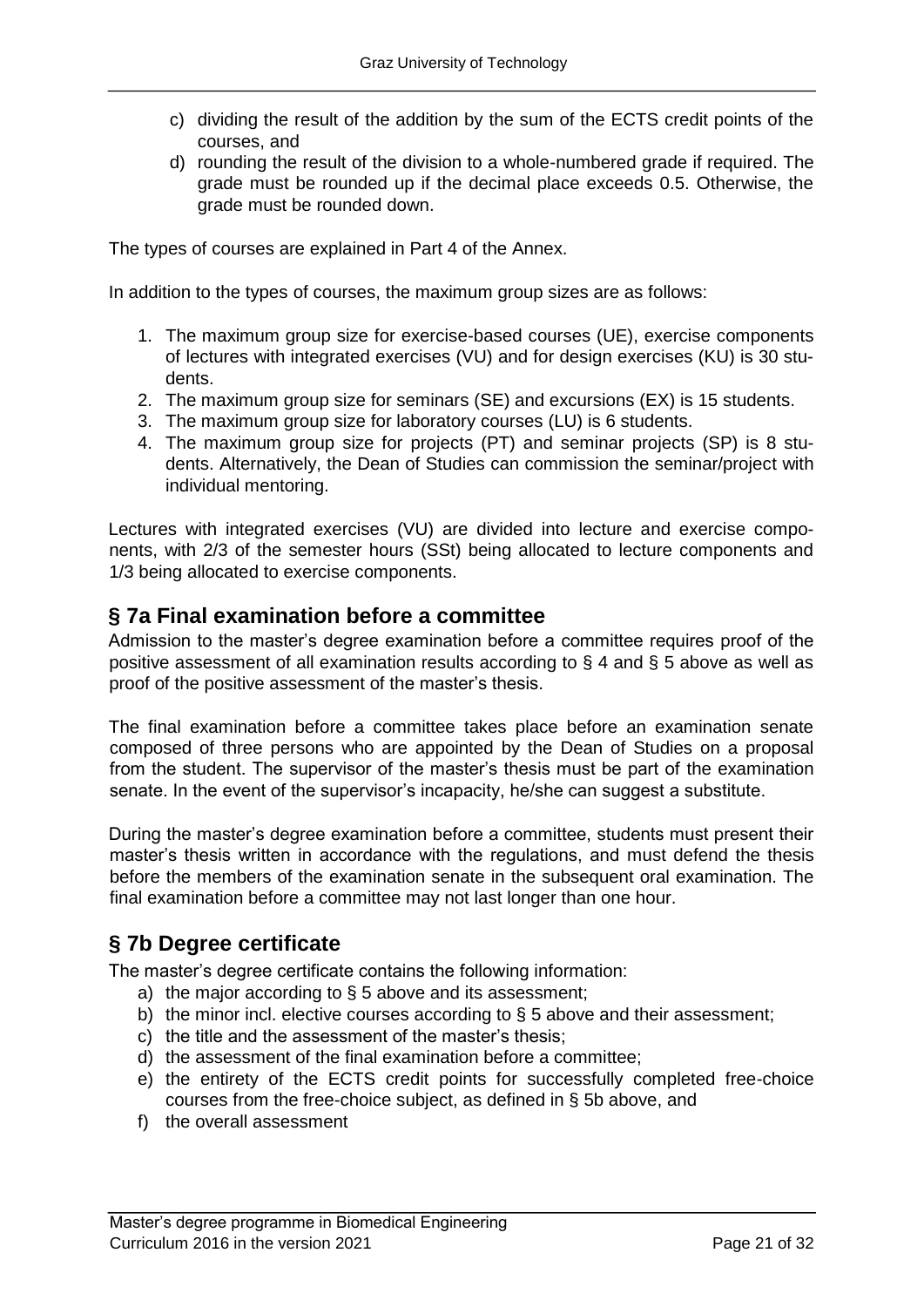- c) dividing the result of the addition by the sum of the ECTS credit points of the courses, and
- d) rounding the result of the division to a whole-numbered grade if required. The grade must be rounded up if the decimal place exceeds 0.5. Otherwise, the grade must be rounded down.

The types of courses are explained in Part 4 of the Annex.

In addition to the types of courses, the maximum group sizes are as follows:

- 1. The maximum group size for exercise-based courses (UE), exercise components of lectures with integrated exercises (VU) and for design exercises (KU) is 30 students.
- 2. The maximum group size for seminars (SE) and excursions (EX) is 15 students.
- 3. The maximum group size for laboratory courses (LU) is 6 students.
- 4. The maximum group size for projects (PT) and seminar projects (SP) is 8 students. Alternatively, the Dean of Studies can commission the seminar/project with individual mentoring.

Lectures with integrated exercises (VU) are divided into lecture and exercise components, with 2/3 of the semester hours (SSt) being allocated to lecture components and 1/3 being allocated to exercise components.

### **§ 7a Final examination before a committee**

Admission to the master's degree examination before a committee requires proof of the positive assessment of all examination results according to § 4 and § 5 above as well as proof of the positive assessment of the master's thesis.

The final examination before a committee takes place before an examination senate composed of three persons who are appointed by the Dean of Studies on a proposal from the student. The supervisor of the master's thesis must be part of the examination senate. In the event of the supervisor's incapacity, he/she can suggest a substitute.

During the master's degree examination before a committee, students must present their master's thesis written in accordance with the regulations, and must defend the thesis before the members of the examination senate in the subsequent oral examination. The final examination before a committee may not last longer than one hour.

# **§ 7b Degree certificate**

The master's degree certificate contains the following information:

- a) the major according to  $\S$  5 above and its assessment;
- b) the minor incl. elective courses according to § 5 above and their assessment;
- c) the title and the assessment of the master's thesis;
- d) the assessment of the final examination before a committee;
- e) the entirety of the ECTS credit points for successfully completed free-choice courses from the free-choice subject, as defined in § 5b above, and
- f) the overall assessment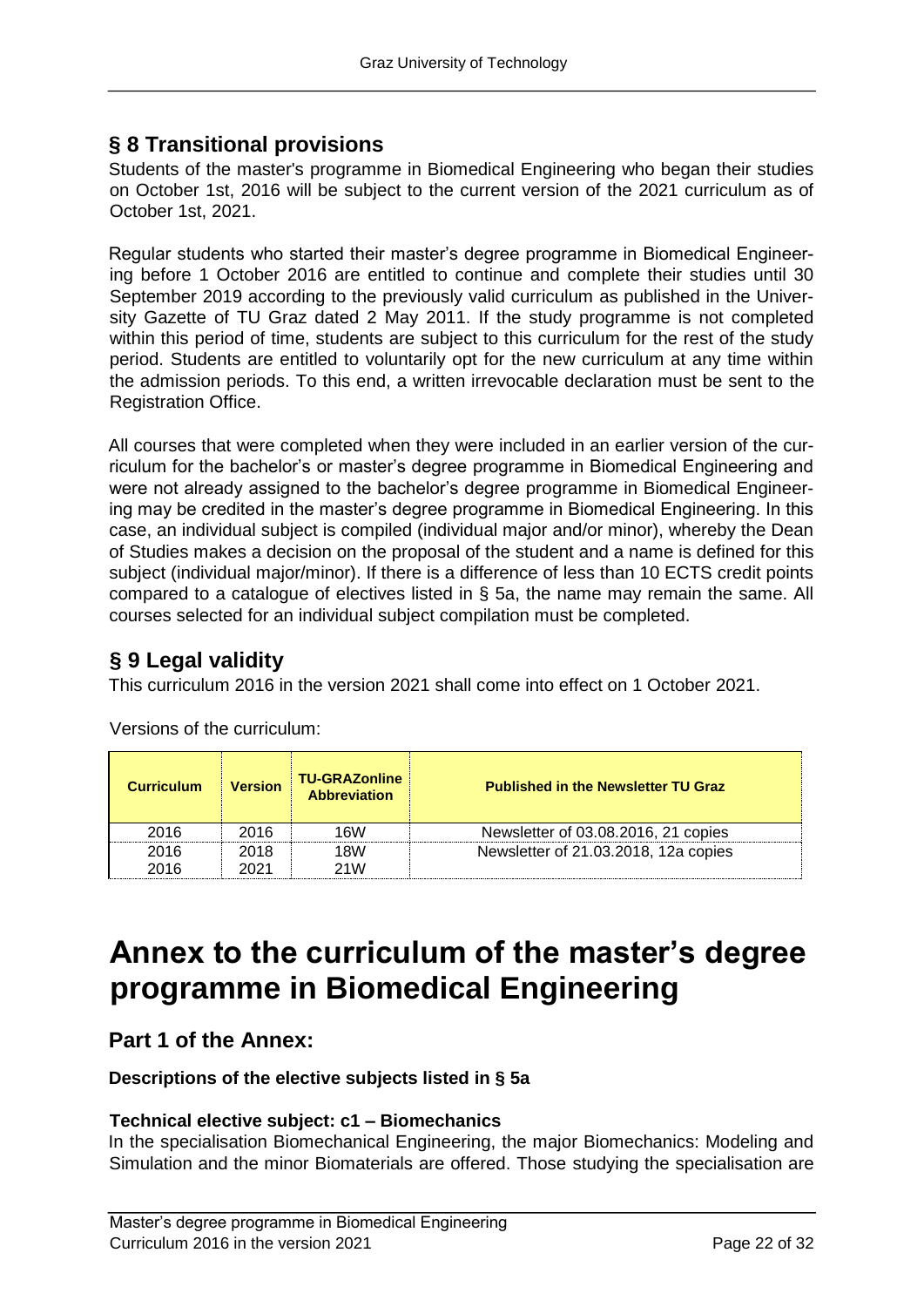# **§ 8 Transitional provisions**

Students of the master's programme in Biomedical Engineering who began their studies on October 1st, 2016 will be subject to the current version of the 2021 curriculum as of October 1st, 2021.

Regular students who started their master's degree programme in Biomedical Engineering before 1 October 2016 are entitled to continue and complete their studies until 30 September 2019 according to the previously valid curriculum as published in the University Gazette of TU Graz dated 2 May 2011. If the study programme is not completed within this period of time, students are subiect to this curriculum for the rest of the study period. Students are entitled to voluntarily opt for the new curriculum at any time within the admission periods. To this end, a written irrevocable declaration must be sent to the Registration Office.

All courses that were completed when they were included in an earlier version of the curriculum for the bachelor's or master's degree programme in Biomedical Engineering and were not already assigned to the bachelor's degree programme in Biomedical Engineering may be credited in the master's degree programme in Biomedical Engineering. In this case, an individual subject is compiled (individual major and/or minor), whereby the Dean of Studies makes a decision on the proposal of the student and a name is defined for this subject (individual major/minor). If there is a difference of less than 10 ECTS credit points compared to a catalogue of electives listed in § 5a, the name may remain the same. All courses selected for an individual subject compilation must be completed.

# **§ 9 Legal validity**

This curriculum 2016 in the version 2021 shall come into effect on 1 October 2021.

| <b>Curriculum</b> | <b>Version</b> | <b>TU-GRAZonline</b><br><b>Abbreviation</b> | <b>Published in the Newsletter TU Graz</b> |
|-------------------|----------------|---------------------------------------------|--------------------------------------------|
| 2016              | 2016           | 16W                                         | Newsletter of 03.08.2016, 21 copies        |
| 2016              | 2018           | 18W                                         | Newsletter of 21.03.2018, 12a copies       |
| 2016              | 2021           | 21 <sub>W</sub>                             |                                            |

Versions of the curriculum:

# **Annex to the curriculum of the master's degree programme in Biomedical Engineering**

### **Part 1 of the Annex:**

#### **Descriptions of the elective subjects listed in § 5a**

#### **Technical elective subject: c1 – Biomechanics**

In the specialisation Biomechanical Engineering, the major Biomechanics: Modeling and Simulation and the minor Biomaterials are offered. Those studying the specialisation are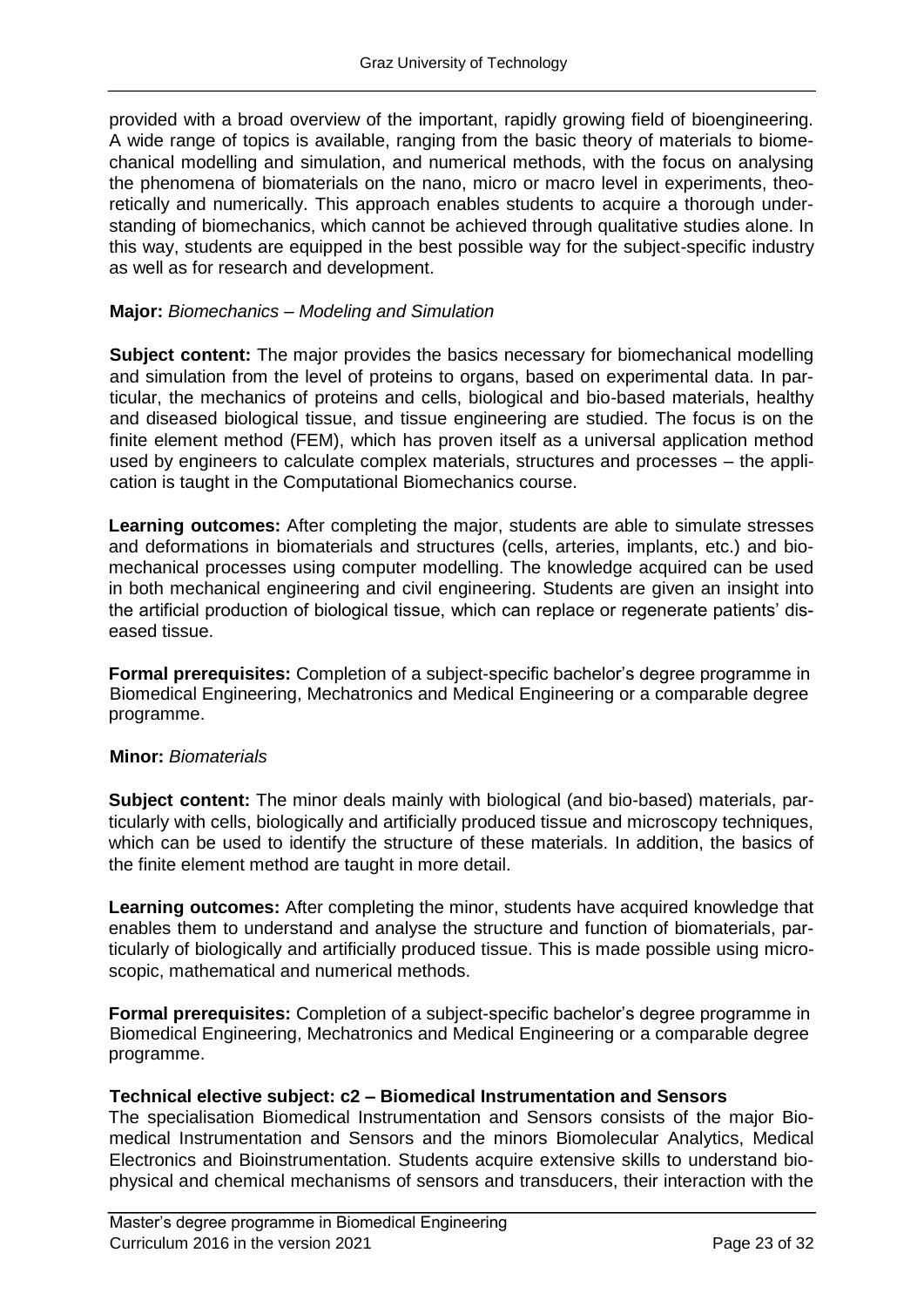provided with a broad overview of the important, rapidly growing field of bioengineering. A wide range of topics is available, ranging from the basic theory of materials to biomechanical modelling and simulation, and numerical methods, with the focus on analysing the phenomena of biomaterials on the nano, micro or macro level in experiments, theoretically and numerically. This approach enables students to acquire a thorough understanding of biomechanics, which cannot be achieved through qualitative studies alone. In this way, students are equipped in the best possible way for the subject-specific industry as well as for research and development.

#### **Major:** *Biomechanics – Modeling and Simulation*

**Subject content:** The major provides the basics necessary for biomechanical modelling and simulation from the level of proteins to organs, based on experimental data. In particular, the mechanics of proteins and cells, biological and bio-based materials, healthy and diseased biological tissue, and tissue engineering are studied. The focus is on the finite element method (FEM), which has proven itself as a universal application method used by engineers to calculate complex materials, structures and processes – the application is taught in the Computational Biomechanics course.

**Learning outcomes:** After completing the major, students are able to simulate stresses and deformations in biomaterials and structures (cells, arteries, implants, etc.) and biomechanical processes using computer modelling. The knowledge acquired can be used in both mechanical engineering and civil engineering. Students are given an insight into the artificial production of biological tissue, which can replace or regenerate patients' diseased tissue.

**Formal prerequisites:** Completion of a subject-specific bachelor's degree programme in Biomedical Engineering, Mechatronics and Medical Engineering or a comparable degree programme.

#### **Minor:** *Biomaterials*

**Subject content:** The minor deals mainly with biological (and bio-based) materials, particularly with cells, biologically and artificially produced tissue and microscopy techniques, which can be used to identify the structure of these materials. In addition, the basics of the finite element method are taught in more detail.

**Learning outcomes:** After completing the minor, students have acquired knowledge that enables them to understand and analyse the structure and function of biomaterials, particularly of biologically and artificially produced tissue. This is made possible using microscopic, mathematical and numerical methods.

**Formal prerequisites:** Completion of a subject-specific bachelor's degree programme in Biomedical Engineering, Mechatronics and Medical Engineering or a comparable degree programme.

#### **Technical elective subject: c2 – Biomedical Instrumentation and Sensors**

The specialisation Biomedical Instrumentation and Sensors consists of the major Biomedical Instrumentation and Sensors and the minors Biomolecular Analytics, Medical Electronics and Bioinstrumentation. Students acquire extensive skills to understand biophysical and chemical mechanisms of sensors and transducers, their interaction with the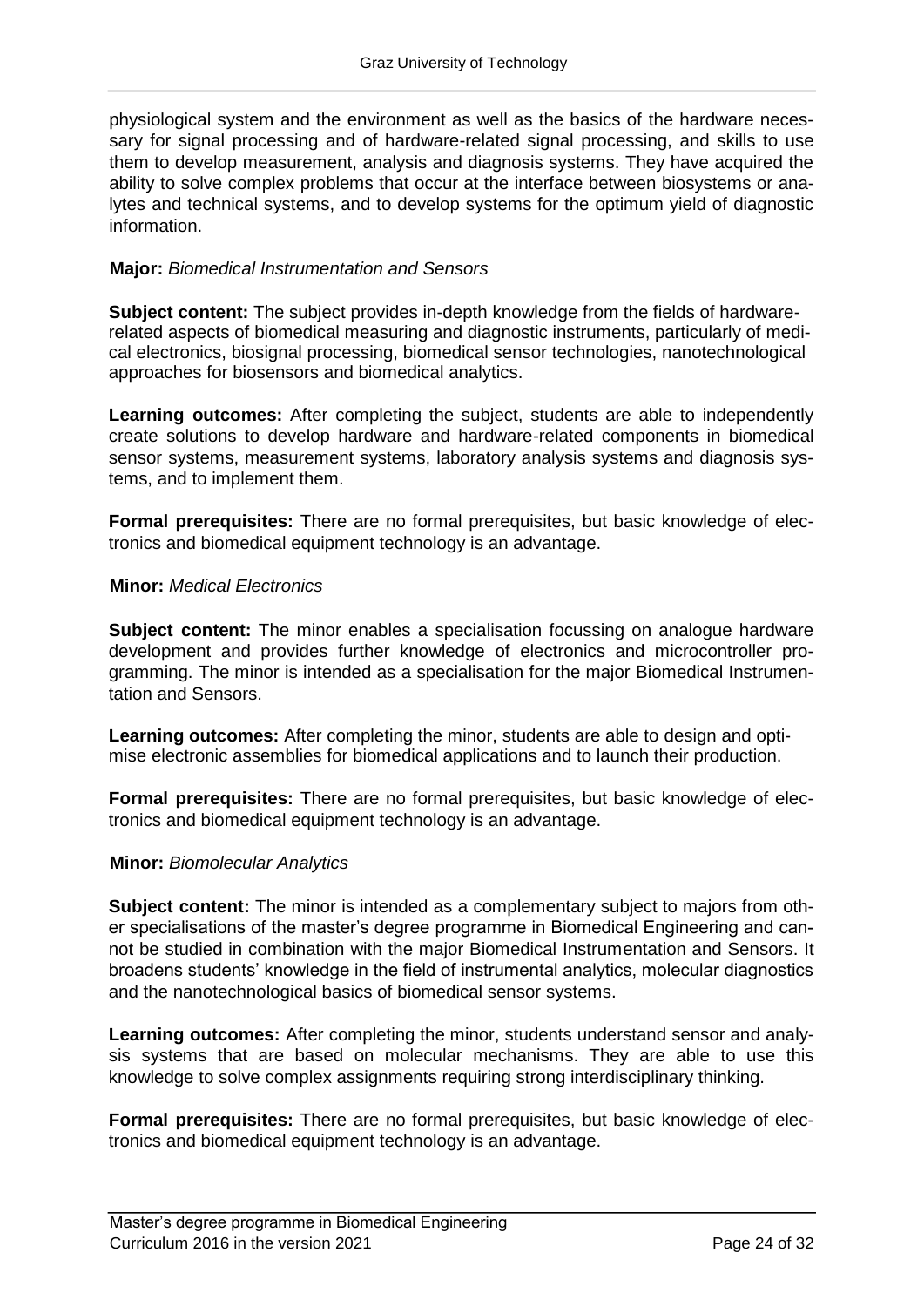physiological system and the environment as well as the basics of the hardware necessary for signal processing and of hardware-related signal processing, and skills to use them to develop measurement, analysis and diagnosis systems. They have acquired the ability to solve complex problems that occur at the interface between biosystems or analytes and technical systems, and to develop systems for the optimum yield of diagnostic information.

#### **Major:** *Biomedical Instrumentation and Sensors*

**Subject content:** The subject provides in-depth knowledge from the fields of hardwarerelated aspects of biomedical measuring and diagnostic instruments, particularly of medical electronics, biosignal processing, biomedical sensor technologies, nanotechnological approaches for biosensors and biomedical analytics.

**Learning outcomes:** After completing the subject, students are able to independently create solutions to develop hardware and hardware-related components in biomedical sensor systems, measurement systems, laboratory analysis systems and diagnosis systems, and to implement them.

**Formal prerequisites:** There are no formal prerequisites, but basic knowledge of electronics and biomedical equipment technology is an advantage.

#### **Minor:** *Medical Electronics*

**Subject content:** The minor enables a specialisation focussing on analogue hardware development and provides further knowledge of electronics and microcontroller programming. The minor is intended as a specialisation for the major Biomedical Instrumentation and Sensors.

**Learning outcomes:** After completing the minor, students are able to design and optimise electronic assemblies for biomedical applications and to launch their production.

**Formal prerequisites:** There are no formal prerequisites, but basic knowledge of electronics and biomedical equipment technology is an advantage.

#### **Minor:** *Biomolecular Analytics*

**Subject content:** The minor is intended as a complementary subject to majors from other specialisations of the master's degree programme in Biomedical Engineering and cannot be studied in combination with the major Biomedical Instrumentation and Sensors. It broadens students' knowledge in the field of instrumental analytics, molecular diagnostics and the nanotechnological basics of biomedical sensor systems.

**Learning outcomes:** After completing the minor, students understand sensor and analysis systems that are based on molecular mechanisms. They are able to use this knowledge to solve complex assignments requiring strong interdisciplinary thinking.

**Formal prerequisites:** There are no formal prerequisites, but basic knowledge of electronics and biomedical equipment technology is an advantage.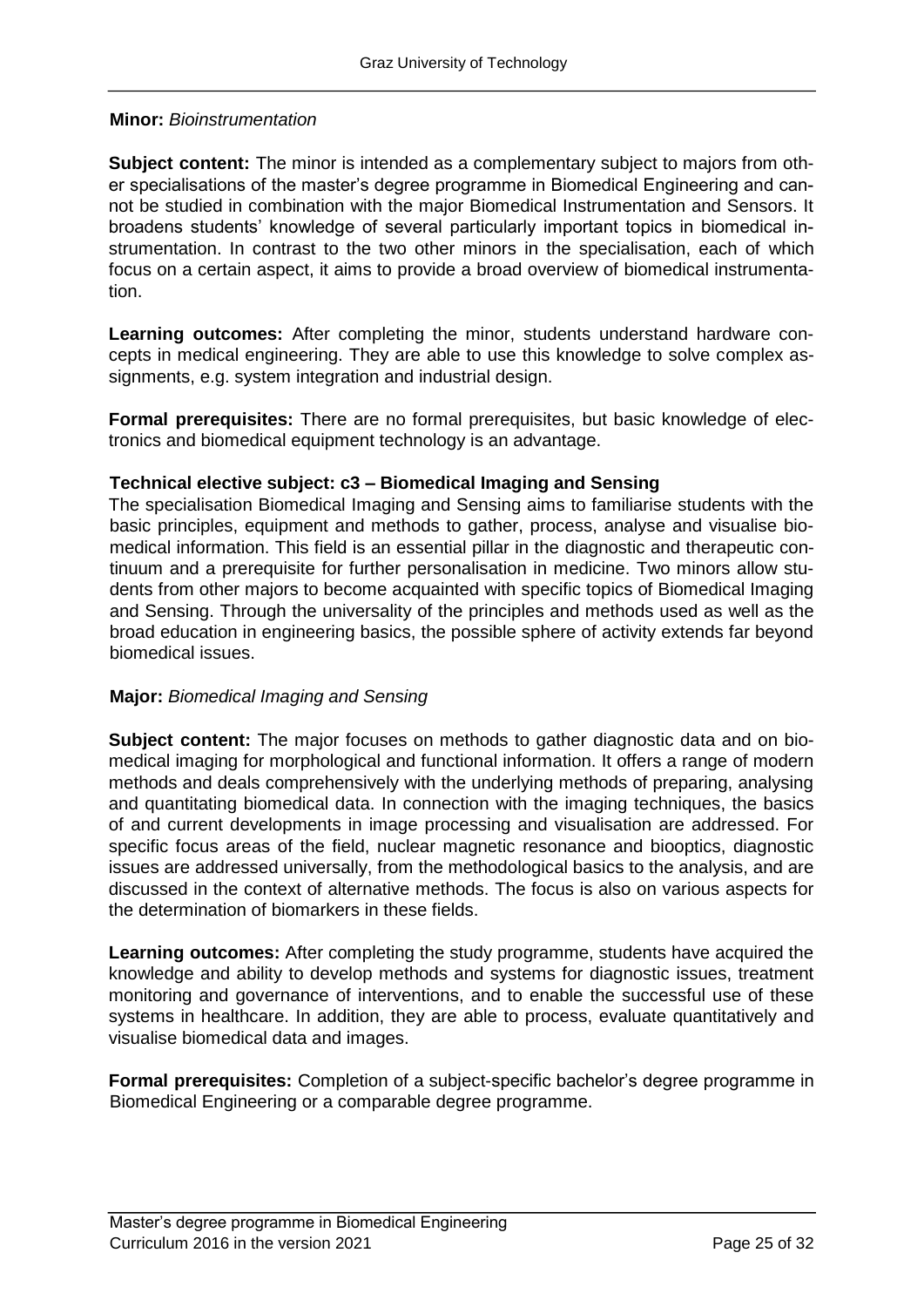#### **Minor:** *Bioinstrumentation*

**Subject content:** The minor is intended as a complementary subject to majors from other specialisations of the master's degree programme in Biomedical Engineering and cannot be studied in combination with the major Biomedical Instrumentation and Sensors. It broadens students' knowledge of several particularly important topics in biomedical instrumentation. In contrast to the two other minors in the specialisation, each of which focus on a certain aspect, it aims to provide a broad overview of biomedical instrumentation.

**Learning outcomes:** After completing the minor, students understand hardware concepts in medical engineering. They are able to use this knowledge to solve complex assignments, e.g. system integration and industrial design.

**Formal prerequisites:** There are no formal prerequisites, but basic knowledge of electronics and biomedical equipment technology is an advantage.

#### **Technical elective subject: c3 – Biomedical Imaging and Sensing**

The specialisation Biomedical Imaging and Sensing aims to familiarise students with the basic principles, equipment and methods to gather, process, analyse and visualise biomedical information. This field is an essential pillar in the diagnostic and therapeutic continuum and a prerequisite for further personalisation in medicine. Two minors allow students from other majors to become acquainted with specific topics of Biomedical Imaging and Sensing. Through the universality of the principles and methods used as well as the broad education in engineering basics, the possible sphere of activity extends far beyond biomedical issues.

#### **Major:** *Biomedical Imaging and Sensing*

**Subject content:** The major focuses on methods to gather diagnostic data and on biomedical imaging for morphological and functional information. It offers a range of modern methods and deals comprehensively with the underlying methods of preparing, analysing and quantitating biomedical data. In connection with the imaging techniques, the basics of and current developments in image processing and visualisation are addressed. For specific focus areas of the field, nuclear magnetic resonance and biooptics, diagnostic issues are addressed universally, from the methodological basics to the analysis, and are discussed in the context of alternative methods. The focus is also on various aspects for the determination of biomarkers in these fields.

**Learning outcomes:** After completing the study programme, students have acquired the knowledge and ability to develop methods and systems for diagnostic issues, treatment monitoring and governance of interventions, and to enable the successful use of these systems in healthcare. In addition, they are able to process, evaluate quantitatively and visualise biomedical data and images.

**Formal prerequisites:** Completion of a subject-specific bachelor's degree programme in Biomedical Engineering or a comparable degree programme.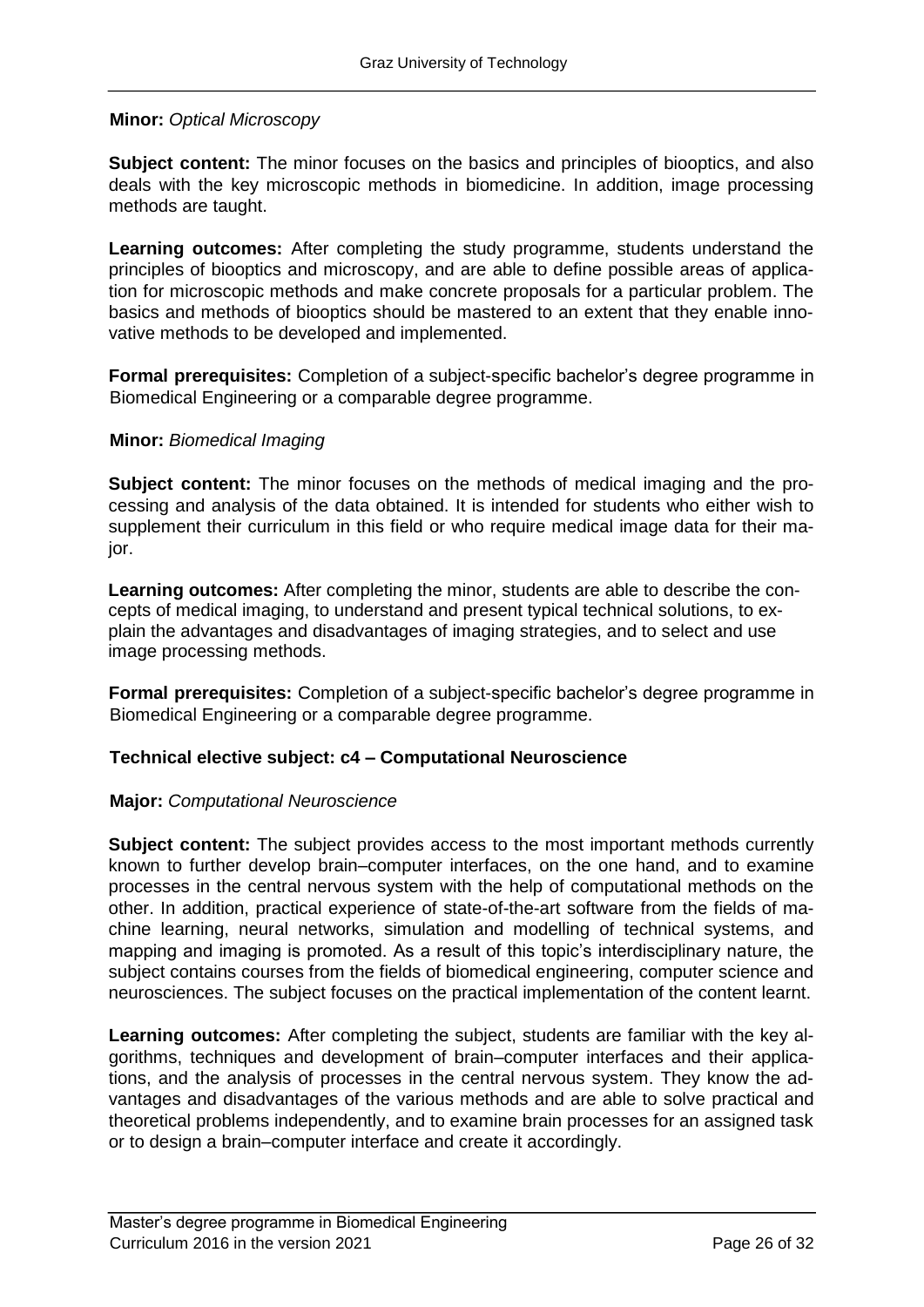#### **Minor:** *Optical Microscopy*

**Subject content:** The minor focuses on the basics and principles of biooptics, and also deals with the key microscopic methods in biomedicine. In addition, image processing methods are taught.

**Learning outcomes:** After completing the study programme, students understand the principles of biooptics and microscopy, and are able to define possible areas of application for microscopic methods and make concrete proposals for a particular problem. The basics and methods of biooptics should be mastered to an extent that they enable innovative methods to be developed and implemented.

**Formal prerequisites:** Completion of a subject-specific bachelor's degree programme in Biomedical Engineering or a comparable degree programme.

#### **Minor:** *Biomedical Imaging*

**Subject content:** The minor focuses on the methods of medical imaging and the processing and analysis of the data obtained. It is intended for students who either wish to supplement their curriculum in this field or who require medical image data for their major.

**Learning outcomes:** After completing the minor, students are able to describe the concepts of medical imaging, to understand and present typical technical solutions, to explain the advantages and disadvantages of imaging strategies, and to select and use image processing methods.

**Formal prerequisites:** Completion of a subject-specific bachelor's degree programme in Biomedical Engineering or a comparable degree programme.

#### **Technical elective subject: c4 – Computational Neuroscience**

#### **Major:** *Computational Neuroscience*

**Subject content:** The subject provides access to the most important methods currently known to further develop brain–computer interfaces, on the one hand, and to examine processes in the central nervous system with the help of computational methods on the other. In addition, practical experience of state-of-the-art software from the fields of machine learning, neural networks, simulation and modelling of technical systems, and mapping and imaging is promoted. As a result of this topic's interdisciplinary nature, the subject contains courses from the fields of biomedical engineering, computer science and neurosciences. The subject focuses on the practical implementation of the content learnt.

**Learning outcomes:** After completing the subject, students are familiar with the key algorithms, techniques and development of brain–computer interfaces and their applications, and the analysis of processes in the central nervous system. They know the advantages and disadvantages of the various methods and are able to solve practical and theoretical problems independently, and to examine brain processes for an assigned task or to design a brain–computer interface and create it accordingly.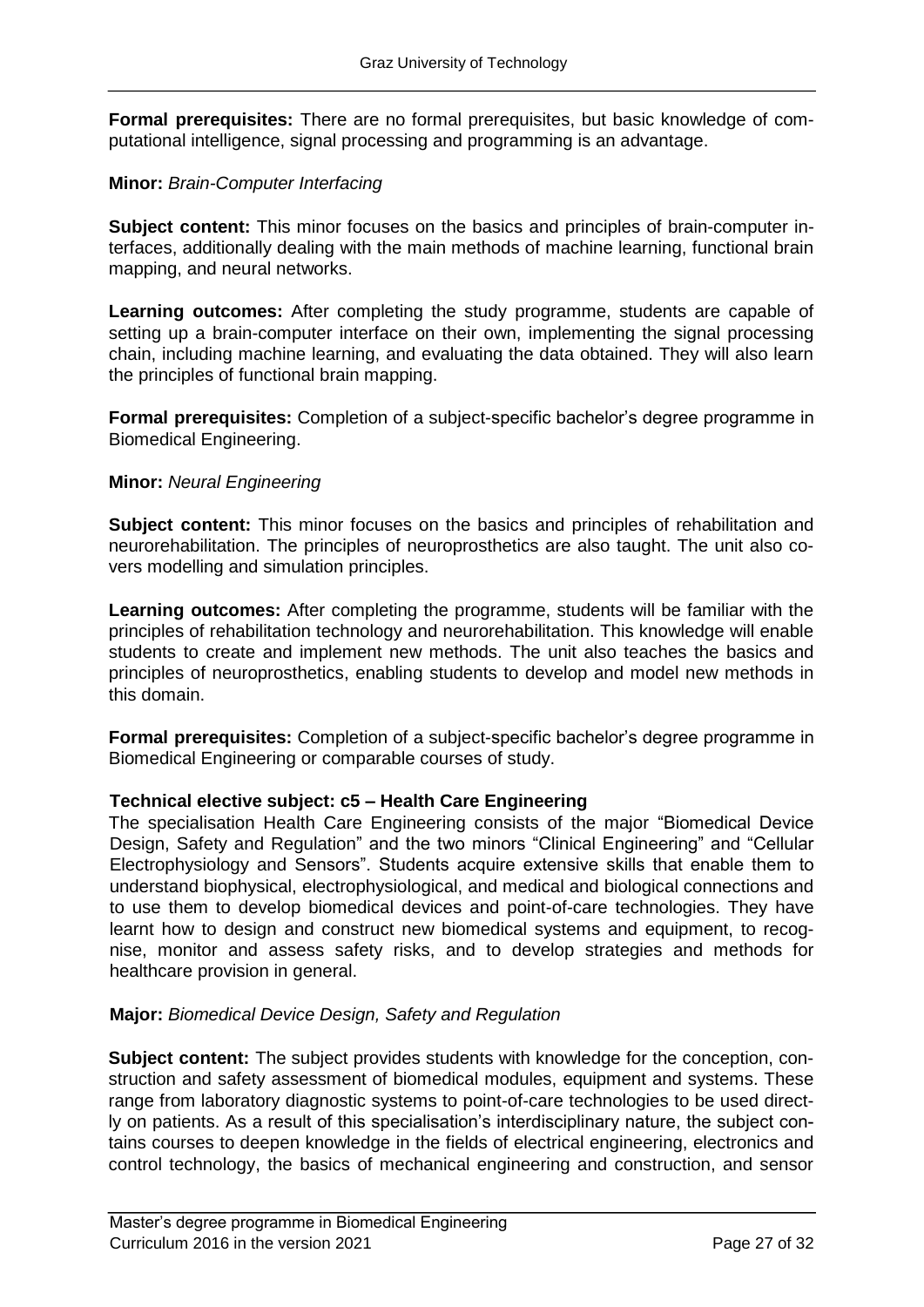**Formal prerequisites:** There are no formal prerequisites, but basic knowledge of computational intelligence, signal processing and programming is an advantage.

#### **Minor:** *Brain-Computer Interfacing*

**Subject content:** This minor focuses on the basics and principles of brain-computer interfaces, additionally dealing with the main methods of machine learning, functional brain mapping, and neural networks.

**Learning outcomes:** After completing the study programme, students are capable of setting up a brain-computer interface on their own, implementing the signal processing chain, including machine learning, and evaluating the data obtained. They will also learn the principles of functional brain mapping.

**Formal prerequisites:** Completion of a subject-specific bachelor's degree programme in Biomedical Engineering.

#### **Minor:** *Neural Engineering*

Subject content: This minor focuses on the basics and principles of rehabilitation and neurorehabilitation. The principles of neuroprosthetics are also taught. The unit also covers modelling and simulation principles.

**Learning outcomes:** After completing the programme, students will be familiar with the principles of rehabilitation technology and neurorehabilitation. This knowledge will enable students to create and implement new methods. The unit also teaches the basics and principles of neuroprosthetics, enabling students to develop and model new methods in this domain.

**Formal prerequisites:** Completion of a subject-specific bachelor's degree programme in Biomedical Engineering or comparable courses of study.

#### **Technical elective subject: c5 – Health Care Engineering**

The specialisation Health Care Engineering consists of the major "Biomedical Device Design, Safety and Regulation" and the two minors "Clinical Engineering" and "Cellular Electrophysiology and Sensors". Students acquire extensive skills that enable them to understand biophysical, electrophysiological, and medical and biological connections and to use them to develop biomedical devices and point-of-care technologies. They have learnt how to design and construct new biomedical systems and equipment, to recognise, monitor and assess safety risks, and to develop strategies and methods for healthcare provision in general.

#### **Major:** *Biomedical Device Design, Safety and Regulation*

**Subject content:** The subject provides students with knowledge for the conception, construction and safety assessment of biomedical modules, equipment and systems. These range from laboratory diagnostic systems to point-of-care technologies to be used directly on patients. As a result of this specialisation's interdisciplinary nature, the subject contains courses to deepen knowledge in the fields of electrical engineering, electronics and control technology, the basics of mechanical engineering and construction, and sensor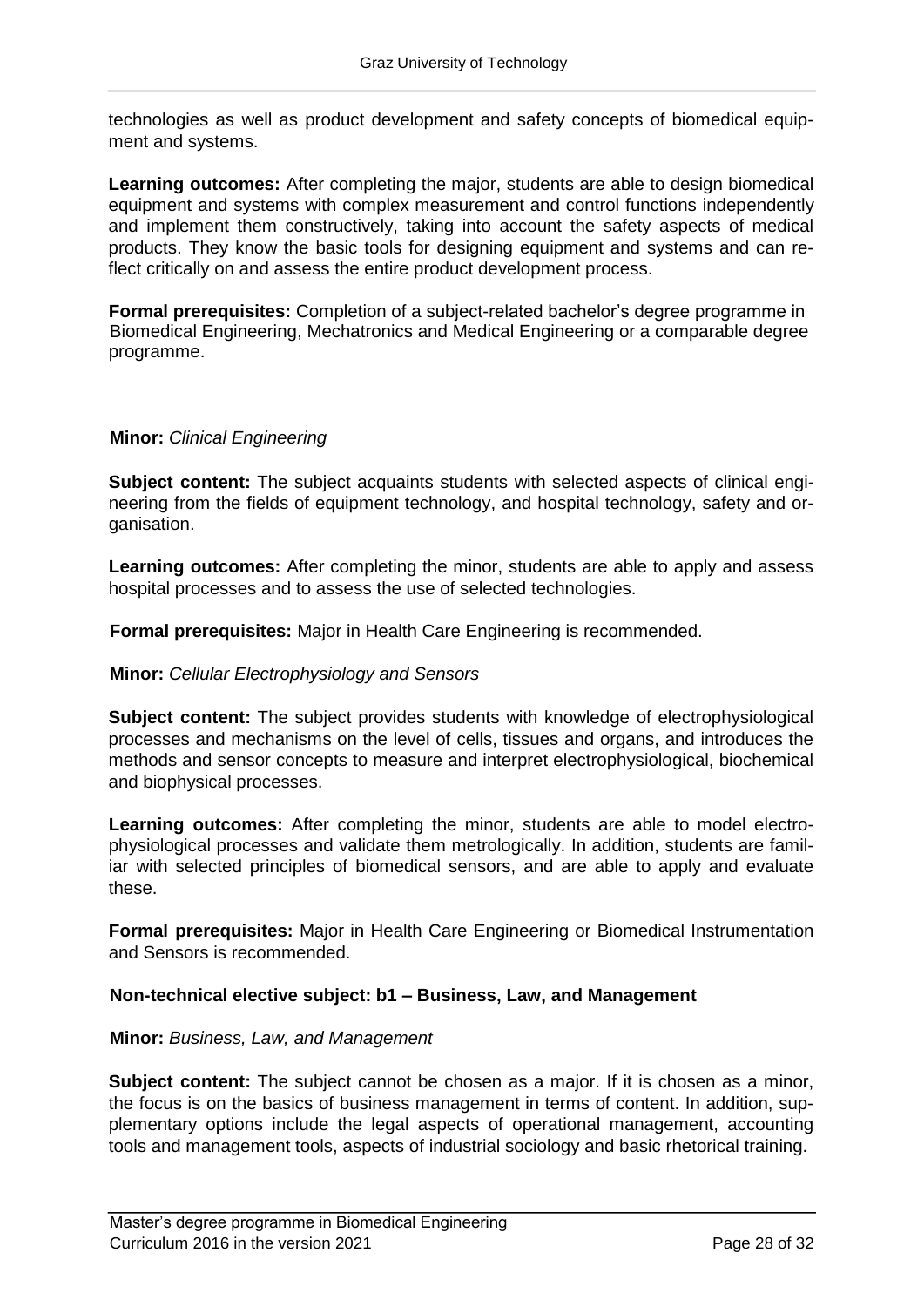technologies as well as product development and safety concepts of biomedical equipment and systems.

**Learning outcomes:** After completing the major, students are able to design biomedical equipment and systems with complex measurement and control functions independently and implement them constructively, taking into account the safety aspects of medical products. They know the basic tools for designing equipment and systems and can reflect critically on and assess the entire product development process.

**Formal prerequisites:** Completion of a subject-related bachelor's degree programme in Biomedical Engineering, Mechatronics and Medical Engineering or a comparable degree programme.

#### **Minor:** *Clinical Engineering*

**Subject content:** The subject acquaints students with selected aspects of clinical engineering from the fields of equipment technology, and hospital technology, safety and organisation.

**Learning outcomes:** After completing the minor, students are able to apply and assess hospital processes and to assess the use of selected technologies.

**Formal prerequisites:** Major in Health Care Engineering is recommended.

#### **Minor:** *Cellular Electrophysiology and Sensors*

**Subject content:** The subject provides students with knowledge of electrophysiological processes and mechanisms on the level of cells, tissues and organs, and introduces the methods and sensor concepts to measure and interpret electrophysiological, biochemical and biophysical processes.

**Learning outcomes:** After completing the minor, students are able to model electrophysiological processes and validate them metrologically. In addition, students are familiar with selected principles of biomedical sensors, and are able to apply and evaluate these.

**Formal prerequisites:** Major in Health Care Engineering or Biomedical Instrumentation and Sensors is recommended.

#### **Non-technical elective subject: b1 – Business, Law, and Management**

#### **Minor:** *Business, Law, and Management*

**Subject content:** The subject cannot be chosen as a major. If it is chosen as a minor, the focus is on the basics of business management in terms of content. In addition, supplementary options include the legal aspects of operational management, accounting tools and management tools, aspects of industrial sociology and basic rhetorical training.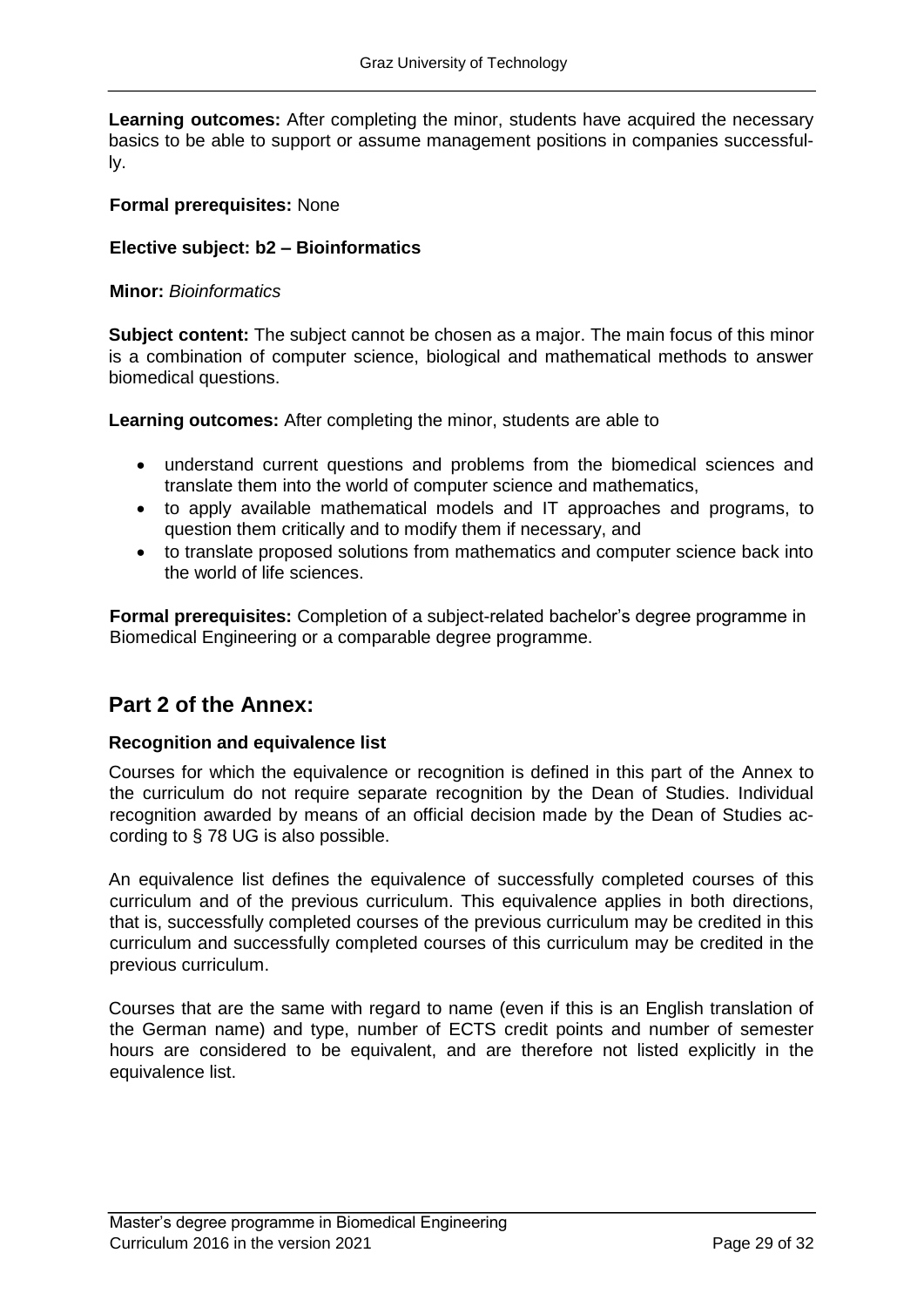**Learning outcomes:** After completing the minor, students have acquired the necessary basics to be able to support or assume management positions in companies successfully.

#### **Formal prerequisites:** None

#### **Elective subject: b2 – Bioinformatics**

#### **Minor:** *Bioinformatics*

**Subject content:** The subject cannot be chosen as a major. The main focus of this minor is a combination of computer science, biological and mathematical methods to answer biomedical questions.

**Learning outcomes:** After completing the minor, students are able to

- understand current questions and problems from the biomedical sciences and translate them into the world of computer science and mathematics,
- to apply available mathematical models and IT approaches and programs, to question them critically and to modify them if necessary, and
- to translate proposed solutions from mathematics and computer science back into the world of life sciences.

**Formal prerequisites:** Completion of a subject-related bachelor's degree programme in Biomedical Engineering or a comparable degree programme.

### **Part 2 of the Annex:**

#### **Recognition and equivalence list**

Courses for which the equivalence or recognition is defined in this part of the Annex to the curriculum do not require separate recognition by the Dean of Studies. Individual recognition awarded by means of an official decision made by the Dean of Studies according to § 78 UG is also possible.

An equivalence list defines the equivalence of successfully completed courses of this curriculum and of the previous curriculum. This equivalence applies in both directions, that is, successfully completed courses of the previous curriculum may be credited in this curriculum and successfully completed courses of this curriculum may be credited in the previous curriculum.

Courses that are the same with regard to name (even if this is an English translation of the German name) and type, number of ECTS credit points and number of semester hours are considered to be equivalent, and are therefore not listed explicitly in the equivalence list.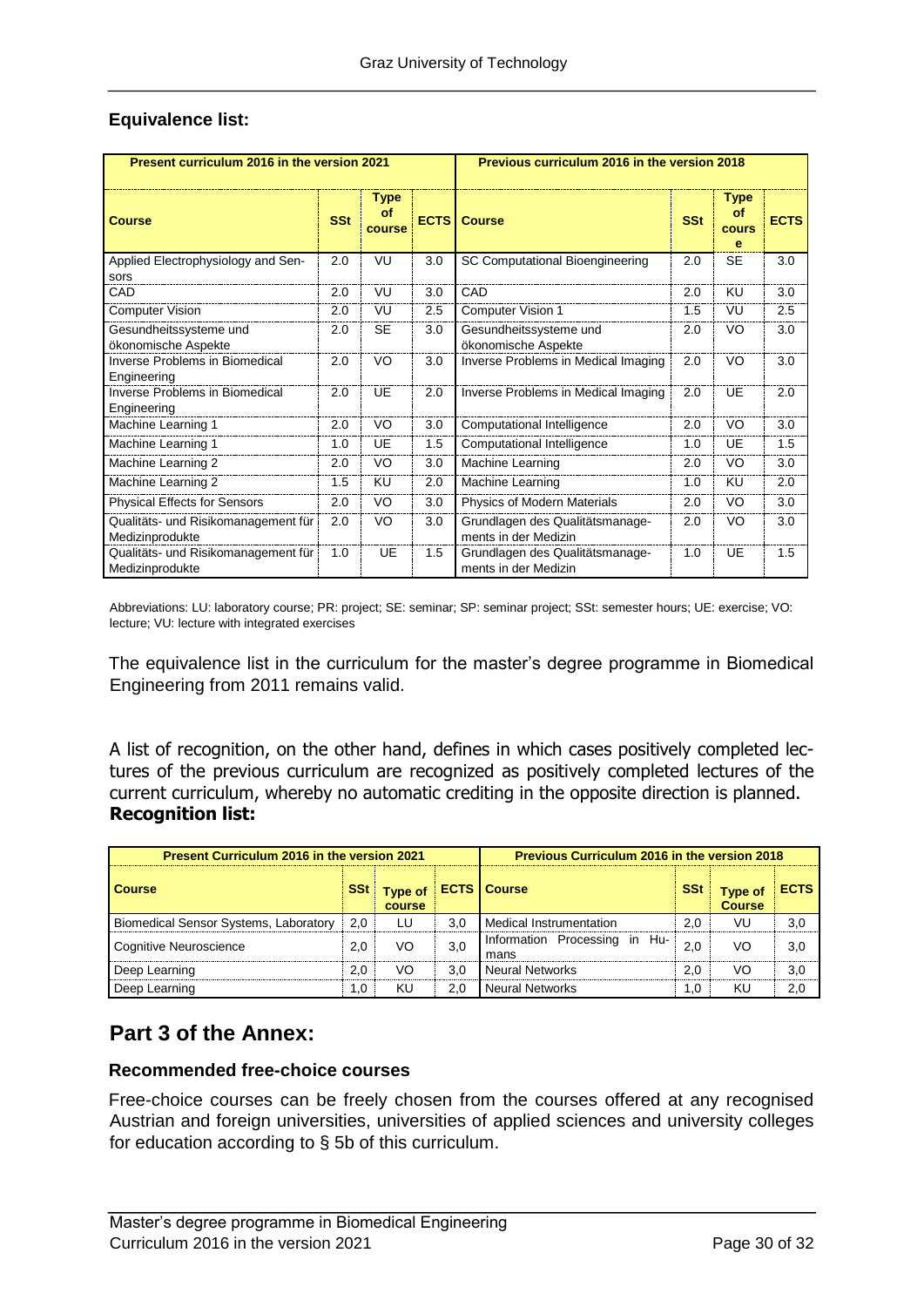| Present curriculum 2016 in the version 2021            |            |                             | Previous curriculum 2016 in the version 2018 |                                                         |            |                                 |             |  |
|--------------------------------------------------------|------------|-----------------------------|----------------------------------------------|---------------------------------------------------------|------------|---------------------------------|-------------|--|
| <b>Course</b>                                          | <b>SSt</b> | <b>Type</b><br>of<br>course |                                              | <b>ECTS   Course</b>                                    | <b>SSt</b> | <b>Type</b><br>of<br>cours<br>e | <b>ECTS</b> |  |
| Applied Electrophysiology and Sen-<br>sors             | 2.0        | VU                          | 3.0                                          | SC Computational Bioengineering                         | 2.0        | <b>SE</b>                       | 3.0         |  |
| CAD                                                    | 2.0        | VU                          | 3.0                                          | CAD                                                     | 2.0        | KU                              | 3.0         |  |
| <b>Computer Vision</b>                                 | 2.0        | VU                          | 2.5                                          | Computer Vision 1                                       | 1.5        | VU                              | 2.5         |  |
| Gesundheitssysteme und<br>ökonomische Aspekte          | 2.0        | <b>SE</b>                   | 3.0                                          | Gesundheitssysteme und<br>ökonomische Aspekte           | 2.0        | VO                              | 3.0         |  |
| <b>Inverse Problems in Biomedical</b><br>Engineering   | 2.0        | VO                          | 3.0                                          | Inverse Problems in Medical Imaging                     | 2.0        | VO                              | 3.0         |  |
| <b>Inverse Problems in Biomedical</b><br>Engineering   | 2.0        | UF                          | 2.0                                          | Inverse Problems in Medical Imaging                     | 2.0        | UE                              | 2.0         |  |
| Machine Learning 1                                     | 2.0        | VO                          | 3.0                                          | Computational Intelligence                              | 2.0        | VO                              | 3.0         |  |
| Machine Learning 1                                     | 1.0        | <b>UE</b>                   | 1.5                                          | Computational Intelligence                              | 1.0        | UE                              | 1.5         |  |
| Machine Learning 2                                     | 2.0        | VO                          | 3.0                                          | Machine Learning                                        | 2.0        | VO                              | 3.0         |  |
| Machine Learning 2                                     | 1.5        | KU                          | 2.0                                          | Machine Learning                                        | 1.0        | KU                              | 2.0         |  |
| <b>Physical Effects for Sensors</b>                    | 2.0        | VO                          | 3.0                                          | Physics of Modern Materials                             | 2.0        | VO                              | 3.0         |  |
| Qualitäts- und Risikomanagement für<br>Medizinprodukte | 2.0        | VO                          | 3.0                                          | Grundlagen des Qualitätsmanage-<br>ments in der Medizin | 2.0        | VO                              | 3.0         |  |
| Qualitäts- und Risikomanagement für<br>Medizinprodukte | 1.0        | UE                          | 1.5                                          | Grundlagen des Qualitätsmanage-<br>ments in der Medizin | 1.0        | UE                              | 1.5         |  |

#### **Equivalence list:**

Abbreviations: LU: laboratory course; PR: project; SE: seminar; SP: seminar project; SSt: semester hours; UE: exercise; VO: lecture; VU: lecture with integrated exercises

The equivalence list in the curriculum for the master's degree programme in Biomedical Engineering from 2011 remains valid.

A list of recognition, on the other hand, defines in which cases positively completed lectures of the previous curriculum are recognized as positively completed lectures of the current curriculum, whereby no automatic crediting in the opposite direction is planned. **Recognition list:**

| <b>Present Curriculum 2016 in the version 2021</b> |            |                          |     | <b>Previous Curriculum 2016 in the version 2018</b> |            |                                 |             |
|----------------------------------------------------|------------|--------------------------|-----|-----------------------------------------------------|------------|---------------------------------|-------------|
| <b>Course</b>                                      | <b>SSt</b> | <b>Type of</b><br>course |     | <b>ECTS   Course</b>                                | <b>SSt</b> | <b>Type of</b><br><b>Course</b> | <b>ECTS</b> |
| <b>Biomedical Sensor Systems, Laboratory</b>       | 2.0        | LU                       | 3,0 | <b>Medical Instrumentation</b>                      | 2.0        | VU                              | 3,0         |
| Cognitive Neuroscience                             | 2.0        | VO                       | 3,0 | Information Processing in Hu-<br>mans               | 2.0        | VO                              | 3,0         |
| Deep Learning                                      | 2,0        | VO                       | 3.0 | <b>Neural Networks</b>                              | 2.0        | VO                              | 3,0         |
| Deep Learning                                      | 1,0        | KU                       | 2.0 | <b>Neural Networks</b>                              | 1.0        | KU                              | 2,0         |

### **Part 3 of the Annex:**

#### **Recommended free-choice courses**

Free-choice courses can be freely chosen from the courses offered at any recognised Austrian and foreign universities, universities of applied sciences and university colleges for education according to § 5b of this curriculum.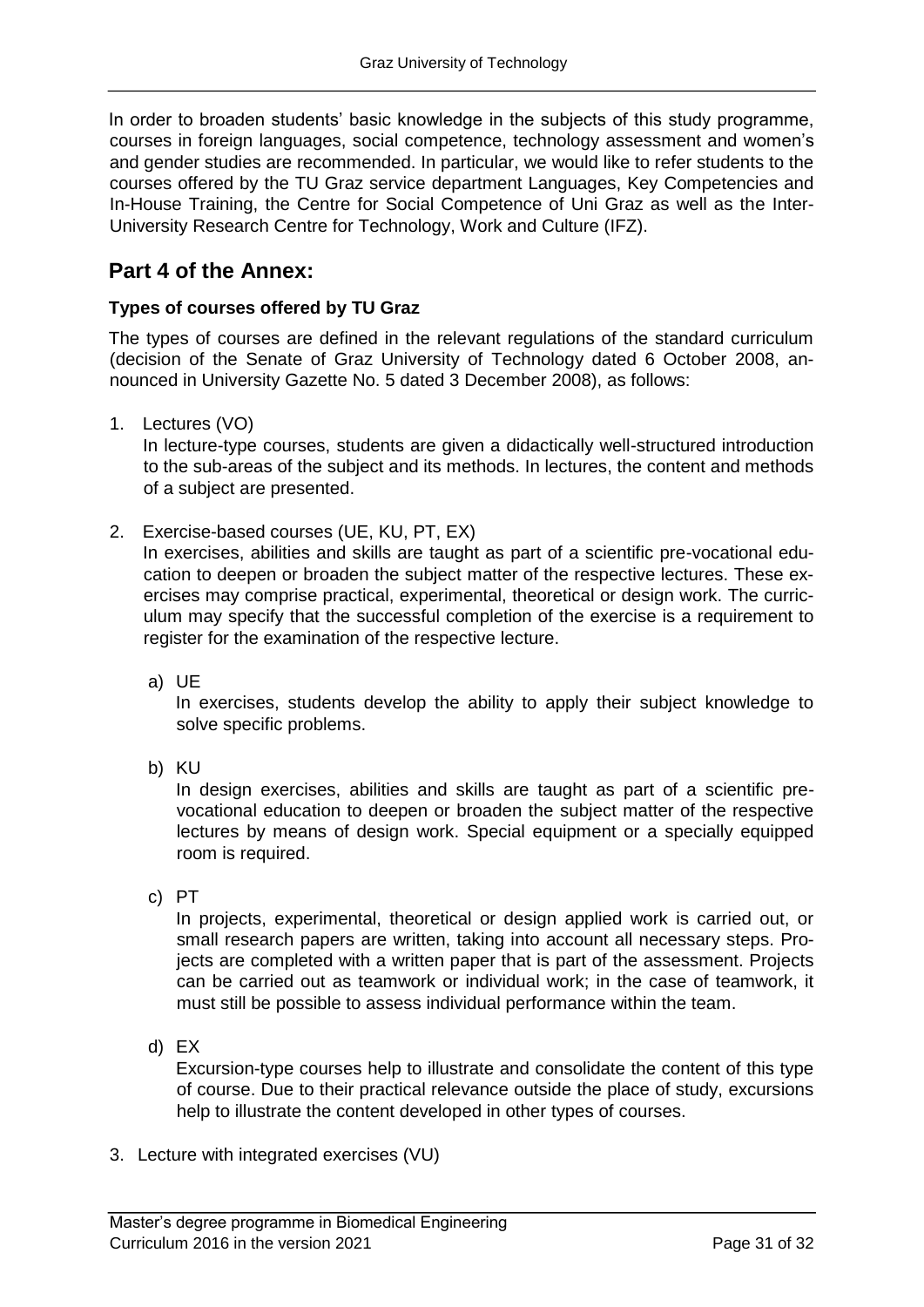In order to broaden students' basic knowledge in the subjects of this study programme, courses in foreign languages, social competence, technology assessment and women's and gender studies are recommended. In particular, we would like to refer students to the courses offered by the TU Graz service department Languages, Key Competencies and In-House Training, the Centre for Social Competence of Uni Graz as well as the Inter-University Research Centre for Technology, Work and Culture (IFZ).

### **Part 4 of the Annex:**

#### **Types of courses offered by TU Graz**

The types of courses are defined in the relevant regulations of the standard curriculum (decision of the Senate of Graz University of Technology dated 6 October 2008, announced in University Gazette No. 5 dated 3 December 2008), as follows:

1. Lectures (VO)

In lecture-type courses, students are given a didactically well-structured introduction to the sub-areas of the subject and its methods. In lectures, the content and methods of a subject are presented.

2. Exercise-based courses (UE, KU, PT, EX)

In exercises, abilities and skills are taught as part of a scientific pre-vocational education to deepen or broaden the subject matter of the respective lectures. These exercises may comprise practical, experimental, theoretical or design work. The curriculum may specify that the successful completion of the exercise is a requirement to register for the examination of the respective lecture.

a) UE

In exercises, students develop the ability to apply their subject knowledge to solve specific problems.

b) KU

In design exercises, abilities and skills are taught as part of a scientific prevocational education to deepen or broaden the subject matter of the respective lectures by means of design work. Special equipment or a specially equipped room is required.

c) PT

In projects, experimental, theoretical or design applied work is carried out, or small research papers are written, taking into account all necessary steps. Projects are completed with a written paper that is part of the assessment. Projects can be carried out as teamwork or individual work; in the case of teamwork, it must still be possible to assess individual performance within the team.

d) EX

Excursion-type courses help to illustrate and consolidate the content of this type of course. Due to their practical relevance outside the place of study, excursions help to illustrate the content developed in other types of courses.

3. Lecture with integrated exercises (VU)